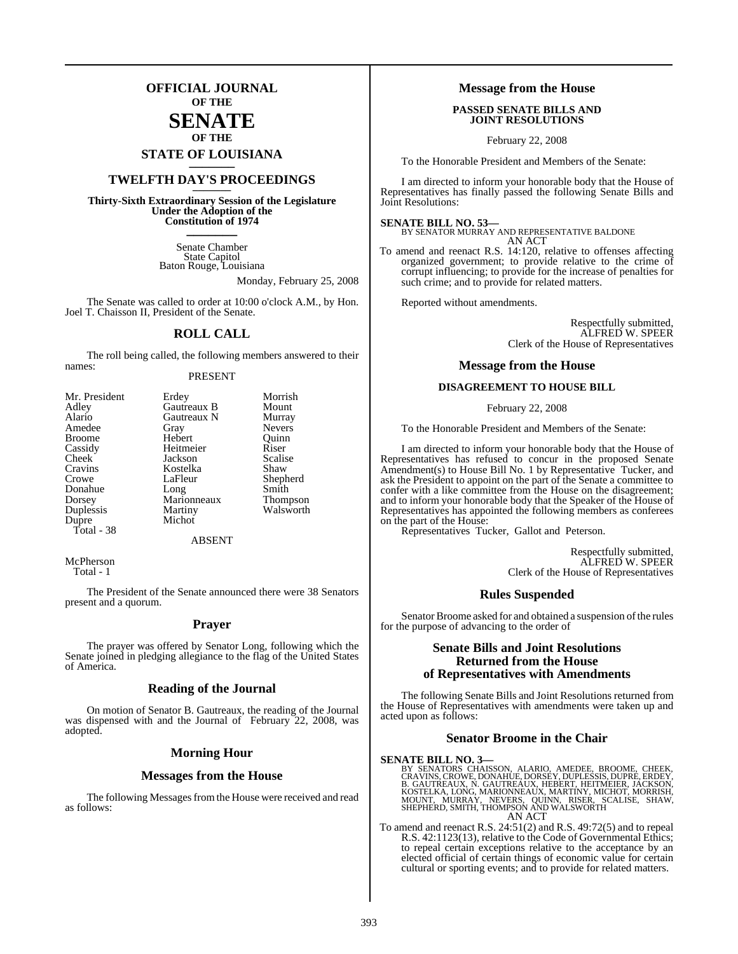## **OFFICIAL JOURNAL OF THE**

## **SENATE OF THE**

# **STATE OF LOUISIANA \_\_\_\_\_\_\_**

## **TWELFTH DAY'S PROCEEDINGS \_\_\_\_\_\_\_**

**Thirty-Sixth Extraordinary Session of the Legislature Under the Adoption of the Constitution of 1974 \_\_\_\_\_\_\_**

> Senate Chamber State Capitol Baton Rouge, Louisiana

> > Monday, February 25, 2008

The Senate was called to order at 10:00 o'clock A.M., by Hon. Joel T. Chaisson II, President of the Senate.

### **ROLL CALL**

The roll being called, the following members answered to their names:

#### PRESENT

| Mr. President | Erdey       | Morrish       |
|---------------|-------------|---------------|
| Adley         | Gautreaux B | Mount         |
| Alario        | Gautreaux N | Murray        |
| Amedee        | Gray        | <b>Nevers</b> |
| <b>Broome</b> | Hebert      | Ouinn         |
| Cassidy       | Heitmeier   | Riser         |
| Cheek         | Jackson     | Scalise       |
| Cravins       | Kostelka    | Shaw          |
| Crowe         | LaFleur     | Shepherd      |
| Donahue       | Long        | Smith         |
| Dorsey        | Marionneaux | Thompson      |
| Duplessis     | Martiny     | Walsworth     |
| Dupre         | Michot      |               |
| Total - 38    |             |               |
|               |             |               |

ABSENT

McPherson Total - 1

The President of the Senate announced there were 38 Senators present and a quorum.

#### **Prayer**

The prayer was offered by Senator Long, following which the Senate joined in pledging allegiance to the flag of the United States of America.

#### **Reading of the Journal**

On motion of Senator B. Gautreaux, the reading of the Journal was dispensed with and the Journal of February 22, 2008, was adopted.

#### **Morning Hour**

#### **Messages from the House**

The following Messages from the House were received and read as follows:

#### **Message from the House**

#### **PASSED SENATE BILLS AND JOINT RESOLUTIONS**

February 22, 2008

To the Honorable President and Members of the Senate:

I am directed to inform your honorable body that the House of Representatives has finally passed the following Senate Bills and Joint Resolutions:

#### **SENATE BILL NO. 53—**

BY SENATOR MURRAY AND REPRESENTATIVE BALDONE AN ACT

To amend and reenact R.S. 14:120, relative to offenses affecting organized government; to provide relative to the crime of corrupt influencing; to provide for the increase of penalties for such crime; and to provide for related matters.

Reported without amendments.

Respectfully submitted, ALFRED W. SPEER Clerk of the House of Representatives

#### **Message from the House**

#### **DISAGREEMENT TO HOUSE BILL**

February 22, 2008

To the Honorable President and Members of the Senate:

I am directed to inform your honorable body that the House of Representatives has refused to concur in the proposed Senate Amendment(s) to House Bill No. 1 by Representative Tucker, and ask the President to appoint on the part of the Senate a committee to confer with a like committee from the House on the disagreement; and to inform your honorable body that the Speaker of the House of Representatives has appointed the following members as conferees on the part of the House:

Representatives Tucker, Gallot and Peterson.

Respectfully submitted, ALFRED W. SPEER Clerk of the House of Representatives

#### **Rules Suspended**

Senator Broome asked for and obtained a suspension of the rules for the purpose of advancing to the order of

#### **Senate Bills and Joint Resolutions Returned from the House of Representatives with Amendments**

The following Senate Bills and Joint Resolutions returned from the House of Representatives with amendments were taken up and acted upon as follows:

#### **Senator Broome in the Chair**

#### **SENATE BILL NO. 3—**

BY SENATORS CHAISSON, ALARIO, AMEDEE, BROOME, CHEEK,<br>CRAVINS,CROWE,DONAHUE,DORSEY,DUPLESSIS,DUPRE,ERDEY,<br>B. GAUTREAUX, N. GAUTREAUX, HEBERT, HEITMEIER, JACKSON,<br>KOSTELKA, LONG, MARIONNEAUX, MARTINY, MICHOT, MORRISH,<br>MOUNT, AN ACT

To amend and reenact R.S. 24:51(2) and R.S. 49:72(5) and to repeal R.S. 42:1123(13), relative to the Code of Governmental Ethics; to repeal certain exceptions relative to the acceptance by an elected official of certain things of economic value for certain cultural or sporting events; and to provide for related matters.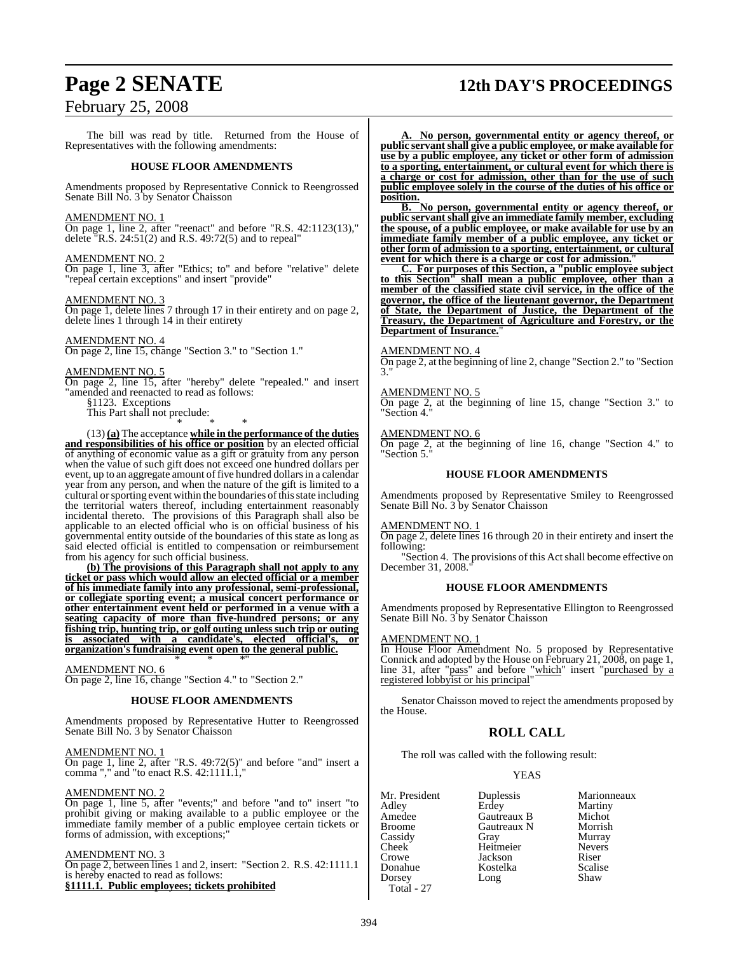## **Page 2 SENATE 12th DAY'S PROCEEDINGS**

## February 25, 2008

The bill was read by title. Returned from the House of Representatives with the following amendments:

#### **HOUSE FLOOR AMENDMENTS**

Amendments proposed by Representative Connick to Reengrossed Senate Bill No. 3 by Senator Chaisson

#### AMENDMENT NO. 1

On page 1, line 2, after "reenact" and before "R.S. 42:1123(13)," delete  $\sqrt{R.S. 24:51(2)}$  and R.S. 49:72(5) and to repeal"

#### AMENDMENT NO. 2

On page 1, line 3, after "Ethics; to" and before "relative" delete "repeal certain exceptions" and insert "provide"

#### AMENDMENT NO. 3

On page 1, delete lines 7 through 17 in their entirety and on page 2, delete lines 1 through 14 in their entirety

#### AMENDMENT NO. 4

On page 2, line 15, change "Section 3." to "Section 1."

#### AMENDMENT NO. 5

On page 2, line 15, after "hereby" delete "repealed." and insert "amended and reenacted to read as follows:

§1123. Exceptions

This Part shall not preclude: \* \* \*

(13) **(a)** The acceptance **while in the performance of the duties and responsibilities of his office or position** by an elected official of anything of economic value as a gift or gratuity from any person when the value of such gift does not exceed one hundred dollars per event, up to an aggregate amount of five hundred dollars in a calendar year from any person, and when the nature of the gift is limited to a cultural or sporting event within the boundaries of this state including the territorial waters thereof, including entertainment reasonably incidental thereto. The provisions of this Paragraph shall also be applicable to an elected official who is on official business of his governmental entity outside of the boundaries of this state as long as said elected official is entitled to compensation or reimbursement from his agency for such official business.

**(b) The provisions of this Paragraph shall not apply to any ticket or pass which would allow an elected official or a member of his immediate family into any professional, semi-professional, or collegiate sporting event; a musical concert performance or other entertainment event held or performed in a venue with a seating capacity of more than five-hundred persons; or any fishing trip, hunting trip, or golf outing unless such trip or outing is associated with a candidate's, elected official's, or organization's fundraising event open to the general public.**

#### AMENDMENT NO. 6

On page 2, line 16, change "Section 4." to "Section 2."

#### **HOUSE FLOOR AMENDMENTS**

\* \* \*"

Amendments proposed by Representative Hutter to Reengrossed Senate Bill No. 3 by Senator Chaisson

#### AMENDMENT NO. 1

On page 1, line 2, after "R.S. 49:72(5)" and before "and" insert a comma "," and "to enact R.S. 42:1111.1,"

#### AMENDMENT NO. 2

On page 1, line 5, after "events;" and before "and to" insert "to prohibit giving or making available to a public employee or the immediate family member of a public employee certain tickets or forms of admission, with exceptions;"

#### AMENDMENT NO. 3

On page 2, between lines 1 and 2, insert: "Section 2. R.S. 42:1111.1 is hereby enacted to read as follows: **§1111.1. Public employees; tickets prohibited**

**A. No person, governmental entity or agency thereof, or public servantshall give a public employee, or make available for use by a public employee, any ticket or other form of admission to a sporting, entertainment, or cultural event for which there is a charge or cost for admission, other than for the use of such public employee solely in the course of the duties of his office or position.**

**B. No person, governmental entity or agency thereof, or public servant shall give an immediate family member, excluding the spouse, of a public employee, or make available for use by an immediate family member of a public employee, any ticket or other form of admission to a sporting, entertainment, or cultural event for which there is a charge or cost for admission.**"

**C. For purposes of this Section, a "public employee subject to this Section" shall mean a public employee, other than a member of the classified state civil service, in the office of the governor, the office of the lieutenant governor, the Department of State, the Department of Justice, the Department of the Treasury, the Department of Agriculture and Forestry, or the Department of Insurance.**"

#### AMENDMENT NO. 4

On page 2, at the beginning of line 2, change "Section 2." to "Section 3."

#### AMENDMENT NO. 5

On page 2, at the beginning of line 15, change "Section 3." to "Section 4."

#### AMENDMENT NO. 6

On page 2, at the beginning of line 16, change "Section 4." to "Section 5."

#### **HOUSE FLOOR AMENDMENTS**

Amendments proposed by Representative Smiley to Reengrossed Senate Bill No. 3 by Senator Chaisson

#### AMENDMENT NO. 1

On page 2, delete lines 16 through 20 in their entirety and insert the following:

"Section 4. The provisions of this Act shall become effective on December 31, 2008.

#### **HOUSE FLOOR AMENDMENTS**

Amendments proposed by Representative Ellington to Reengrossed Senate Bill No. 3 by Senator Chaisson

#### AMENDMENT NO. 1

In House Floor Amendment No. 5 proposed by Representative Connick and adopted by the House on February 21, 2008, on page 1, line 31, after "pass" and before "which" insert "purchased by a registered lobbyist or his principal"

Senator Chaisson moved to reject the amendments proposed by the House.

### **ROLL CALL**

The roll was called with the following result:

#### YEAS

Adley Erdey Martiny Amedee Gautreaux B Michot<br>Broome Gautreaux N Morrish Cassidy Gray Murray<br>Cheek Heitmeier Nevers Cheek Heitmeier Never<br>Crowe Jackson Riser Crowe Jackson Riser Dorsey Long Total - 27

Mr. President Duplessis Marionneaux<br>Adley Erdey Martiny Gautreaux N Morrish<br>Gray Murray Kostelka Scalis<br>Long Shaw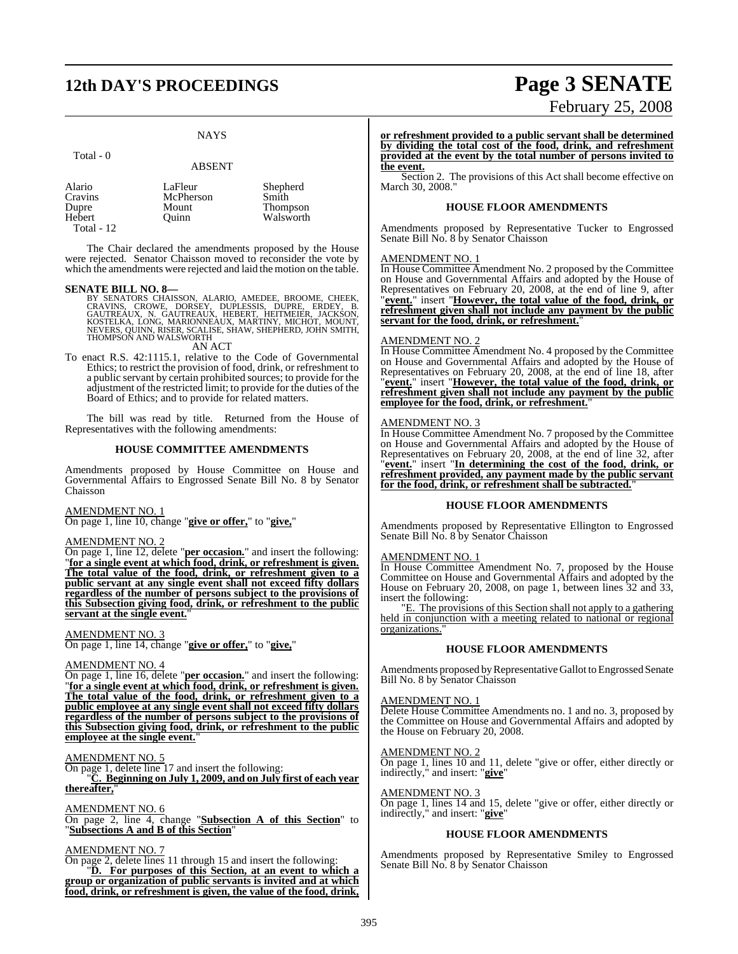## **12th DAY'S PROCEEDINGS Page 3 SENATE**

#### **NAYS**

| отаг |  |
|------|--|
|------|--|

#### ABSENT

| Alario          | LaFleur   | Shepherd        |
|-----------------|-----------|-----------------|
| Cravins         | McPherson | Smith           |
| Dupre<br>Hebert | Mount     | <b>Thompson</b> |
|                 | Ouinn     | Walsworth       |
| Total - $12$    |           |                 |

The Chair declared the amendments proposed by the House were rejected. Senator Chaisson moved to reconsider the vote by which the amendments were rejected and laid the motion on the table.

#### **SENATE BILL NO. 8—**

- BY SENATORS CHAISSON, ALARIO, AMEDEE, BROOME, CHEEK,<br>CRAVINS, CROWE, DORSEY, DUPLESSIS, DUPRE, ERDEY, B.<br>GAUTREAUX, N. GAUTREAUX, HEBERT, HEITMEIER, JACKSON,<br>KOSTELKA, LONG, MARIONNEAUX, MARTINY, MICHOT, MOUNT,<br>NEVERS, QUI AN ACT
- To enact R.S. 42:1115.1, relative to the Code of Governmental Ethics; to restrict the provision of food, drink, or refreshment to a public servant by certain prohibited sources; to provide for the adjustment of the restricted limit; to provide for the duties of the Board of Ethics; and to provide for related matters.

The bill was read by title. Returned from the House of Representatives with the following amendments:

#### **HOUSE COMMITTEE AMENDMENTS**

Amendments proposed by House Committee on House and Governmental Affairs to Engrossed Senate Bill No. 8 by Senator Chaisson

#### AMENDMENT NO. 1

On page 1, line 10, change "**give or offer,**" to "**give,**"

### AMENDMENT NO. 2

On page 1, line 12, delete "**per occasion.**" and insert the following: "**for a single event at which food, drink, or refreshment is given. The total value of the food, drink, or refreshment given to a public servant at any single event shall not exceed fifty dollars regardless of the number of persons subject to the provisions of this Subsection giving food, drink, or refreshment to the public servant at the single event.**"

#### AMENDMENT NO. 3

On page 1, line 14, change "**give or offer,**" to "**give,**"

#### AMENDMENT NO. 4

On page 1, line 16, delete "**per occasion.**" and insert the following: "**for a single event at which food, drink, or refreshment is given. The total value of the food, drink, or refreshment given to a public employee at any single event shall not exceed fifty dollars regardless of the number of persons subject to the provisions of this Subsection giving food, drink, or refreshment to the public employee at the single event.**"

#### AMENDMENT NO. 5

On page 1, delete line 17 and insert the following:

"**C. Beginning on July 1, 2009, and on July first of each year** thereafter,

#### AMENDMENT NO. 6

On page 2, line 4, change "**Subsection A of this Section**" to "**Subsections A and B of this Section**"

#### AMENDMENT NO. 7

On page 2, delete lines 11 through 15 and insert the following: "**D. For purposes of this Section, at an event to which a group or organization of public servants is invited and at which food, drink, or refreshment is given, the value of the food, drink,**

# February 25, 2008

**or refreshment provided to a public servant shall be determined by dividing the total cost of the food, drink, and refreshment provided at the event by the total number of persons invited to the event.**

Section 2. The provisions of this Act shall become effective on March 30, 2008."

#### **HOUSE FLOOR AMENDMENTS**

Amendments proposed by Representative Tucker to Engrossed Senate Bill No. 8 by Senator Chaisson

#### AMENDMENT NO. 1

In House Committee Amendment No. 2 proposed by the Committee on House and Governmental Affairs and adopted by the House of Representatives on February 20, 2008, at the end of line 9, after "**event.**" insert "**However, the total value of the food, drink, or refreshment given shall not include any payment by the public servant for the food, drink, or refreshment.**"

#### AMENDMENT NO. 2

In House Committee Amendment No. 4 proposed by the Committee on House and Governmental Affairs and adopted by the House of Representatives on February 20, 2008, at the end of line 18, after "**event.**" insert "**However, the total value of the food, drink, or refreshment given shall not include any payment by the public** employee for the food, drink, or refreshment."

#### AMENDMENT NO. 3

In House Committee Amendment No. 7 proposed by the Committee on House and Governmental Affairs and adopted by the House of Representatives on February 20, 2008, at the end of line 32, after "**event.**" insert "**In determining the cost of the food, drink, or refreshment provided, any payment made by the public servant for the food, drink, or refreshment shall be subtracted.**"

#### **HOUSE FLOOR AMENDMENTS**

Amendments proposed by Representative Ellington to Engrossed Senate Bill No. 8 by Senator Chaisson

#### AMENDMENT NO. 1

In House Committee Amendment No. 7, proposed by the House Committee on House and Governmental Affairs and adopted by the House on February 20, 2008, on page 1, between lines 32 and 33, insert the following:

"E. The provisions of this Section shall not apply to a gathering held in conjunction with a meeting related to national or regional organizations.

#### **HOUSE FLOOR AMENDMENTS**

Amendments proposed by Representative Gallot to Engrossed Senate Bill No. 8 by Senator Chaisson

#### AMENDMENT NO. 1

Delete House Committee Amendments no. 1 and no. 3, proposed by the Committee on House and Governmental Affairs and adopted by the House on February 20, 2008.

#### AMENDMENT NO. 2

On page 1, lines 10 and 11, delete "give or offer, either directly or indirectly," and insert: "**give**"

#### AMENDMENT NO. 3

On page 1, lines 14 and 15, delete "give or offer, either directly or indirectly," and insert: "**give**"

#### **HOUSE FLOOR AMENDMENTS**

Amendments proposed by Representative Smiley to Engrossed Senate Bill No. 8 by Senator Chaisson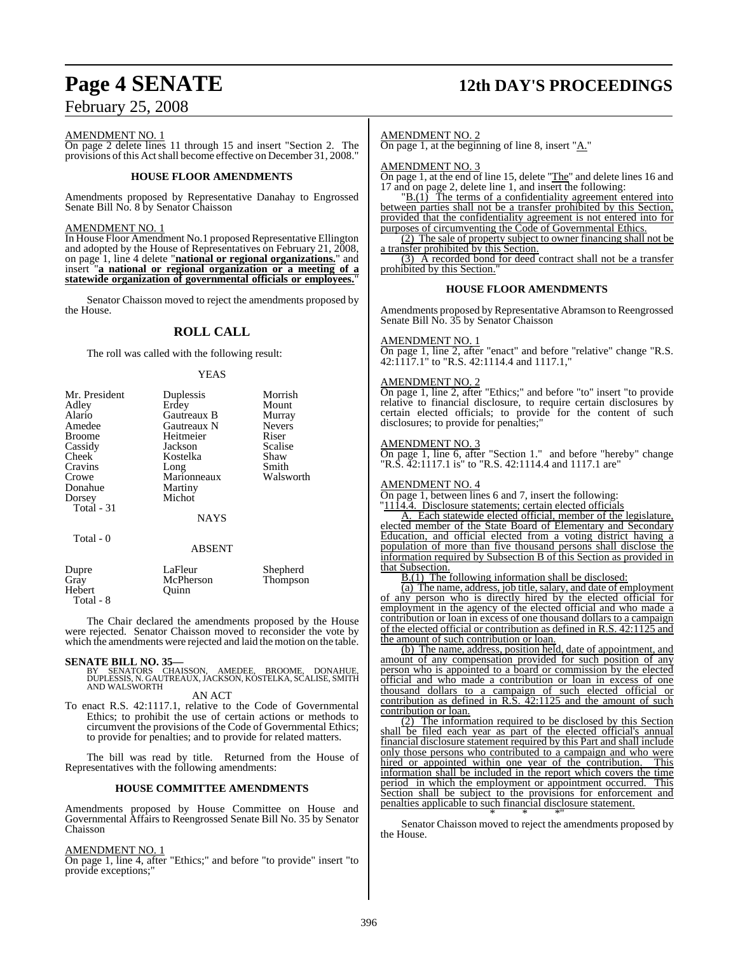# **Page 4 SENATE 12th DAY'S PROCEEDINGS**

## February 25, 2008

#### AMENDMENT NO. 1

On page 2 delete lines 11 through 15 and insert "Section 2. The provisions ofthis Actshall become effective on December 31, 2008."

#### **HOUSE FLOOR AMENDMENTS**

Amendments proposed by Representative Danahay to Engrossed Senate Bill No. 8 by Senator Chaisson

#### AMENDMENT NO. 1

In House Floor Amendment No.1 proposed Representative Ellington and adopted by the House of Representatives on February 21, 2008, on page 1, line 4 delete "**national or regional organizations.**" and insert "**a national or regional organization or a meeting of a statewide organization of governmental officials or employees.**"

Senator Chaisson moved to reject the amendments proposed by the House.

### **ROLL CALL**

The roll was called with the following result:

#### YEAS

| Mr. President | Duplessis     | Morrish       |
|---------------|---------------|---------------|
| Adley         | Erdey         | Mount         |
| Alario        | Gautreaux B   | Murray        |
| Amedee        | Gautreaux N   | <b>Nevers</b> |
| <b>Broome</b> | Heitmeier     | Riser         |
| Cassidy       | Jackson       | Scalise       |
| Cheek         | Kostelka      | Shaw          |
| Cravins       | Long          | Smith         |
| Crowe         | Marionneaux   | Walsworth     |
| Donahue       | Martiny       |               |
| Dorsey        | Michot        |               |
| Total - 31    |               |               |
|               | <b>NAYS</b>   |               |
|               |               |               |
| Total - 0     |               |               |
|               | <b>ABSENT</b> |               |
| Dupre         | LaFleur       | Shepherd      |
| Gray          | McPherson     | Thompson      |
| Hebert        | Ouinn         |               |
| Total - 8     |               |               |

The Chair declared the amendments proposed by the House were rejected. Senator Chaisson moved to reconsider the vote by which the amendments were rejected and laid the motion on the table.

#### **SENATE BILL NO. 35—**

BY SENATORS CHAISSON, AMEDEE, BROOME, DONAHUE, DUPLESSIS, N. GAUTREAUX, JACKSON, KOSTELKA, SCALISE, SMITH AND WALSWORTH

#### AN ACT

To enact R.S. 42:1117.1, relative to the Code of Governmental Ethics; to prohibit the use of certain actions or methods to circumvent the provisions of the Code of Governmental Ethics; to provide for penalties; and to provide for related matters.

The bill was read by title. Returned from the House of Representatives with the following amendments:

#### **HOUSE COMMITTEE AMENDMENTS**

Amendments proposed by House Committee on House and Governmental Affairs to Reengrossed Senate Bill No. 35 by Senator Chaisson

#### AMENDMENT NO. 1

On page 1, line 4, after "Ethics;" and before "to provide" insert "to provide exceptions;"

#### AMENDMENT NO. 2

On page 1, at the beginning of line 8, insert "A."

AMENDMENT NO. 3

On page 1, at the end of line 15, delete "The" and delete lines 16 and 17 and on page 2, delete line 1, and insert the following:

"B.(1) The terms of a confidentiality agreement entered into between parties shall not be a transfer prohibited by this Section, provided that the confidentiality agreement is not entered into for purposes of circumventing the Code of Governmental Ethics.

(2) The sale of property subject to owner financing shall not be a transfer prohibited by this Section.

(3) A recorded bond for deed contract shall not be a transfer prohibited by this Section.

#### **HOUSE FLOOR AMENDMENTS**

Amendments proposed by Representative Abramson to Reengrossed Senate Bill No. 35 by Senator Chaisson

#### AMENDMENT NO. 1

On page 1, line 2, after "enact" and before "relative" change "R.S. 42:1117.1" to "R.S. 42:1114.4 and 1117.1,"

#### AMENDMENT NO. 2

On page 1, line 2, after "Ethics;" and before "to" insert "to provide relative to financial disclosure, to require certain disclosures by certain elected officials; to provide for the content of such disclosures; to provide for penalties;"

#### AMENDMENT NO. 3

On page 1, line 6, after "Section 1." and before "hereby" change "R.S. 42:1117.1 is" to "R.S. 42:1114.4 and 1117.1 are"

#### AMENDMENT NO. 4

On page 1, between lines 6 and 7, insert the following:

"1114.4. Disclosure statements; certain elected officials

A. Each statewide elected official, member of the legislature, elected member of the State Board of Elementary and Secondary Education, and official elected from a voting district having a population of more than five thousand persons shall disclose the information required by Subsection B of this Section as provided in that Subsection.

B.(1) The following information shall be disclosed:

(a) The name, address, job title, salary, and date of employment of any person who is directly hired by the elected official for employment in the agency of the elected official and who made a contribution or loan in excess of one thousand dollars to a campaign of the elected official or contribution as defined in R.S. 42:1125 and the amount of such contribution or loan.

(b) The name, address, position held, date of appointment, and amount of any compensation provided for such position of any person who is appointed to a board or commission by the elected official and who made a contribution or loan in excess of one thousand dollars to a campaign of such elected official or contribution as defined in R.S. 42:1125 and the amount of such contribution or loan.

(2) The information required to be disclosed by this Section shall be filed each year as part of the elected official's annual financial disclosure statement required by this Part and shall include only those persons who contributed to a campaign and who were<br>hired or appointed within one year of the contribution. This hired or appointed within one year of the contribution. information shall be included in the report which covers the time period in which the employment or appointment occurred. This Section shall be subject to the provisions for enforcement and penalties applicable to such financial disclosure statement. \* \* \*"

Senator Chaisson moved to reject the amendments proposed by the House.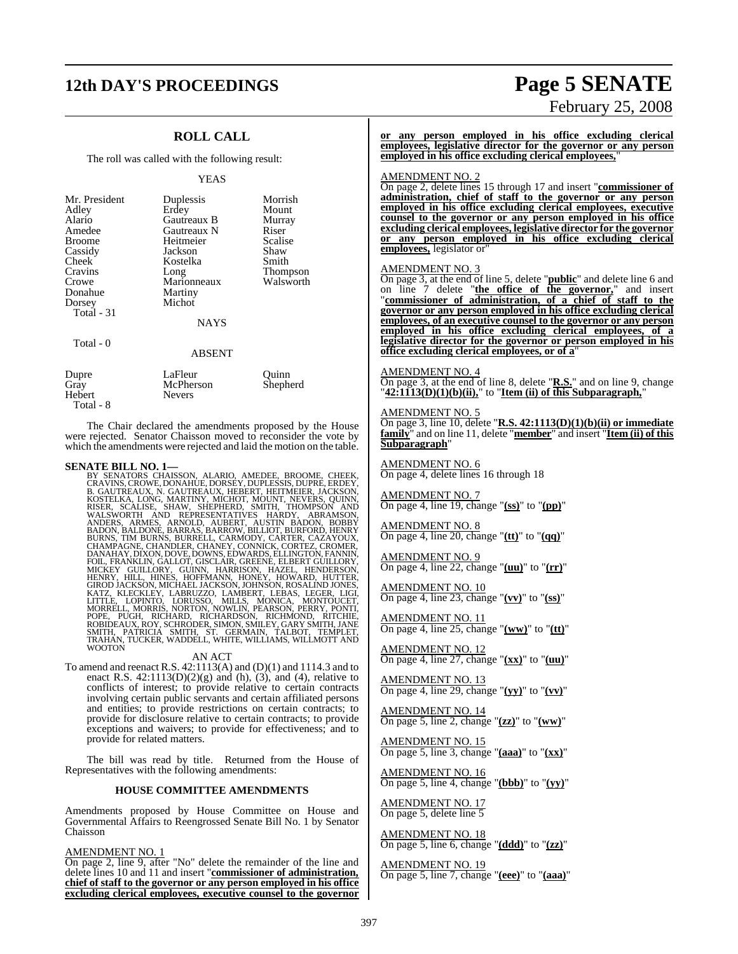## **12th DAY'S PROCEEDINGS Page 5 SENATE**

## **ROLL CALL**

The roll was called with the following result:

#### YEAS

| Mr. President<br>Adley<br>Alario<br>Amedee<br><b>Broome</b><br>Cassidy<br>Cheek<br>Cravins<br>Crowe<br>Donahue<br>Dorsey<br>Total - 31<br>Total - 0 | Duplessis<br>Erdey<br>Gautreaux B<br>Gautreaux N<br>Heitmeier<br>Jackson<br>Kostelka<br>Long<br>Marionneaux<br>Martiny<br>Michot<br><b>NAYS</b> | Morrish<br>Mount<br>Murray<br>Riser<br>Scalise<br>Shaw<br>Smith<br>Thompson<br>Walsworth |
|-----------------------------------------------------------------------------------------------------------------------------------------------------|-------------------------------------------------------------------------------------------------------------------------------------------------|------------------------------------------------------------------------------------------|
|                                                                                                                                                     | <b>ABSENT</b>                                                                                                                                   |                                                                                          |
| Dupre<br>Gray<br>Hebert                                                                                                                             | LaFleur<br>McPherson<br>Nevers                                                                                                                  | Ouinn<br>Shepherd                                                                        |

The Chair declared the amendments proposed by the House were rejected. Senator Chaisson moved to reconsider the vote by which the amendments were rejected and laid the motion on the table.

#### **SENATE BILL NO. 1—**

Total - 8

BY SENATORS CHAISSON, ALARIO, AMEDEE, BROOME, CHEEK, CRAVINS, CROWE, DONAHUE, DORSEY, DUPRESIS, DUPRES, B. GAUTREAUX, HEBERT, HEITMEIER, JACKSON, KOSTELKA, LONG, MARTINY, MICHOT, MOINT, NEVERS, QUINN, NESER, SCALISE, SHAW,

To amend and reenact R.S. 42:1113(A) and (D)(1) and 1114.3 and to enact R.S.  $42:1113(D)(2)(g)$  and (h),  $(3)$ , and (4), relative to conflicts of interest; to provide relative to certain contracts involving certain public servants and certain affiliated persons and entities; to provide restrictions on certain contracts; to provide for disclosure relative to certain contracts; to provide exceptions and waivers; to provide for effectiveness; and to provide for related matters.

The bill was read by title. Returned from the House of Representatives with the following amendments:

#### **HOUSE COMMITTEE AMENDMENTS**

Amendments proposed by House Committee on House and Governmental Affairs to Reengrossed Senate Bill No. 1 by Senator Chaisson

#### AMENDMENT NO. 1

On page 2, line 9, after "No" delete the remainder of the line and delete lines 10 and 11 and insert "**commissioner of administration, chief of staff to the governor or any person employed in his office excluding clerical employees, executive counsel to the governor**

# February 25, 2008

**or any person employed in his office excluding clerical employees, legislative director for the governor or any person employed in his office excluding clerical employees,**"

#### AMENDMENT NO. 2

On page 2, delete lines 15 through 17 and insert "**commissioner of administration, chief of staff to the governor or any person employed in his office excluding clerical employees, executive counsel to the governor or any person employed in his office excluding clerical employees, legislative director for the governor or any person employed in his office excluding clerical employees,** legislator or"

#### AMENDMENT NO. 3

On page 3, at the end of line 5, delete "**public**" and delete line 6 and on line 7 delete "**the office of the governor,**" and insert "**commissioner of administration, of a chief of staff to the governor or any person employed in his office excluding clerical employees, of an executive counsel to the governor or any person employed in his office excluding clerical employees, of a legislative director for the governor or person employed in his office excluding clerical employees, or of a**"

#### AMENDMENT NO. 4

On page 3, at the end of line 8, delete "**R.S.**" and on line 9, change  $^{\prime\prime}$ 42:1113(D)(1)(b)(ii)," to "Item (ii) of this Subparagraph,"

#### AMENDMENT NO. 5

On page 3, line 10, delete "**R.S. 42:1113(D)(1)(b)(ii) or immediate family**" and on line 11, delete "**member**" and insert "**Item (ii) of this Subparagraph**"

AMENDMENT NO. 6 On page 4, delete lines 16 through 18

AMENDMENT NO. 7 On page 4, line 19, change "**(ss)**" to "**(pp)**"

AMENDMENT NO. 8 On page 4, line 20, change "**(tt)**" to "**(qq)**"

AMENDMENT NO. 9 On page 4, line 22, change "**(uu)**" to "**(rr)**"

AMENDMENT NO. 10 On page 4, line 23, change "**(vv)**" to "**(ss)**"

AMENDMENT NO. 11 On page 4, line 25, change "**(ww)**" to "**(tt)**"

AMENDMENT NO. 12 On page 4, line 27, change "**(xx)**" to "**(uu)**"

AMENDMENT NO. 13 On page 4, line 29, change "**(yy)**" to "**(vv)**"

AMENDMENT NO. 14 On page 5, line 2, change "**(zz)**" to "**(ww)**"

AMENDMENT NO. 15 On page 5, line 3, change "**(aaa)**" to "**(xx)**"

AMENDMENT NO. 16 On page 5, line 4, change "**(bbb)**" to "**(yy)**"

AMENDMENT NO. 17 On page 5, delete line 5

AMENDMENT NO. 18 On page 5, line 6, change "**(ddd)**" to "**(zz)**"

AMENDMENT NO. 19 On page 5, line 7, change "**(eee)**" to "**(aaa)**"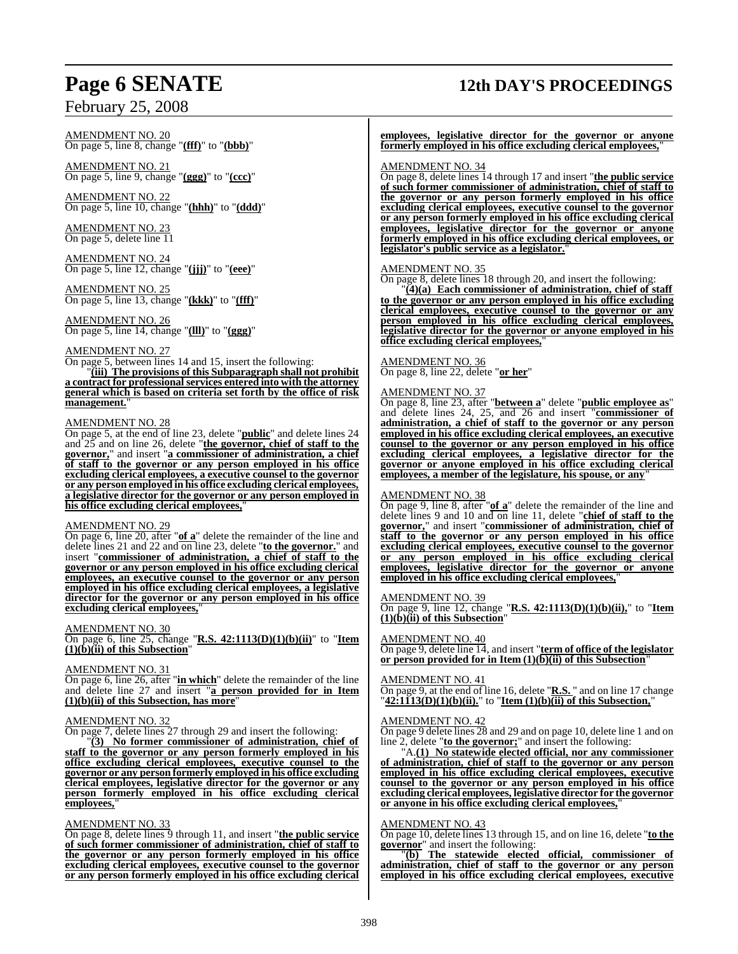AMENDMENT NO. 20 On page 5, line 8, change "**(fff)**" to "**(bbb)**"

AMENDMENT NO. 21 On page 5, line 9, change "**(ggg)**" to "**(ccc)**"

AMENDMENT NO. 22 On page 5, line 10, change "**(hhh)**" to "**(ddd)**"

AMENDMENT NO. 23 On page 5, delete line 11

AMENDMENT NO. 24 On page 5, line 12, change "**(jjj)**" to "**(eee)**"

AMENDMENT NO. 25 On page 5, line 13, change "**(kkk)**" to "**(fff)**"

#### AMENDMENT NO. 26 On page 5, line 14, change "**(lll)**" to "**(ggg)**"

## AMENDMENT NO. 27

On page 5, between lines 14 and 15, insert the following: "**(iii) The provisions of this Subparagraph shall not prohibit a contract for professional services entered into with the attorney general which is based on criteria set forth by the office of risk** management.

#### AMENDMENT NO. 28

On page 5, at the end of line 23, delete "**public**" and delete lines 24 and 25 and on line 26, delete "**the governor, chief of staff to the governor,**" and insert "**a commissioner of administration, a chief of staff to the governor or any person employed in his office excluding clerical employees, a executive counsel to the governor or any person employed in his office excluding clerical employees, a legislative director for the governor or any person employed in his office excluding clerical employees,**"

#### AMENDMENT NO. 29

On page 6, line 20, after "**of a**" delete the remainder of the line and delete lines 21 and 22 and on line 23, delete "**to the governor.**" and insert "**commissioner of administration, a chief of staff to the governor or any person employed in his office excluding clerical employees, an executive counsel to the governor or any person employed in his office excluding clerical employees, a legislative director for the governor or any person employed in his office excluding clerical employees,**"

#### AMENDMENT NO. 30

On page 6, line 25, change "**R.S. 42:1113(D)(1)(b)(ii)**" to "**Item (1)(b)(ii) of this Subsection**"

#### AMENDMENT NO. 31

On page 6, line 26, after "**in which**" delete the remainder of the line and delete line 27 and insert "**a person provided for in Item (1)(b)(ii) of this Subsection, has more**"

#### AMENDMENT NO. 32

On page 7, delete lines 27 through 29 and insert the following:

"**(3) No former commissioner of administration, chief of staff to the governor or any person formerly employed in his office excluding clerical employees, executive counsel to the governor or any person formerly employed in his office excluding clerical employees, legislative director for the governor or any person formerly employed in his office excluding clerical employees,**"

#### AMENDMENT NO. 33

On page 8, delete lines 9 through 11, and insert "**the public service of such former commissioner of administration, chief of staff to the governor or any person formerly employed in his office excluding clerical employees, executive counsel to the governor or any person formerly employed in his office excluding clerical**

## **Page 6 SENATE 12th DAY'S PROCEEDINGS**

**employees, legislative director for the governor or anyone formerly employed in his office excluding clerical employees,**"

#### AMENDMENT NO. 34

On page 8, delete lines 14 through 17 and insert "**the public service of such former commissioner of administration, chief of staff to the governor or any person formerly employed in his office excluding clerical employees, executive counsel to the governor or any person formerly employed in his office excluding clerical employees, legislative director for the governor or anyone formerly employed in his office excluding clerical employees, or legislator's public service as a legislator.**"

#### AMENDMENT NO. 35

On page 8, delete lines 18 through 20, and insert the following:

"**(4)(a) Each commissioner of administration, chief of staff to the governor or any person employed in his office excluding clerical employees, executive counsel to the governor or any person employed in his office excluding clerical employees, legislative director for the governor or anyone employed in his office excluding clerical employees,**"

## AMENDMENT NO. 36

On page 8, line 22, delete "**or her**"

#### AMENDMENT NO. 37

On page 8, line 23, after "**between a**" delete "**public employee as**" and delete lines 24, 25, and 26 and insert "**commissioner of administration, a chief of staff to the governor or any person employed in his office excluding clerical employees, an executive counsel to the governor or any person employed in his office excluding clerical employees, a legislative director for the governor or anyone employed in his office excluding clerical employees, a member of the legislature, his spouse, or any**"

#### AMENDMENT NO. 38

On page 9, line 8, after "**of a**" delete the remainder of the line and delete lines 9 and 10 and on line 11, delete "**chief of staff to the governor,**" and insert "**commissioner of administration, chief of staff to the governor or any person employed in his office excluding clerical employees, executive counsel to the governor or any person employed in his office excluding clerical employees, legislative director for the governor or anyone employed in his office excluding clerical employees,**"

#### AMENDMENT NO. 39

On page 9, line 12, change "**R.S. 42:1113(D)(1)(b)(ii),**" to "**Item (1)(b)(ii) of this Subsection**"

#### AMENDMENT NO. 40

On page 9, delete line 14, and insert "**term of office of the legislator or person provided for in Item (1)(b)(ii) of this Subsection**"

#### AMENDMENT NO. 41

On page 9, at the end of line 16, delete "**R.S.** " and on line 17 change "**42:1113(D)(1)(b)(ii).**" to "**Item (1)(b)(ii) of this Subsection,**"

#### AMENDMENT NO. 42

On page 9 delete lines 28 and 29 and on page 10, delete line 1 and on line 2, delete "**to the governor;**" and insert the following:

"A.**(1) No statewide elected official, nor any commissioner of administration, chief of staff to the governor or any person employed in his office excluding clerical employees, executive counsel to the governor or any person employed in his office excluding clerical employees, legislative director for the governor or anyone in his office excluding clerical employees,**"

#### AMENDMENT NO. 43

On page 10, delete lines 13 through 15, and on line 16, delete "**to the governor**" and insert the following:

"**(b) The statewide elected official, commissioner of administration, chief of staff to the governor or any person employed in his office excluding clerical employees, executive**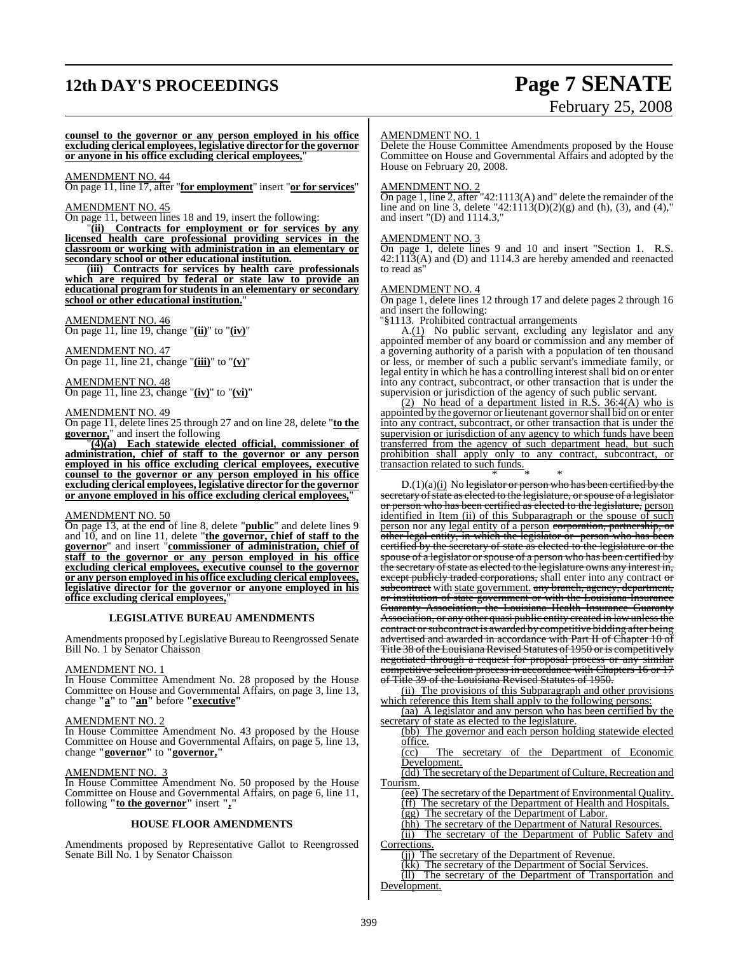## **12th DAY'S PROCEEDINGS Page 7 SENATE**

# February 25, 2008

**counsel to the governor or any person employed in his office excluding clerical employees, legislative director for the governor or anyone in his office excluding clerical employees,**"

#### AMENDMENT NO. 44

On page 11, line 17, after "**for employment**" insert "**or for services**"

#### AMENDMENT NO. 45

On page 11, between lines 18 and 19, insert the following:

"**(ii) Contracts for employment or for services by any licensed health care professional providing services in the classroom or working with administration in an elementary or secondary school or other educational institution.**

**(iii) Contracts for services by health care professionals which are required by federal or state law to provide an educational program for students in an elementary or secondary school or other educational institution.**"

#### AMENDMENT NO. 46

On page 11, line 19, change "**(ii)**" to "**(iv)**"

AMENDMENT NO. 47 On page 11, line 21, change "**(iii)**" to "**(v)**"

AMENDMENT NO. 48 On page 11, line 23, change "**(iv)**" to "**(vi)**"

#### AMENDMENT NO. 49

On page 11, delete lines 25 through 27 and on line 28, delete "**to the governor**," and insert the following

"**(4)(a) Each statewide elected official, commissioner of administration, chief of staff to the governor or any person employed in his office excluding clerical employees, executive counsel to the governor or any person employed in his office excluding clerical employees, legislative director for the governor or anyone employed in his office excluding clerical employees,**"

#### AMENDMENT NO. 50

On page 13, at the end of line 8, delete "**public**" and delete lines 9 and 10, and on line 11, delete "**the governor, chief of staff to the governor**" and insert "**commissioner of administration, chief of staff to the governor or any person employed in his office excluding clerical employees, executive counsel to the governor or any person employed in his office excluding clerical employees, legislative director for the governor or anyone employed in his office excluding clerical employees,**"

#### **LEGISLATIVE BUREAU AMENDMENTS**

Amendments proposed by Legislative Bureau to Reengrossed Senate Bill No. 1 by Senator Chaisson

#### AMENDMENT NO. 1

In House Committee Amendment No. 28 proposed by the House Committee on House and Governmental Affairs, on page 3, line 13, change **"a"** to **"an"** before **"executive"**

#### AMENDMENT NO. 2

In House Committee Amendment No. 43 proposed by the House Committee on House and Governmental Affairs, on page 5, line 13, change **"governor"** to **"governor,"**

#### AMENDMENT NO. 3

In House Committee Amendment No. 50 proposed by the House Committee on House and Governmental Affairs, on page 6, line 11, following **"to the governor"** insert **","**

#### **HOUSE FLOOR AMENDMENTS**

Amendments proposed by Representative Gallot to Reengrossed Senate Bill No. 1 by Senator Chaisson

#### AMENDMENT NO. 1

Delete the House Committee Amendments proposed by the House Committee on House and Governmental Affairs and adopted by the House on February 20, 2008.

#### AMENDMENT NO. 2

On page 1, line 2, after "42:1113(A) and" delete the remainder of the line and on line 3, delete "42:1113(D)(2)(g) and (h), (3), and (4)," and insert "(D) and 1114.3,"

#### AMENDMENT NO. 3

On page 1, delete lines 9 and 10 and insert "Section 1. R.S. 42:1113(A) and (D) and 1114.3 are hereby amended and reenacted to read as"

#### AMENDMENT NO. 4

On page 1, delete lines 12 through 17 and delete pages 2 through 16 and insert the following:

"§1113. Prohibited contractual arrangements

A.(1) No public servant, excluding any legislator and any appointed member of any board or commission and any member of a governing authority of a parish with a population of ten thousand or less, or member of such a public servant's immediate family, or legal entity in which he has a controlling interest shall bid on or enter into any contract, subcontract, or other transaction that is under the supervision or jurisdiction of the agency of such public servant.

(2) No head of a department listed in R.S. 36:4(A) who is appointed by the governor or lieutenant governor shall bid on or enter into any contract, subcontract, or other transaction that is under the supervision or jurisdiction of any agency to which funds have been transferred from the agency of such department head, but such prohibition shall apply only to any contract, subcontract, or transaction related to such funds.

\* \* \* D.(1)(a)(i) No legislator or person who has been certified by the secretary of state as elected to the legislature, or spouse of a legislator or person who has been certified as elected to the legislature, person identified in Item (ii) of this Subparagraph or the spouse of such person nor any legal entity of a person corporation, partnership, or other legal entity, in which the legislator or person who has been certified by the secretary of state as elected to the legislature or the spouse of a legislator or spouse of a person who has been certified by the secretary of state as elected to the legislature owns any interest in, except publicly traded corporations, shall enter into any contract or subcontract with state government. any branch, agency, department, or institution of state government or with the Louisiana Insurance Guaranty Association, the Louisiana Health Insurance Guaranty Association, or any other quasi public entity created in law unless the contract or subcontract is awarded by competitive bidding after being advertised and awarded in accordance with Part II of Chapter 10 of Title 38 of the Louisiana Revised Statutes of 1950 or is competitively negotiated through a request for proposal process or any similar competitive selection process in accordance with Chapters 16 or 17 of Title 39 of the Louisiana Revised Statutes of 1950.

(ii) The provisions of this Subparagraph and other provisions which reference this Item shall apply to the following persons:

(aa) A legislator and any person who has been certified by the secretary of state as elected to the legislature.

(bb) The governor and each person holding statewide elected office.

(cc) The secretary of the Department of Economic Development.

(dd) The secretary of the Department of Culture, Recreation and Tourism.

(ee) The secretary of the Department of Environmental Quality. (ff) The secretary of the Department of Health and Hospitals. (gg) The secretary of the Department of Labor.

(hh) The secretary of the Department of Natural Resources.

(ii) The secretary of the Department of Public Safety and

Corrections.

(jj) The secretary of the Department of Revenue.

(kk) The secretary of the Department of Social Services. (ll) The secretary of the Department of Transportation and Development.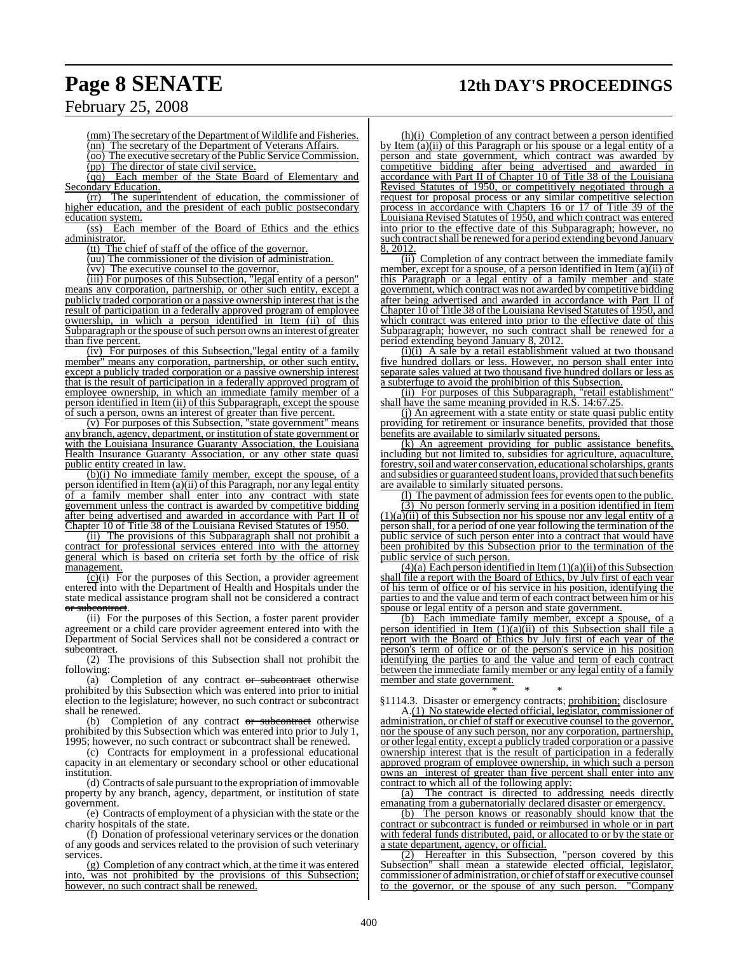# **Page 8 SENATE 12th DAY'S PROCEEDINGS**

## February 25, 2008

(mm) The secretary of the Department of Wildlife and Fisheries. (nn) The secretary of the Department of Veterans Affairs. (oo) The executive secretary of the Public Service Commission.

(pp) The director of state civil service.

(qq) Each member of the State Board of Elementary and Secondary Education.

(rr) The superintendent of education, the commissioner of higher education, and the president of each public postsecondary education system.

(ss) Each member of the Board of Ethics and the ethics administrator.

(tt) The chief of staff of the office of the governor.

(uu) The commissioner of the division of administration.

 $\overline{(vv)}$  The executive counsel to the governor.

(iii) For purposes of this Subsection, "legal entity of a person" means any corporation, partnership, or other such entity, except a publicly traded corporation or a passive ownership interest that is the result of participation in a federally approved program of employee ownership, in which a person identified in Item (ii) of this Subparagraph or the spouse of such person owns an interest of greater than five percent.

 $(iv)$  For purposes of this Subsection, legal entity of a family member" means any corporation, partnership, or other such entity, except a publicly traded corporation or a passive ownership interest that is the result of participation in a federally approved program of employee ownership, in which an immediate family member of a person identified in Item (ii) of this Subparagraph, except the spouse of such a person, owns an interest of greater than five percent.

(v) For purposes of this Subsection, "state government" means any branch, agency, department, or institution of state government or with the Louisiana Insurance Guaranty Association, the Louisiana Health Insurance Guaranty Association, or any other state quasi public entity created in law.

(b)(i) No immediate family member, except the spouse, of a person identified in Item (a)(ii) of this Paragraph, nor any legal entity of a family member shall enter into any contract with state government unless the contract is awarded by competitive bidding after being advertised and awarded in accordance with Part II of Chapter 10 of Title 38 of the Louisiana Revised Statutes of 1950.

(ii) The provisions of this Subparagraph shall not prohibit a contract for professional services entered into with the attorney general which is based on criteria set forth by the office of risk management.

 $(c)(i)$  For the purposes of this Section, a provider agreement entered into with the Department of Health and Hospitals under the state medical assistance program shall not be considered a contract or subcontract.

(ii) For the purposes of this Section, a foster parent provider agreement or a child care provider agreement entered into with the Department of Social Services shall not be considered a contract or subcontract.

(2) The provisions of this Subsection shall not prohibit the following:

(a) Completion of any contract  $\sigma r$  subcontract otherwise prohibited by this Subsection which was entered into prior to initial election to the legislature; however, no such contract or subcontract shall be renewed.

(b) Completion of any contract or subcontract otherwise prohibited by this Subsection which was entered into prior to July 1, 1995; however, no such contract or subcontract shall be renewed.

(c) Contracts for employment in a professional educational capacity in an elementary or secondary school or other educational institution.

(d) Contracts of sale pursuant to the expropriation of immovable property by any branch, agency, department, or institution of state government.

(e) Contracts of employment of a physician with the state or the charity hospitals of the state.

(f) Donation of professional veterinary services or the donation of any goods and services related to the provision of such veterinary services.

(g) Completion of any contract which, at the time it was entered into, was not prohibited by the provisions of this Subsection; however, no such contract shall be renewed.

(h)(i) Completion of any contract between a person identified by Item (a)(ii) of this Paragraph or his spouse or a legal entity of a person and state government, which contract was awarded by competitive bidding after being advertised and awarded in accordance with Part II of Chapter 10 of Title 38 of the Louisiana Revised Statutes of 1950, or competitively negotiated through a request for proposal process or any similar competitive selection process in accordance with Chapters 16 or 17 of Title 39 of the Louisiana Revised Statutes of 1950, and which contract was entered into prior to the effective date of this Subparagraph; however, no such contract shall be renewed for a period extending beyond January 8, 2012.

(ii) Completion of any contract between the immediate family member, except for a spouse, of a person identified in Item (a)(ii) of this Paragraph or a legal entity of a family member and state government, which contract was not awarded by competitive bidding after being advertised and awarded in accordance with Part II of Chapter 10 of Title 38 of the Louisiana Revised Statutes of 1950, and which contract was entered into prior to the effective date of this Subparagraph; however, no such contract shall be renewed for a period extending beyond January 8, 2012.

(i)(i) A sale by a retail establishment valued at two thousand five hundred dollars or less. However, no person shall enter into separate sales valued at two thousand five hundred dollars or less as a subterfuge to avoid the prohibition of this Subsection.<br>(ii) For purposes of this Subparagraph, "retail establishment"

(ii) For purposes of this Subparagraph, "retail establishment" shall have the same meaning provided in R.S. 14:67.25.

(j) An agreement with a state entity or state quasi public entity providing for retirement or insurance benefits, provided that those benefits are available to similarly situated persons.

(k) An agreement providing for public assistance benefits, including but not limited to, subsidies for agriculture, aquaculture, forestry,soil and water conservation, educational scholarships, grants and subsidies or guaranteed student loans, provided that such benefits are available to similarly situated persons.

(l) The payment of admission fees for events open to the public.

(3) No person formerly serving in a position identified in Item  $(1)(a)\overline{(ii)}$  of this Subsection nor his spouse nor any legal entity of a person shall, for a period of one year following the termination of the public service of such person enter into a contract that would have been prohibited by this Subsection prior to the termination of the public service of such person.

 $(4)$ (a) Each person identified in Item  $(1)$ (a)(ii) of this Subsection shall file a report with the Board of Ethics, by July first of each year of his term of office or of his service in his position, identifying the parties to and the value and term of each contract between him or his spouse or legal entity of a person and state government.

(b) Each immediate family member, except a spouse, of a person identified in Item  $(1)(a)(ii)$  of this Subsection shall file a report with the Board of Ethics by July first of each year of the person's term of office or of the person's service in his position identifying the parties to and the value and term of each contract between the immediate family member or any legal entity of a family member and state government.

\* \* \* §1114.3. Disaster or emergency contracts; prohibition; disclosure

A.(1) No statewide elected official, legislator, commissioner of administration, or chief of staff or executive counsel to the governor, nor the spouse of any such person, nor any corporation, partnership, or other legal entity, except a publicly traded corporation or a passive ownership interest that is the result of participation in a federally approved program of employee ownership, in which such a person owns an interest of greater than five percent shall enter into any contract to which all of the following apply:

(a) The contract is directed to addressing needs directly emanating from a gubernatorially declared disaster or emergency.

(b) The person knows or reasonably should know that the contract or subcontract is funded or reimbursed in whole or in part with federal funds distributed, paid, or allocated to or by the state or a state department, agency, or official.

(2) Hereafter in this Subsection, "person covered by this Subsection" shall mean a statewide elected official, legislator, commissioner of administration, or chief of staff or executive counsel<br>to the governor, or the spouse of any such person. "Company to the governor, or the spouse of any such person.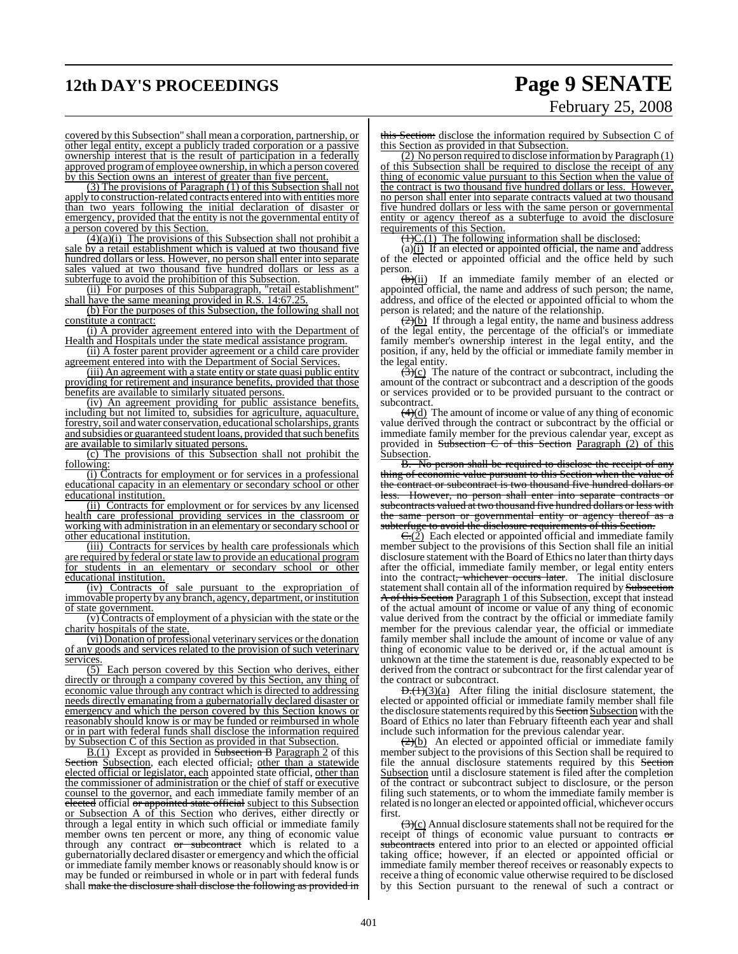## **12th DAY'S PROCEEDINGS Page 9 SENATE**

# February 25, 2008

covered by this Subsection" shall mean a corporation, partnership, or other legal entity, except a publicly traded corporation or a passive ownership interest that is the result of participation in a federally approved programof employee ownership, in which a person covered by this Section owns an interest of greater than five percent.

(3) The provisions of Paragraph (1) of this Subsection shall not apply to construction-related contracts entered into with entities more than two years following the initial declaration of disaster or emergency, provided that the entity is not the governmental entity of a person covered by this Section.

 $(4)(a)(i)$  The provisions of this Subsection shall not prohibit a sale by a retail establishment which is valued at two thousand five hundred dollars or less. However, no person shall enter into separate sales valued at two thousand five hundred dollars or less as a subterfuge to avoid the prohibition of this Subsection.

(ii) For purposes of this Subparagraph, "retail establishment" shall have the same meaning provided in R.S. 14:67.25.

(b) For the purposes of this Subsection, the following shall not constitute a contract:

(i) A provider agreement entered into with the Department of Health and Hospitals under the state medical assistance program.

(ii) A foster parent provider agreement or a child care provider agreement entered into with the Department of Social Services.

(iii) An agreement with a state entity or state quasi public entity providing for retirement and insurance benefits, provided that those benefits are available to similarly situated persons.

(iv) An agreement providing for public assistance benefits, including but not limited to, subsidies for agriculture, aquaculture, forestry, soil and water conservation, educational scholarships, grants and subsidies or guaranteed student loans, provided that such benefits are available to similarly situated persons.

(c) The provisions of this Subsection shall not prohibit the following:

(i) Contracts for employment or for services in a professional educational capacity in an elementary or secondary school or other educational institution.

(ii) Contracts for employment or for services by any licensed health care professional providing services in the classroom or working with administration in an elementary or secondary school or other educational institution.

(iii) Contracts for services by health care professionals which are required by federal or state law to provide an educational program for students in an elementary or secondary school or other educational institution.

(iv) Contracts of sale pursuant to the expropriation of immovable property by any branch, agency, department, or institution of state government.

(v) Contracts of employment of a physician with the state or the charity hospitals of the state.

(vi) Donation of professional veterinary services orthe donation of any goods and services related to the provision of such veterinary services.

(5) Each person covered by this Section who derives, either directly or through a company covered by this Section, any thing of economic value through any contract which is directed to addressing needs directly emanating from a gubernatorially declared disaster or emergency and which the person covered by this Section knows or reasonably should know is or may be funded or reimbursed in whole or in part with federal funds shall disclose the information required by Subsection C of this Section as provided in that Subsection.

**B.(1)** Except as provided in **Subsection B** Paragraph 2 of this Section Subsection, each elected official, other than a statewide elected official or legislator, each appointed state official, other than the commissioner of administration or the chief of staff or executive counsel to the governor, and each immediate family member of an elected official or appointed state official subject to this Subsection or Subsection A of this Section who derives, either directly or through a legal entity in which such official or immediate family member owns ten percent or more, any thing of economic value through any contract or subcontract which is related to a gubernatorially declared disaster or emergency and which the official or immediate family member knows or reasonably should know is or may be funded or reimbursed in whole or in part with federal funds shall make the disclosure shall disclose the following as provided in

this Section: disclose the information required by Subsection C of this Section as provided in that Subsection.

(2) No person required to disclose information by Paragraph (1) of this Subsection shall be required to disclose the receipt of any thing of economic value pursuant to this Section when the value of the contract is two thousand five hundred dollars or less. However, no person shall enter into separate contracts valued at two thousand five hundred dollars or less with the same person or governmental entity or agency thereof as a subterfuge to avoid the disclosure requirements of this Section.

 $(1)C(1)$  The following information shall be disclosed:

(a) $(i)$  If an elected or appointed official, the name and address of the elected or appointed official and the office held by such person.<br> $\frac{\text{(b)}}{\text{(i)}}$ 

If an immediate family member of an elected or appointed official, the name and address of such person; the name, address, and office of the elected or appointed official to whom the person is related; and the nature of the relationship.

 $\left(\frac{2}{b}\right)$  If through a legal entity, the name and business address of the legal entity, the percentage of the official's or immediate family member's ownership interest in the legal entity, and the position, if any, held by the official or immediate family member in the legal entity.

 $\overrightarrow{3}$ (c) The nature of the contract or subcontract, including the amount  $\overrightarrow{of}$  the contract or subcontract and a description of the goods or services provided or to be provided pursuant to the contract or subcontract.

 $(4)(d)$  The amount of income or value of any thing of economic value derived through the contract or subcontract by the official or immediate family member for the previous calendar year, except as provided in Subsection C of this Section Paragraph (2) of this Subsection.<br>B. No.

No person shall be required to disclose the receipt of any thing of economic value pursuant to this Section when the value of the contract or subcontract is two thousand five hundred dollars or less. However, no person shall enter into separate contracts or subcontracts valued at two thousand five hundred dollars or less with the same person or governmental entity or agency thereof as a subterfuge to avoid the disclosure requirements of this Section.

 $\epsilon$  (2) Each elected or appointed official and immediate family member subject to the provisions of this Section shall file an initial disclosure statement with the Board of Ethics no later than thirty days after the official, immediate family member, or legal entity enters into the contract<del>, whichever occurs later</del>. The initial disclosure statement shall contain all of the information required by Subsection A of this Section Paragraph 1 of this Subsection, except that instead of the actual amount of income or value of any thing of economic value derived from the contract by the official or immediate family member for the previous calendar year, the official or immediate family member shall include the amount of income or value of any thing of economic value to be derived or, if the actual amount is unknown at the time the statement is due, reasonably expected to be derived from the contract or subcontract for the first calendar year of the contract or subcontract.

 $D.(1)(3)(a)$  After filing the initial disclosure statement, the elected or appointed official or immediate family member shall file the disclosure statements required by this **Section Subsection** with the Board of Ethics no later than February fifteenth each year and shall include such information for the previous calendar year.

 $\frac{2}{2(b)}$  An elected or appointed official or immediate family member subject to the provisions of this Section shall be required to file the annual disclosure statements required by this Section Subsection until a disclosure statement is filed after the completion of the contract or subcontract subject to disclosure, or the person filing such statements, or to whom the immediate family member is related is no longer an elected or appointed official, whichever occurs first.

 $\left(\frac{1}{2}\right)(c)$  Annual disclosure statements shall not be required for the receipt  $\overrightarrow{of}$  things of economic value pursuant to contracts  $\overrightarrow{or}$ subcontracts entered into prior to an elected or appointed official taking office; however, if an elected or appointed official or immediate family member thereof receives or reasonably expects to receive a thing of economic value otherwise required to be disclosed by this Section pursuant to the renewal of such a contract or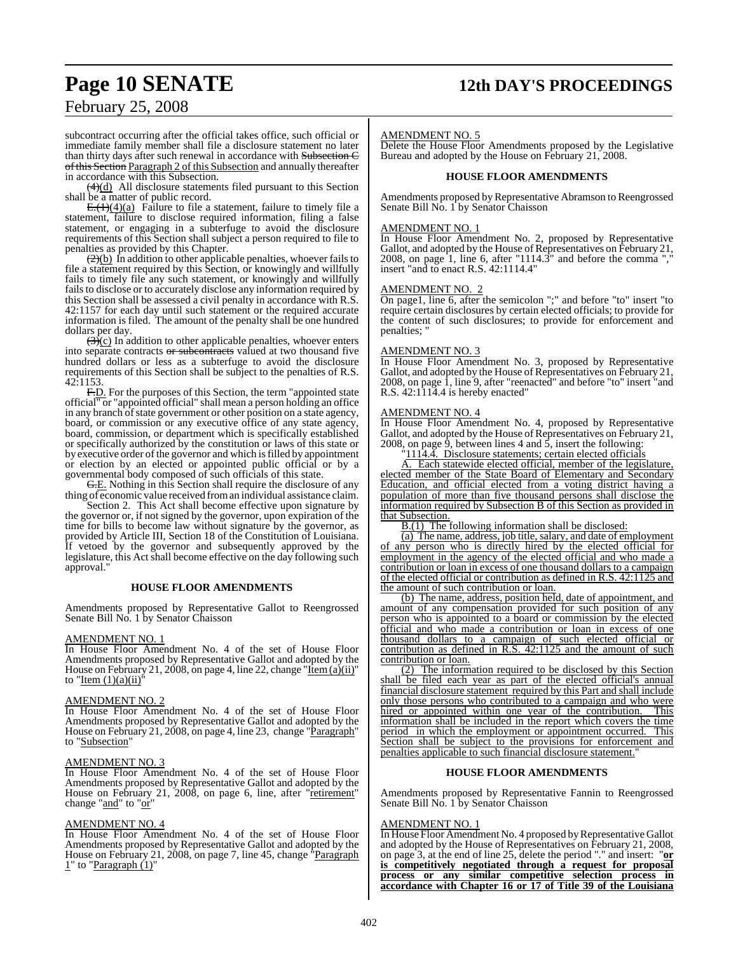## **Page 10 SENATE 12th DAY'S PROCEEDINGS**

## February 25, 2008

subcontract occurring after the official takes office, such official or immediate family member shall file a disclosure statement no later than thirty days after such renewal in accordance with Subsection C of this Section Paragraph 2 of this Subsection and annually thereafter in accordance with this Subsection.

 $(4)(d)$  All disclosure statements filed pursuant to this Section shall be a matter of public record.

 $E(1)(4)(a)$  Failure to file a statement, failure to timely file a statement, failure to disclose required information, filing a false statement, or engaging in a subterfuge to avoid the disclosure requirements of this Section shall subject a person required to file to penalties as provided by this Chapter.

(2)(b) In addition to other applicable penalties, whoever fails to file a statement required by this Section, or knowingly and willfully fails to timely file any such statement, or knowingly and willfully fails to disclose or to accurately disclose any information required by this Section shall be assessed a civil penalty in accordance with R.S. 42:1157 for each day until such statement or the required accurate information is filed. The amount of the penalty shall be one hundred dollars per day.

 $\left(\frac{3}{2}\right)$  In addition to other applicable penalties, whoever enters into separate contracts or subcontracts valued at two thousand five hundred dollars or less as a subterfuge to avoid the disclosure requirements of this Section shall be subject to the penalties of R.S. 42:1153.

F.D. For the purposes of this Section, the term "appointed state official" or "appointed official" shall mean a person holding an office in any branch of state government or other position on a state agency, board, or commission or any executive office of any state agency, board, commission, or department which is specifically established or specifically authorized by the constitution or laws of this state or by executive order of the governor and which is filled by appointment or election by an elected or appointed public official or by a governmental body composed of such officials of this state.

G.E. Nothing in this Section shall require the disclosure of any thing of economic value received froman individual assistance claim.

Section 2. This Act shall become effective upon signature by the governor or, if not signed by the governor, upon expiration of the time for bills to become law without signature by the governor, as provided by Article III, Section 18 of the Constitution of Louisiana. If vetoed by the governor and subsequently approved by the legislature, this Act shall become effective on the day following such approval."

#### **HOUSE FLOOR AMENDMENTS**

Amendments proposed by Representative Gallot to Reengrossed Senate Bill No. 1 by Senator Chaisson

#### AMENDMENT NO. 1

In House Floor Amendment No. 4 of the set of House Floor Amendments proposed by Representative Gallot and adopted by the House on February 21, 2008, on page 4, line 22, change " $\underline{Item(a)(ii)}$ " to "Item  $(1)(a)(ii)$ "

#### AMENDMENT NO. 2

In House Floor Amendment No. 4 of the set of House Floor Amendments proposed by Representative Gallot and adopted by the House on February 21, 2008, on page 4, line 23, change "Paragraph" to "Subsection"

#### AMENDMENT NO. 3

In House Floor Amendment No. 4 of the set of House Floor Amendments proposed by Representative Gallot and adopted by the House on February 21, 2008, on page 6, line, after "retirement" change "and" to "or"

#### AMENDMENT NO. 4

In House Floor Amendment No. 4 of the set of House Floor Amendments proposed by Representative Gallot and adopted by the House on February 21, 2008, on page 7, line 45, change "Paragraph"  $1$ " to "Paragraph  $(1)$ "

#### AMENDMENT NO. 5

Delete the House Floor Amendments proposed by the Legislative Bureau and adopted by the House on February 21, 2008.

#### **HOUSE FLOOR AMENDMENTS**

Amendments proposed by Representative Abramson to Reengrossed Senate Bill No. 1 by Senator Chaisson

#### AMENDMENT NO. 1

In House Floor Amendment No. 2, proposed by Representative Gallot, and adopted by the House of Representatives on February 21, 2008, on page 1, line 6, after "1114.3" and before the comma "," insert "and to enact R.S. 42:1114.4"

#### AMENDMENT NO. 2

On page1, line 6, after the semicolon ";" and before "to" insert "to require certain disclosures by certain elected officials; to provide for the content of such disclosures; to provide for enforcement and penalties:

### AMENDMENT NO. 3

In House Floor Amendment No. 3, proposed by Representative Gallot, and adopted by the House of Representatives on February 21, 2008, on page 1, line 9, after "reenacted" and before "to" insert "and R.S. 42:1114.4 is hereby enacted"

#### AMENDMENT NO. 4

In House Floor Amendment No. 4, proposed by Representative Gallot, and adopted by the House of Representatives on February 21, 2008, on page 9, between lines 4 and 5, insert the following:

"1114.4. Disclosure statements; certain elected officials

A. Each statewide elected official, member of the legislature, elected member of the State Board of Elementary and Secondary Education, and official elected from a voting district having a population of more than five thousand persons shall disclose the information required by Subsection B of this Section as provided in that Subsection.

B.(1) The following information shall be disclosed:

(a) The name, address, job title, salary, and date of employment of any person who is directly hired by the elected official for employment in the agency of the elected official and who made a contribution or loan in excess of one thousand dollars to a campaign of the elected official or contribution as defined in R.S. 42:1125 and the amount of such contribution or loan.

(b) The name, address, position held, date of appointment, and amount of any compensation provided for such position of any person who is appointed to a board or commission by the elected official and who made a contribution or loan in excess of one thousand dollars to a campaign of such elected official or contribution as defined in R.S. 42:1125 and the amount of such contribution or loan.

(2) The information required to be disclosed by this Section shall be filed each year as part of the elected official's annual financial disclosure statement required by this Part and shall include only those persons who contributed to a campaign and who were hired or appointed within one year of the contribution. This information shall be included in the report which covers the time period in which the employment or appointment occurred. This Section shall be subject to the provisions for enforcement and penalties applicable to such financial disclosure statement."

#### **HOUSE FLOOR AMENDMENTS**

Amendments proposed by Representative Fannin to Reengrossed Senate Bill No. 1 by Senator Chaisson

#### AMENDMENT NO. 1

In House Floor Amendment No. 4 proposed by Representative Gallot and adopted by the House of Representatives on February 21, 2008, on page 3, at the end of line 25, delete the period "." and insert: "**or is competitively negotiated through a request for proposal process or any similar competitive selection process in accordance with Chapter 16 or 17 of Title 39 of the Louisiana**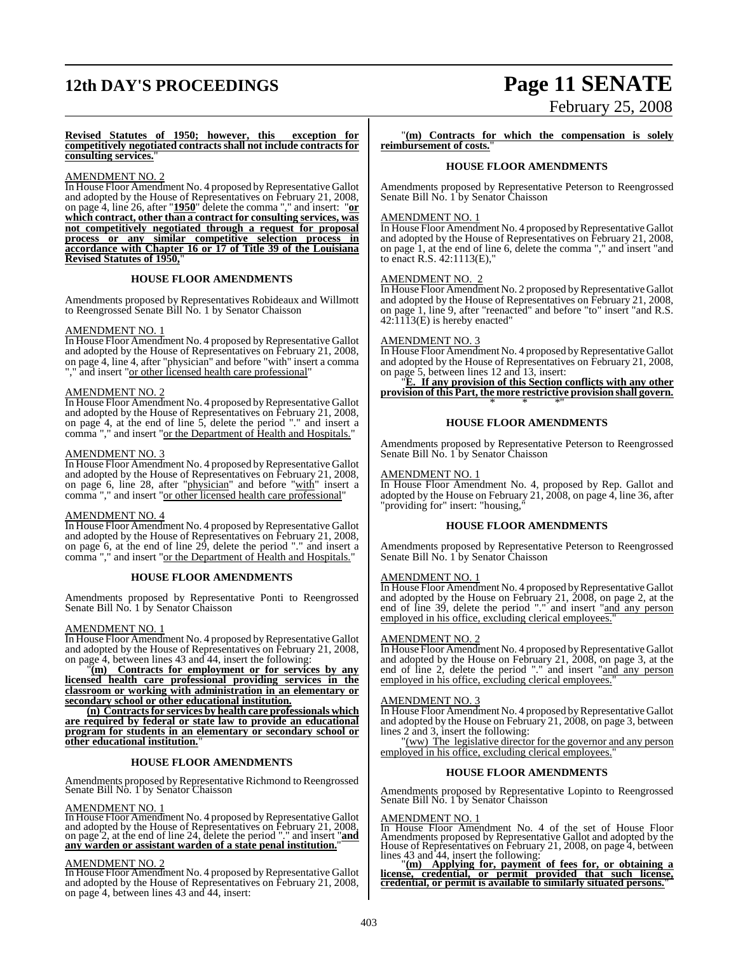# **12th DAY'S PROCEEDINGS Page 11 SENATE**

# February 25, 2008

**Revised Statutes of 1950; however, this exception for competitively negotiated contracts shall not include contracts for consulting services.**"

#### AMENDMENT NO. 2

In House Floor Amendment No. 4 proposed by Representative Gallot and adopted by the House of Representatives on February 21, 2008, on page 4, line 26, after "**1950**" delete the comma "," and insert: "**or which contract, other than a contract for consulting services, was not competitively negotiated through a request for proposal process or any similar competitive selection process in accordance with Chapter 16 or 17 of Title 39 of the Louisiana Revised Statutes of 1950,**"

#### **HOUSE FLOOR AMENDMENTS**

Amendments proposed by Representatives Robideaux and Willmott to Reengrossed Senate Bill No. 1 by Senator Chaisson

#### AMENDMENT NO. 1

In House Floor Amendment No. 4 proposed by Representative Gallot and adopted by the House of Representatives on February 21, 2008, on page 4, line 4, after "physician" and before "with" insert a comma "," and insert "or other licensed health care professional"

#### AMENDMENT NO. 2

In House Floor Amendment No. 4 proposed by Representative Gallot and adopted by the House of Representatives on February 21, 2008, on page 4, at the end of line 5, delete the period "." and insert a comma "," and insert "<u>or the Department of Health and Hospitals.</u>"

#### AMENDMENT NO. 3

In House Floor Amendment No. 4 proposed by Representative Gallot and adopted by the House of Representatives on February 21, 2008, on page 6, line 28, after "physician" and before "with" insert a comma "," and insert "or other licensed health care professional"

#### AMENDMENT NO. 4

In House Floor Amendment No. 4 proposed by Representative Gallot and adopted by the House of Representatives on February 21, 2008, on page 6, at the end of line 29, delete the period "." and insert a comma "," and insert "or the Department of Health and Hospitals."

#### **HOUSE FLOOR AMENDMENTS**

Amendments proposed by Representative Ponti to Reengrossed Senate Bill No. 1 by Senator Chaisson

#### AMENDMENT NO. 1

In House Floor Amendment No. 4 proposed by Representative Gallot and adopted by the House of Representatives on February 21, 2008, on page 4, between lines 43 and 44, insert the following:

"**(m) Contracts for employment or for services by any licensed health care professional providing services in the classroom or working with administration in an elementary or secondary school or other educational institution.**

**(n) Contracts for services by health care professionals which are required by federal or state law to provide an educational program for students in an elementary or secondary school or other educational institution.**"

#### **HOUSE FLOOR AMENDMENTS**

Amendments proposed by Representative Richmond to Reengrossed Senate Bill No. 1 by Senator Chaisson

AMENDMENT NO. 1<br>In House Floor Amendment No. 4 proposed by Representative Gallot<br>and adopted by the House of Representatives on February 21, 2008,<br>on page 2, at the end of line 24, delete the period "." and insert "**and any warden or assistant warden of a state penal institution.**"

AMENDMENT NO. 2<br>In House Floor Amendment No. 4 proposed by Representative Gallot and adopted by the House of Representatives on February 21, 2008, on page 4, between lines 43 and 44, insert:

"**(m) Contracts for which the compensation is solely reimbursement of costs.**"

#### **HOUSE FLOOR AMENDMENTS**

Amendments proposed by Representative Peterson to Reengrossed Senate Bill No. 1 by Senator Chaisson

### AMENDMENT NO. 1

In House Floor Amendment No. 4 proposed by Representative Gallot and adopted by the House of Representatives on February 21, 2008, on page 1, at the end of line 6, delete the comma "," and insert "and to enact R.S. 42:1113(E),"

#### AMENDMENT NO. 2

In House Floor Amendment No. 2 proposed by Representative Gallot and adopted by the House of Representatives on February 21, 2008, on page 1, line 9, after "reenacted" and before "to" insert "and R.S.  $42:11\overline{1}3(\overline{E})$  is hereby enacted"

### AMENDMENT NO. 3

In House Floor Amendment No. 4 proposed by Representative Gallot and adopted by the House of Representatives on February 21, 2008, on page 5, between lines 12 and 13, insert:

"**E. If any provision of this Section conflicts with any other provision of this Part, the more restrictive provision shall govern.** \* \* \*"

#### **HOUSE FLOOR AMENDMENTS**

Amendments proposed by Representative Peterson to Reengrossed Senate Bill No. 1 by Senator Chaisson

#### AMENDMENT NO. 1

In House Floor Amendment No. 4, proposed by Rep. Gallot and adopted by the House on February 21, 2008, on page 4, line 36, after "providing for" insert: "housing,"

#### **HOUSE FLOOR AMENDMENTS**

Amendments proposed by Representative Peterson to Reengrossed Senate Bill No. 1 by Senator Chaisson

#### AMENDMENT NO. 1

In House Floor Amendment No. 4 proposed by Representative Gallot and adopted by the House on February 21, 2008, on page 2, at the end of line 39, delete the period "." and insert "and any person employed in his office, excluding clerical employees.

#### AMENDMENT NO. 2

In House Floor Amendment No. 4 proposed by Representative Gallot and adopted by the House on February 21, 2008, on page 3, at the end of line 2, delete the period "." and insert "and any person employed in his office, excluding clerical employees."

#### AMENDMENT NO. 3

In House Floor Amendment No. 4 proposed by Representative Gallot and adopted by the House on February 21, 2008, on page 3, between lines 2 and 3, insert the following:

<u>"(ww)</u> The legislative director for the governor and any person employed in his office, excluding clerical employees."

#### **HOUSE FLOOR AMENDMENTS**

Amendments proposed by Representative Lopinto to Reengrossed Senate Bill No. 1 by Senator Chaisson

AMENDMENT NO. 1 In House Floor Amendment No. 4 of the set of House Floor Amendments proposed by Representative Gallot and adopted by the<br>House of Representatives on February 21, 2008, on page 4, between<br>lines 43 and 44, insert the following:<br><u>"(m) Applying for, payment of fees for, or obtaining</u>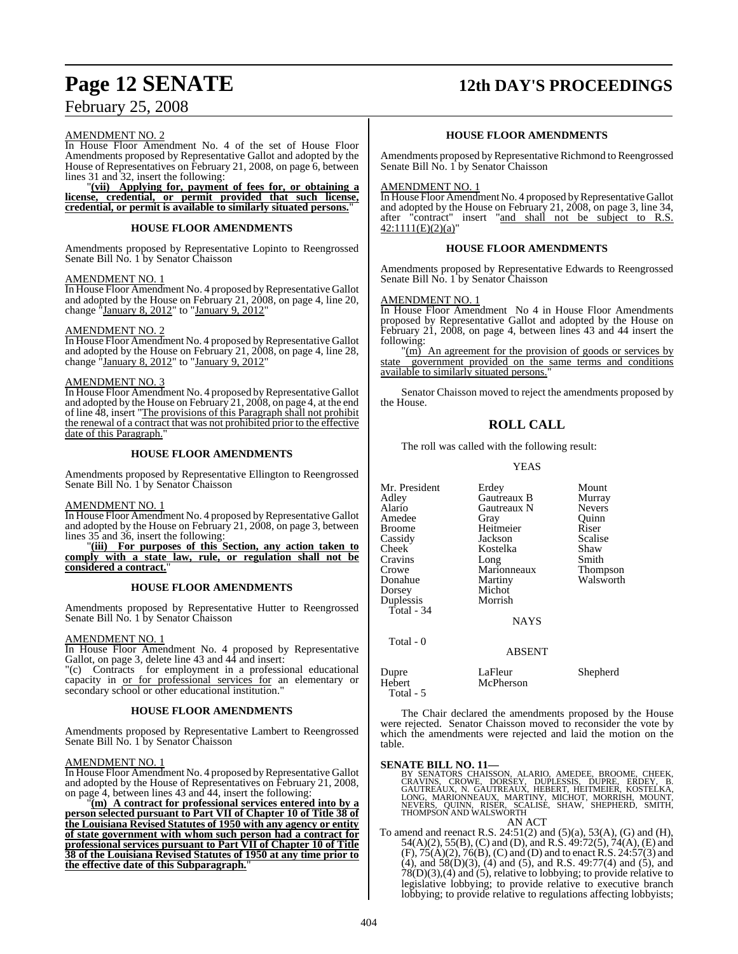# **Page 12 SENATE 12th DAY'S PROCEEDINGS**

## February 25, 2008

#### AMENDMENT NO. 2

In House Floor Amendment No. 4 of the set of House Floor Amendments proposed by Representative Gallot and adopted by the House of Representatives on February 21, 2008, on page 6, between lines 31 and 32, insert the following:

"**(vii) Applying for, payment of fees for, or obtaining a license, credential, or permit provided that such license, credential, or permit is available to similarly situated persons.**"

#### **HOUSE FLOOR AMENDMENTS**

Amendments proposed by Representative Lopinto to Reengrossed Senate Bill No. 1 by Senator Chaisson

#### AMENDMENT NO. 1

In House Floor Amendment No. 4 proposed by Representative Gallot and adopted by the House on February 21, 2008, on page 4, line 20, change "January 8, 2012" to "January 9, 2012"

#### AMENDMENT NO. 2

In House Floor Amendment No. 4 proposed by Representative Gallot and adopted by the House on February 21, 2008, on page 4, line 28, change "January 8, 2012" to "January 9, 2012"

#### AMENDMENT NO. 3

In House Floor Amendment No. 4 proposed by Representative Gallot and adopted by the House on February 21, 2008, on page 4, at the end of line 48, insert "The provisions of this Paragraph shall not prohibit the renewal of a contract that was not prohibited prior to the effective date of this Paragraph.

#### **HOUSE FLOOR AMENDMENTS**

Amendments proposed by Representative Ellington to Reengrossed Senate Bill No. 1 by Senator Chaisson

#### AMENDMENT NO. 1

In House Floor Amendment No. 4 proposed by Representative Gallot and adopted by the House on February 21, 2008, on page 3, between lines 35 and 36, insert the following:

"**(iii) For purposes of this Section, any action taken to comply with a state law, rule, or regulation shall not be considered a contract.**"

#### **HOUSE FLOOR AMENDMENTS**

Amendments proposed by Representative Hutter to Reengrossed Senate Bill No. 1 by Senator Chaisson

#### AMENDMENT NO. 1

In House Floor Amendment No. 4 proposed by Representative Gallot, on page 3, delete line 43 and 44 and insert:

"(c) Contracts for employment in a professional educational capacity in or for professional services for an elementary or secondary school or other educational institution."

#### **HOUSE FLOOR AMENDMENTS**

Amendments proposed by Representative Lambert to Reengrossed Senate Bill No. 1 by Senator Chaisson

#### AMENDMENT NO. 1

In House Floor Amendment No. 4 proposed by Representative Gallot and adopted by the House of Representatives on February 21, 2008, on page 4, between lines 43 and 44, insert the following:

"**(m) A contract for professional services entered into by a person selected pursuant to Part VII of Chapter 10 of Title 38 of the Louisiana Revised Statutes of 1950 with any agency or entity of state government with whom such person had a contract for professional services pursuant to Part VII of Chapter 10 of Title 38 of the Louisiana Revised Statutes of 1950 at any time prior to the effective date of this Subparagraph.**"

#### **HOUSE FLOOR AMENDMENTS**

Amendments proposed byRepresentative Richmond to Reengrossed Senate Bill No. 1 by Senator Chaisson

#### AMENDMENT NO. 1

In House Floor Amendment No. 4 proposed by Representative Gallot and adopted by the House on February 21, 2008, on page 3, line 34, after "contract" insert "and shall not be subject to R.S.  $42:1111(E)(2)(a)$ "

#### **HOUSE FLOOR AMENDMENTS**

Amendments proposed by Representative Edwards to Reengrossed Senate Bill No. 1 by Senator Chaisson

#### AMENDMENT NO. 1

In House Floor Amendment No 4 in House Floor Amendments proposed by Representative Gallot and adopted by the House on February 21, 2008, on page 4, between lines 43 and 44 insert the following:

 $\text{\textdegree}(m)$  An agreement for the provision of goods or services by state government provided on the same terms and conditions available to similarly situated persons.

Senator Chaisson moved to reject the amendments proposed by the House.

### **ROLL CALL**

The roll was called with the following result:

#### YEAS

| Mr. President<br>Adley<br>Alario<br>Amedee<br>Broome | Erdey<br>Gautreaux B<br>Gautreaux N<br>Gray<br>Heitmeier | Mount<br>Murray<br><b>Nevers</b><br>Ouinn<br>Riser |
|------------------------------------------------------|----------------------------------------------------------|----------------------------------------------------|
| Cassidy<br>Cheek                                     | Jackson<br>Kostelka                                      | Scalise<br>Shaw                                    |
| Cravins                                              | Long                                                     | Smith                                              |
| Crowe                                                | Marionneaux                                              | Thompson                                           |
| Donahue                                              | Martiny                                                  | Walsworth                                          |
| Dorsey                                               | Michot                                                   |                                                    |
| Duplessis                                            | Morrish                                                  |                                                    |
| Total - $34$                                         | <b>NAYS</b>                                              |                                                    |
| Total - 0                                            | <b>ABSENT</b>                                            |                                                    |
| Dupre                                                | LaFleur                                                  | Shepherd                                           |

Hebert McPherson Total - 5 The Chair declared the amendments proposed by the House were rejected. Senator Chaisson moved to reconsider the vote by which the amendments were rejected and laid the motion on the

table.

- SENATE BILL NO. 11—<br>BY SENATORS CHAISSON, ALARIO, AMEDEE, BROOME, CHEEK,<br>CRAVINS, CROWE, DORSEY, DUPLESSIS, DUPRE, ERDEY, B.<br>GAUTREAUX, N. GAUTREAUX, HEBERT, HEITMEIER, KOSTELKA,<br>LONG, MARIONNEAUX, MARTINY, MICHOT, MORRISH AN ACT
- To amend and reenact R.S. 24:51(2) and (5)(a), 53(A), (G) and (H), 54(A)(2), 55(B), (C) and (D), and R.S. 49:72(5), 74(A), (E) and  $(F), 75(A)(2), 76(B), (C)$  and  $(D)$  and to enact R.S. 24:57(3) and (4), and 58(D)(3), (4) and (5), and R.S. 49:77(4) and (5), and  $78(D)(3),(4)$  and  $(5)$ , relative to lobbying; to provide relative to legislative lobbying; to provide relative to executive branch lobbying; to provide relative to regulations affecting lobbyists;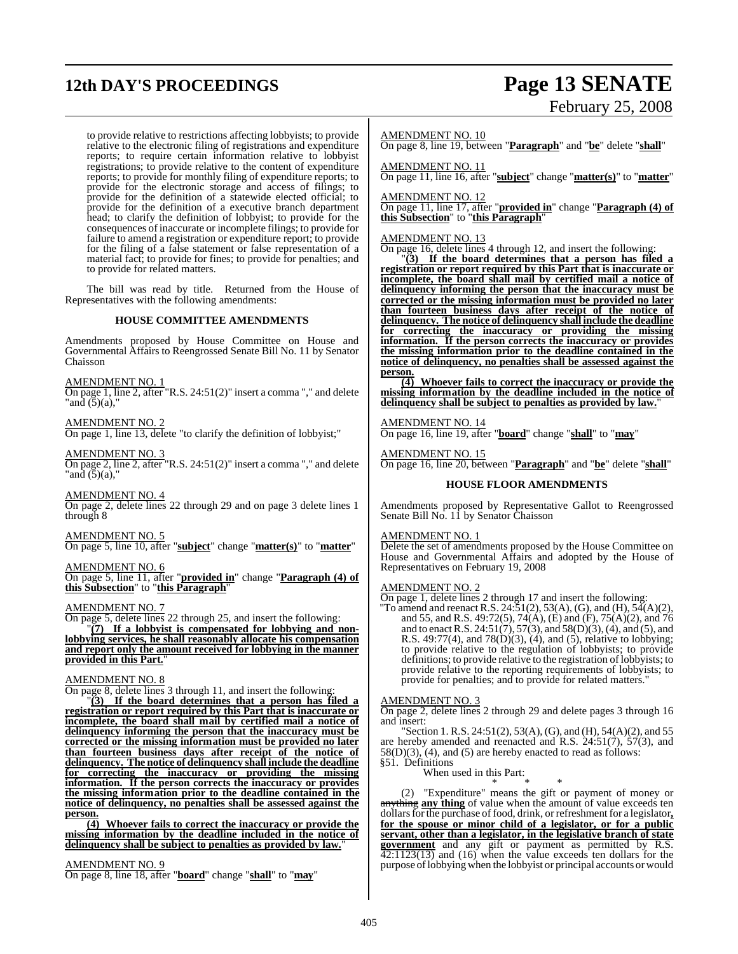# **12th DAY'S PROCEEDINGS Page 13 SENATE**

# February 25, 2008

to provide relative to restrictions affecting lobbyists; to provide relative to the electronic filing of registrations and expenditure reports; to require certain information relative to lobbyist registrations; to provide relative to the content of expenditure reports; to provide for monthly filing of expenditure reports; to provide for the electronic storage and access of filings; to provide for the definition of a statewide elected official; to provide for the definition of a executive branch department head; to clarify the definition of lobbyist; to provide for the consequences of inaccurate or incomplete filings; to provide for failure to amend a registration or expenditure report; to provide for the filing of a false statement or false representation of a material fact; to provide for fines; to provide for penalties; and to provide for related matters.

The bill was read by title. Returned from the House of Representatives with the following amendments:

#### **HOUSE COMMITTEE AMENDMENTS**

Amendments proposed by House Committee on House and Governmental Affairs to Reengrossed Senate Bill No. 11 by Senator Chaisson

AMENDMENT NO. 1

On page 1, line 2, after "R.S. 24:51(2)" insert a comma "," and delete "and  $(5)(a)$ ,"

AMENDMENT NO. 2

On page 1, line 13, delete "to clarify the definition of lobbyist;"

AMENDMENT NO. 3 On page 2, line 2, after "R.S. 24:51(2)" insert a comma "," and delete "and (5)(a),"

AMENDMENT NO. 4 On page 2, delete lines 22 through 29 and on page 3 delete lines 1 through 8

AMENDMENT NO. 5 On page 5, line 10, after "**subject**" change "**matter(s)**" to "**matter**"

#### AMENDMENT NO. 6

On page 5, line 11, after "**provided in**" change "**Paragraph (4) of this Subsection**" to "**this Paragraph**"

#### AMENDMENT NO. 7

On page 5, delete lines 22 through 25, and insert the following:

"**(7) If a lobbyist is compensated for lobbying and nonlobbying services, he shall reasonably allocate his compensation and report only the amount received for lobbying in the manner provided in this Part.**"

#### AMENDMENT NO. 8

On page 8, delete lines 3 through 11, and insert the following:

"**(3) If the board determines that a person has filed a registration or report required by this Part that is inaccurate or incomplete, the board shall mail by certified mail a notice of delinquency informing the person that the inaccuracy must be corrected or the missing information must be provided no later than fourteen business days after receipt of the notice of delinquency. The notice of delinquency shall include the deadline for correcting the inaccuracy or providing the missing information. If the person corrects the inaccuracy or provides the missing information prior to the deadline contained in the notice of delinquency, no penalties shall be assessed against the person.**

**(4) Whoever fails to correct the inaccuracy or provide the missing information by the deadline included in the notice of delinquency shall be subject to penalties as provided by law.**"

#### AMENDMENT NO. 9

On page 8, line 18, after "**board**" change "**shall**" to "**may**"

#### AMENDMENT NO. 10

On page 8, line 19, between "**Paragraph**" and "**be**" delete "**shall**"

AMENDMENT NO. 11

On page 11, line 16, after "**subject**" change "**matter(s)**" to "**matter**"

AMENDMENT NO. 12

On page 11, line 17, after "**provided in**" change "**Paragraph (4) of this Subsection**" to "**this Paragraph**"

#### AMENDMENT NO. 13

On page 16, delete lines 4 through 12, and insert the following:

"**(3) If the board determines that a person has filed a registration or report required by this Part that is inaccurate or incomplete, the board shall mail by certified mail a notice of delinquency informing the person that the inaccuracy must be corrected or the missing information must be provided no later than fourteen business days after receipt of the notice of delinquency. The notice of delinquency shall include the deadline for correcting the inaccuracy or providing the missing information. If the person corrects the inaccuracy or provides the missing information prior to the deadline contained in the notice of delinquency, no penalties shall be assessed against the person.**

**(4) Whoever fails to correct the inaccuracy or provide the missing information by the deadline included in the notice of delinquency shall be subject to penalties as provided by law.**"

AMENDMENT NO. 14 On page 16, line 19, after "**board**" change "**shall**" to "**may**"

AMENDMENT NO. 15 On page 16, line 20, between "**Paragraph**" and "**be**" delete "**shall**"

#### **HOUSE FLOOR AMENDMENTS**

Amendments proposed by Representative Gallot to Reengrossed Senate Bill No. 11 by Senator Chaisson

#### AMENDMENT NO. 1

Delete the set of amendments proposed by the House Committee on House and Governmental Affairs and adopted by the House of Representatives on February 19, 2008

#### AMENDMENT NO. 2

On page 1, delete lines 2 through 17 and insert the following:

"To amend and reenact R.S. 24:51(2), 53(A), (G), and (H), 54(A)(2), and 55, and R.S. 49:72(5), 74(A), (E) and (F), 75(A)(2), and 76 and to enact R.S. 24:51(7), 57(3), and 58(D)(3), (4), and (5), and R.S. 49:77(4), and 78(D)(3), (4), and (5), relative to lobbying; to provide relative to the regulation of lobbyists; to provide definitions; to provide relative to the registration of lobbyists; to provide relative to the reporting requirements of lobbyists; to provide for penalties; and to provide for related matters."

#### AMENDMENT NO. 3

On page 2, delete lines 2 through 29 and delete pages 3 through 16 and insert:

"Section 1. R.S. 24:51(2), 53(A), (G), and (H), 54(A)(2), and 55 are hereby amended and reenacted and R.S.  $24:51(7)$ ,  $57(3)$ , and  $58(D)(3)$ , (4), and (5) are hereby enacted to read as follows: §51. Definitions

When used in this Part:

$$
\begin{array}{l}\n \text{Let } \text{in } \text{ this rate,} \\
 * \quad * \quad * \\
 \end{array}
$$

(2) "Expenditure" means the gift or payment of money or anything **any thing** of value when the amount of value exceeds ten dollarsforthe purchase offood, drink, or refreshment for a legislator**, for the spouse or minor child of a legislator, or for a public servant, other than a legislator, in the legislative branch of state government** and any gift or payment as permitted by R.S.  $\overline{42:1123(13)}$  and (16) when the value exceeds ten dollars for the purpose oflobbying when the lobbyist or principal accounts or would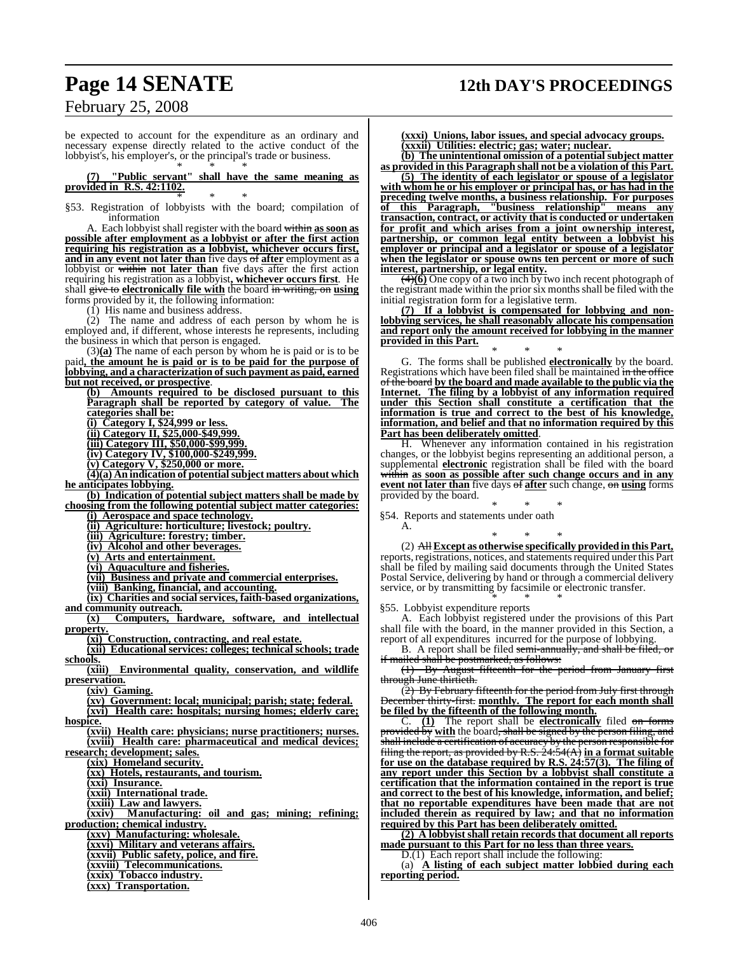## **Page 14 SENATE 12th DAY'S PROCEEDINGS**

## February 25, 2008

be expected to account for the expenditure as an ordinary and necessary expense directly related to the active conduct of the lobbyist's, his employer's, or the principal's trade or business. \* \* \*

**(7) "Public servant" shall have the same meaning as provided in R.S. 42:1102.** \* \* \*

§53. Registration of lobbyists with the board; compilation of information

A. Each lobbyist shall register with the board within **as soon as possible after employment as a lobbyist or after the first action requiring his registration as a lobbyist, whichever occurs first, and in any event not later than** five days of **after** employment as a lobbyist or within **not later than** five days after the first action requiring his registration as a lobbyist**, whichever occurs first**. He shall give to **electronically file with** the board in writing, on **using** forms provided by it, the following information:

(1) His name and business address.

 $(2)$  The name and address of each person by whom he is employed and, if different, whose interests he represents, including the business in which that person is engaged.

(3)**(a)** The name of each person by whom he is paid or is to be paid**, the amount he is paid or is to be paid for the purpose of lobbying, and a characterization of such payment as paid, earned but not received, or prospective**.

**(b) Amounts required to be disclosed pursuant to this Paragraph shall be reported by category of value. The categories shall be:**

**(i) Category I, \$24,999 or less.**

**(ii) Category II, \$25,000-\$49,999.**

**(iii) Category III, \$50,000-\$99,999.**

**(iv) Category IV, \$100,000-\$249,999.**

**(v) Category V, \$250,000 or more.**

**(4)(a) An indication of potentialsubject matters about which he anticipates lobbying.**

**(b) Indication of potential subject matters shall be made by choosing from the following potential subject matter categories:**

**(i) Aerospace and space technology.**

**(ii) Agriculture: horticulture; livestock; poultry.**

**(iii) Agriculture: forestry; timber.**

**(iv) Alcohol and other beverages.**

**(v) Arts and entertainment.**

**(vi) Aquaculture and fisheries.**

**(vii) Business and private and commercial enterprises.**

**(viii) Banking, financial, and accounting.**

**(ix) Charities and social services, faith-based organizations, and community outreach.**

**(x) Computers, hardware, software, and intellectual property.**

**(xi) Construction, contracting, and real estate.**

**(xii) Educational services: colleges; technical schools; trade**

**schools. Environmental quality, conservation, and wildlife preservation.**

**(xiv) Gaming.**

**(xv) Government: local; municipal; parish; state; federal.**

**(xvi) Health care: hospitals; nursing homes; elderly care;**

**hospice.**

**(xvii) Health care: physicians; nurse practitioners; nurses. (xviii) Health care: pharmaceutical and medical devices;**

**research; development; sales.**

**(xix) Homeland security.**

**(xx) Hotels, restaurants, and tourism.**

**(xxi) Insurance.**

**(xxii) International trade.**

**(xxiii) Law and lawyers.**

Manufacturing: oil and gas; mining; refining; **production; chemical industry.**

**(xxv) Manufacturing: wholesale.**

**(xxvi) Military and veterans affairs.**

**(xxvii) Public safety, police, and fire.**

**(xxviii) Telecommunications. (xxix) Tobacco industry.**

**(xxx) Transportation.**

**(xxxi) Unions, labor issues, and special advocacy groups. (xxxii) Utilities: electric; gas; water; nuclear. (b) The unintentional omission of a potential subject matter**

**as provided in this Paragraph shall not be a violation of this Part.**

**(5) The identity of each legislator or spouse of a legislator with whom he or his employer or principal has, or has had in the preceding twelve months, a business relationship. For purposes of this Paragraph, "business relationship" means any transaction, contract, or activity that is conducted or undertaken for profit and which arises from a joint ownership interest, partnership, or common legal entity between a lobbyist his employer or principal and a legislator or spouse of a legislator when the legislator or spouse owns ten percent or more of such interest, partnership, or legal entity.**

(4)**(6)** One copy of a two inch by two inch recent photograph of the registrant made within the prior six months shall be filed with the initial registration form for a legislative term.

**(7) If a lobbyist is compensated for lobbying and nonlobbying services, he shall reasonably allocate his compensation and report only the amount received for lobbying in the manner provided in this Part.** \* \* \*

G. The forms shall be published **electronically** by the board. Registrations which have been filed shall be maintained in the office of the board **by the board and made available to the public via the** The filing by a lobbyist of any information required **under this Section shall constitute a certification that the information is true and correct to the best of his knowledge, information, and belief and that no information required by this Part has been deliberately omitted**.

H. Whenever any information contained in his registration changes, or the lobbyist begins representing an additional person, a supplemental **electronic** registration shall be filed with the board within **as soon as possible after such change occurs and in any event not later than** five days of **after** such change, on **using** forms provided by the board.

\* \* \* §54. Reports and statements under oath

\* \* \*

(2) All **Except as otherwise specifically provided in this Part,** reports, registrations, notices, and statements required under this Part shall be filed by mailing said documents through the United States Postal Service, delivering by hand or through a commercial delivery service, or by transmitting by facsimile or electronic transfer.

\* \* \* §55. Lobbyist expenditure reports

A.

A. Each lobbyist registered under the provisions of this Part shall file with the board, in the manner provided in this Section, a report of all expenditures incurred for the purpose of lobbying.

B. A report shall be filed semi-annually, and shall be filed, or if mailed shall be postmarked, as follows:

(1) By August fifteenth for the period from January first through June thirtieth.

(2) By February fifteenth for the period from July first through December thirty-first. **monthly. The report for each month shall be filed by the fifteenth of the following month.**

C. **(1)** The report shall be **electronically** filed on forms provided by **with** the board, shall be signed by the person filing, and  $\hat{\textbf{s}}$ hall include a certification of accuracy by the person responsible for filing the report, as provided by R.S. 24:54(A) **in a format suitable for use on the database required by R.S. 24:57(3). The filing of any report under this Section by a lobbyist shall constitute a certification that the information contained in the report is true and correct to the best of his knowledge, information, and belief; that no reportable expenditures have been made that are not included therein as required by law; and that no information required by this Part has been deliberately omitted.**

**(2) A lobbyist shall retain records that document all reports made pursuant to this Part for no less than three years.**

D.(1) Each report shall include the following:

(a) **A listing of each subject matter lobbied during each reporting period.**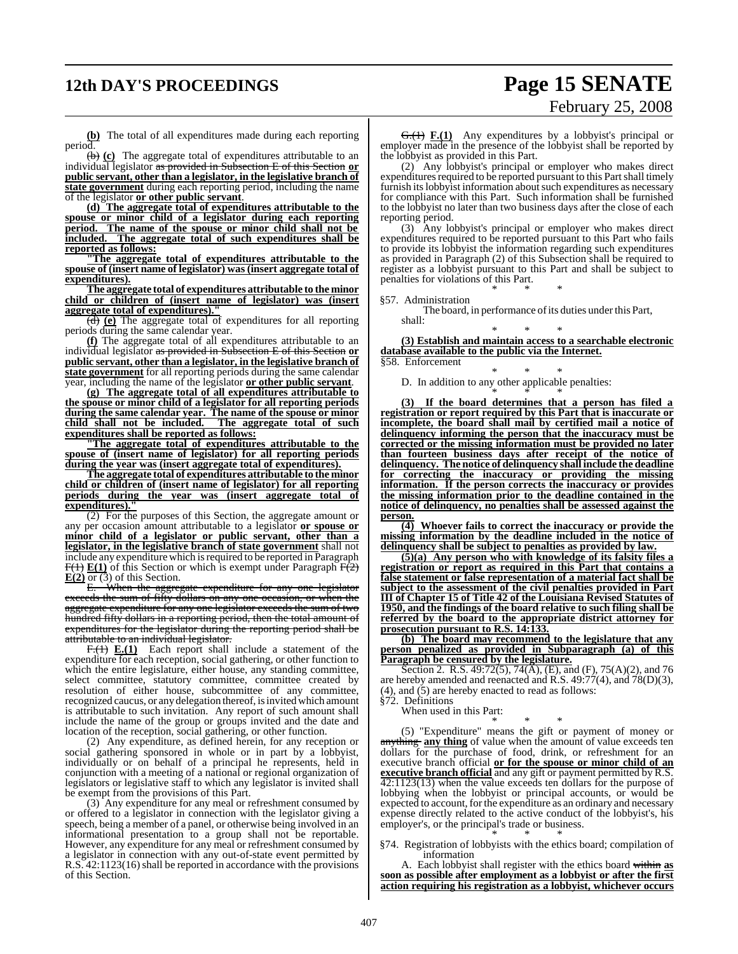# **12th DAY'S PROCEEDINGS Page 15 SENATE**

# February 25, 2008

**(b)** The total of all expenditures made during each reporting period.

(b) **(c)** The aggregate total of expenditures attributable to an individual legislator as provided in Subsection E of this Section **or public servant, other than a legislator, in the legislative branch of state government** during each reporting period, including the name of the legislator **or other public servant**.

**(d) The aggregate total of expenditures attributable to the spouse or minor child of a legislator during each reporting period. The name of the spouse or minor child shall not be included. The aggregate total of such expenditures shall be reported as follows:**

**"The aggregate total of expenditures attributable to the spouse of (insert name of legislator) was (insert aggregate total of expenditures).**

**The aggregate total of expenditures attributable to the minor child or children of (insert name of legislator) was (insert aggregate total of expenditures).** 

(d) **(e)** The aggregate total of expenditures for all reporting periods during the same calendar year.

**(f)** The aggregate total of all expenditures attributable to an individual legislator as provided in Subsection E of this Section **or public servant, other than a legislator, in the legislative branch of state government** for all reporting periods during the same calendar year, including the name of the legislator **or other public servant**.

**(g) The aggregate total of all expenditures attributable to the spouse or minor child of a legislator for all reporting periods during the same calendar year. The name of the spouse or minor child shall not be included. The aggregate total of such expenditures shall be reported as follows:**

**"The aggregate total of expenditures attributable to the spouse of (insert name of legislator) for all reporting periods during the year was (insert aggregate total of expenditures).**

**The aggregate total of expenditures attributable to the minor child or children of (insert name of legislator) for all reporting periods during the year was (insert aggregate total of**  $expenditures$ ).

(2) For the purposes of this Section, the aggregate amount or any per occasion amount attributable to a legislator **or spouse or minor child of a legislator or public servant, other than a legislator, in the legislative branch of state government** shall not include any expenditure which is required to be reported in Paragraph  $F(1) E(1)$  of this Section or which is exempt under Paragraph  $F(2)$ **E(2)** or (3) of this Section.

E. When the aggregate expenditure for any one legislator exceeds the sum of fifty dollars on any one occasion, or when the aggregate expenditure for any one legislator exceeds the sum of two hundred fifty dollars in a reporting period, then the total amount of expenditures for the legislator during the reporting period shall be attributable to an individual legislator.

F.(1) **E.(1)** Each report shall include a statement of the expenditure for each reception, social gathering, or other function to which the entire legislature, either house, any standing committee, select committee, statutory committee, committee created by resolution of either house, subcommittee of any committee, recognized caucus, or any delegation thereof, is invited which amount is attributable to such invitation. Any report of such amount shall include the name of the group or groups invited and the date and location of the reception, social gathering, or other function.

(2) Any expenditure, as defined herein, for any reception or social gathering sponsored in whole or in part by a lobbyist, individually or on behalf of a principal he represents, held in conjunction with a meeting of a national or regional organization of legislators or legislative staff to which any legislator is invited shall be exempt from the provisions of this Part.

(3) Any expenditure for any meal or refreshment consumed by or offered to a legislator in connection with the legislator giving a speech, being a member of a panel, or otherwise being involved in an informational presentation to a group shall not be reportable. However, any expenditure for any meal or refreshment consumed by a legislator in connection with any out-of-state event permitted by R.S. 42:1123(16) shall be reported in accordance with the provisions of this Section.

G.(1) **F.(1)** Any expenditures by a lobbyist's principal or employer made in the presence of the lobbyist shall be reported by the lobbyist as provided in this Part.

(2) Any lobbyist's principal or employer who makes direct expenditures required to be reported pursuant to this Part shall timely furnish its lobby ist information about such expenditures as necessary for compliance with this Part. Such information shall be furnished to the lobbyist no later than two business days after the close of each reporting period.

(3) Any lobbyist's principal or employer who makes direct expenditures required to be reported pursuant to this Part who fails to provide its lobbyist the information regarding such expenditures as provided in Paragraph (2) of this Subsection shall be required to register as a lobbyist pursuant to this Part and shall be subject to penalties for violations of this Part. \* \* \*

§57. Administration

The board, in performance of its duties under this Part,

shall: \* \* \*

**(3) Establish and maintain access to a searchable electronic database available to the public via the Internet.** §58. Enforcement

\* \* \*

D. In addition to any other applicable penalties: \* \* \*

**(3) If the board determines that a person has filed a registration or report required by this Part that is inaccurate or incomplete, the board shall mail by certified mail a notice of delinquency informing the person that the inaccuracy must be corrected or the missing information must be provided no later than fourteen business days after receipt of the notice of delinquency. The notice of delinquency shall include the deadline for correcting the inaccuracy or providing the missing information. If the person corrects the inaccuracy or provides the missing information prior to the deadline contained in the notice of delinquency, no penalties shall be assessed against the person.**

**(4) Whoever fails to correct the inaccuracy or provide the missing information by the deadline included in the notice of delinquency shall be subject to penalties as provided by law.**

**(5)(a) Any person who with knowledge of its falsity files a registration or report as required in this Part that contains a false statement or false representation of a material fact shall be subject to the assessment of the civil penalties provided in Part III of Chapter 15 of Title 42 of the Louisiana Revised Statutes of 1950, and the findings of the board relative to such filing shall be referred by the board to the appropriate district attorney for prosecution pursuant to R.S. 14:133.**

**(b) The board may recommend to the legislature that any person penalized as provided in Subparagraph (a) of this Paragraph be censured by the legislature.**

Section 2. R.S. 49:72(5), 74( $\bar{A}$ ), (E), and (F), 75(A)(2), and 76 are hereby amended and reenacted and R.S. 49:77(4), and 78(D)(3),  $(4)$ , and  $(5)$  are hereby enacted to read as follows:

§72. Definitions

When used in this Part: \* \* \*

(5) "Expenditure" means the gift or payment of money or anything **any thing** of value when the amount of value exceeds ten dollars for the purchase of food, drink, or refreshment for an executive branch official **or for the spouse or minor child of an executive branch official** and any gift or payment permitted by R.S. 42:1123(13) when the value exceeds ten dollars for the purpose of lobbying when the lobbyist or principal accounts, or would be expected to account, for the expenditure as an ordinary and necessary expense directly related to the active conduct of the lobbyist's, his employer's, or the principal's trade or business. \* \* \*

§74. Registration of lobbyists with the ethics board; compilation of information

A. Each lobbyist shall register with the ethics board within **as soon as possible after employment as a lobbyist or after the first action requiring his registration as a lobbyist, whichever occurs**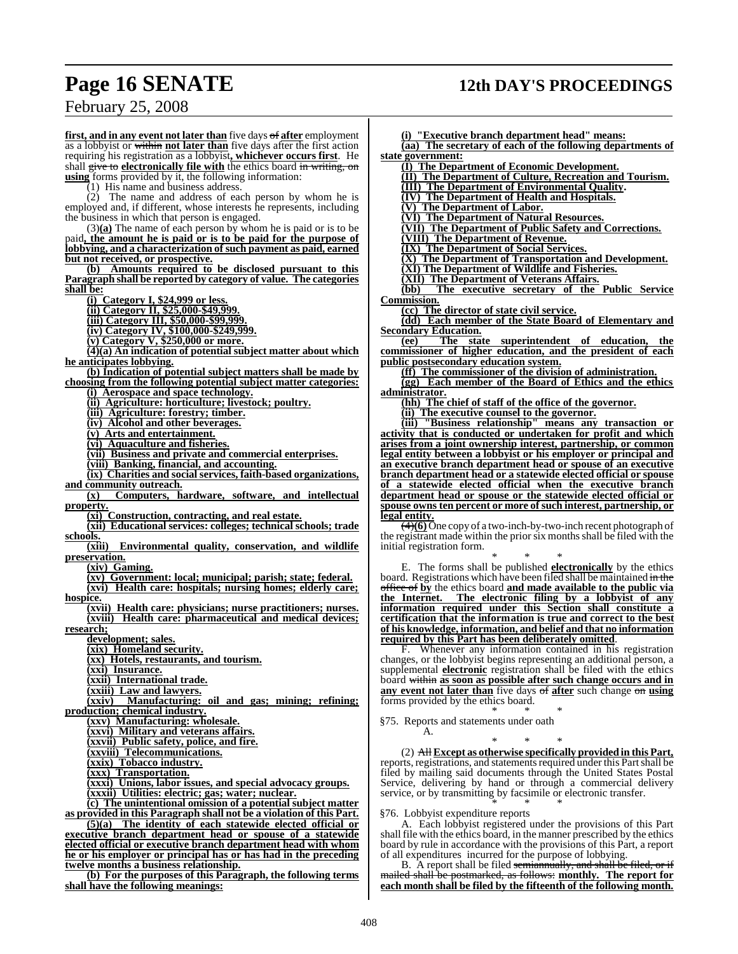## **Page 16 SENATE 12th DAY'S PROCEEDINGS**

## February 25, 2008

**first, and in any event not later than** five days of **after** employment as a lobbyist or within **not later than** five days after the first action requiring his registration as a lobbyist**, whichever occurs first**. He shall give to **electronically file with** the ethics board in writing, on **using** forms provided by it, the following information:

 $(1)$  His name and business address.

(2) The name and address of each person by whom he is employed and, if different, whose interests he represents, including the business in which that person is engaged.

(3)**(a)** The name of each person by whom he is paid or is to be paid**, the amount he is paid or is to be paid for the purpose of lobbying, and a characterization of such payment as paid, earned but not received, or prospective.**

**(b) Amounts required to be disclosed pursuant to this Paragraph shall be reported by category of value. The categories shall be:**

**(i) Category I, \$24,999 or less.**

**(ii) Category II, \$25,000-\$49,999.**

**(iii) Category III, \$50,000-\$99,999.**

**(iv) Category IV, \$100,000-\$249,999.**

**(v) Category V, \$250,000 or more.**

**(4)(a) An indication of potential subject matter about which he anticipates lobbying.**

**(b) Indication of potential subject matters shall be made by choosing from the following potential subject matter categories:**

**(i) Aerospace and space technology.**

**(ii) Agriculture: horticulture; livestock; poultry.**

**(iii) Agriculture: forestry; timber.**

**(iv) Alcohol and other beverages.**

**(v) Arts and entertainment.**

**(vi) Aquaculture and fisheries.**

**(vii) Business and private and commercial enterprises.**

**(viii) Banking, financial, and accounting.**

**(ix) Charities and social services, faith-based organizations, and community outreach.**

**(x) Computers, hardware, software, and intellectual property.**

**(xi) Construction, contracting, and real estate.**

**(xii) Educational services: colleges; technical schools; trade**

schools.<br>(xiii) **Environmental quality, conservation, and wildlife preservation.**

**(xiv) Gaming.**

**(xv) Government: local; municipal; parish; state; federal.**

**(xvi) Health care: hospitals; nursing homes; elderly care; hospice.**

**(xvii) Health care: physicians; nurse practitioners; nurses. (xviii) Health care: pharmaceutical and medical devices; research;**

**development; sales.**

**(xix) Homeland security.**

**(xx) Hotels, restaurants, and tourism.**

**(xxi) Insurance.**

**(xxii) International trade.**

**(xxiii) Law and lawyers.**

**(xxiv) Manufacturing: oil and gas; mining; refining; production; chemical industry.**

**(xxv) Manufacturing: wholesale.**

**(xxvi) Military and veterans affairs.**

**(xxvii) Public safety, police, and fire.**

**(xxviii) Telecommunications.**

**(xxix) Tobacco industry.**

**(xxx) Transportation.**

**(xxxi) Unions, labor issues, and special advocacy groups. (xxxii) Utilities: electric; gas; water; nuclear.**

**(c) The unintentional omission of a potential subject matter as provided in this Paragraph shall not be a violation of this Part.**

**(5)(a) The identity of each statewide elected official or executive branch department head or spouse of a statewide elected official or executive branch department head with whom he or his employer or principal has or has had in the preceding twelve months a business relationship.**

**(b) For the purposes of this Paragraph, the following terms shall have the following meanings:**

**(i) "Executive branch department head" means: (aa) The secretary of each of the following departments of state government:**

**(I) The Department of Economic Development.**

**(II) The Department of Culture, Recreation and Tourism.**

**(III) The Department of Environmental Quality.**

**(IV) The Department of Health and Hospitals.**

**(V) The Department of Labor.**

**(VI) The Department of Natural Resources.**

**(VII) The Department of Public Safety and Corrections.**

**(VIII) The Department of Revenue.**

**(IX) The Department of Social Services.**

**(X) The Department of Transportation and Development.**

**(XI) The Department of Wildlife and Fisheries.**

**(XII) The Department of Veterans Affairs. (bb) The executive secretary of the Public Service Commission.**

**(cc) The director of state civil service.**

**(dd) Each member of the State Board of Elementary and Secondary Education.**

**(ee) The state superintendent of education, the commissioner of higher education, and the president of each public postsecondary education system.**

**(ff) The commissioner of the division of administration.**

**(gg) Each member of the Board of Ethics and the ethics administrator.**

**(hh) The chief of staff of the office of the governor.**

**(ii) The executive counsel to the governor.**

**(iii) "Business relationship" means any transaction or activity that is conducted or undertaken for profit and which arises from a joint ownership interest, partnership, or common legal entity between a lobbyist or his employer or principal and an executive branch department head or spouse of an executive branch department head or a statewide elected official or spouse of a statewide elected official when the executive branch department head or spouse or the statewide elected official or spouse owns ten percent or more of such interest, partnership, or legal entity.**

(4)**(6)** One copy of a two-inch-by-two-inch recent photograph of the registrant made within the priorsix monthsshall be filed with the initial registration form.

\* \* \* E. The forms shall be published **electronically** by the ethics board. Registrations which have been filed shall be maintained in the office of **by** the ethics board **and made available to the public via the Internet. The electronic filing by a lobbyist of any information required under this Section shall constitute a certification that the information is true and correct to the best of his knowledge, information, and belief and that no information required by this Part has been deliberately omitted**.

F. Whenever any information contained in his registration changes, or the lobbyist begins representing an additional person, a supplemental **electronic** registration shall be filed with the ethics board within **as soon as possible after such change occurs and in any event not later than** five days of **after** such change on **using** forms provided by the ethics board.

\* \* \* §75. Reports and statements under oath

A.

\* \* \* (2) All **Except as otherwise specifically provided in this Part,** reports, registrations, and statements required under this Part shall be filed by mailing said documents through the United States Postal Service, delivering by hand or through a commercial delivery service, or by transmitting by facsimile or electronic transfer. \* \* \*

§76. Lobbyist expenditure reports

A. Each lobbyist registered under the provisions of this Part shall file with the ethics board, in the manner prescribed by the ethics board by rule in accordance with the provisions of this Part, a report of all expenditures incurred for the purpose of lobbying.

B. A report shall be filed semiannually, and shall be filed, or if mailed shall be postmarked, as follows: **monthly. The report for each month shall be filed by the fifteenth of the following month.**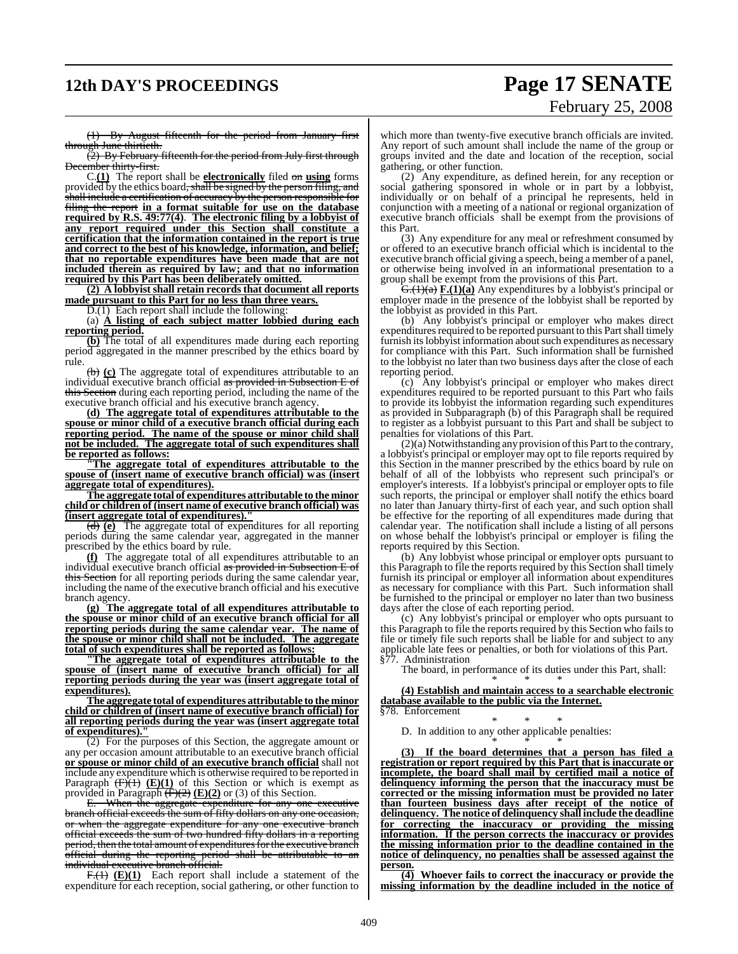# **12th DAY'S PROCEEDINGS Page 17 SENATE**

# February 25, 2008

(1) By August fifteenth for the period from January first through June thirtieth.

(2) By February fifteenth for the period from July first through December thirty-first.

C.**(1)** The report shall be **electronically** filed on **using** forms provided by the ethics board<del>, shall be signed by the person filing, and</del> shall include a certification of accuracy by the person responsible for filing the report **in a format suitable for use on the database required by R.S. 49:77(4)**. **The electronic filing by a lobbyist of any report required under this Section shall constitute a certification that the information contained in the report is true and correct to the best of his knowledge, information, and belief; that no reportable expenditures have been made that are not included therein as required by law; and that no information required by this Part has been deliberately omitted.**

**(2) A lobbyist shall retain records that document all reports made pursuant to this Part for no less than three years.** D.(1) Each report shall include the following

(a) **A listing of each subject matter lobbied during each reporting period.**

**(b)** The total of all expenditures made during each reporting period aggregated in the manner prescribed by the ethics board by rule.

(b) **(c)** The aggregate total of expenditures attributable to an individual executive branch official as provided in Subsection E of this Section during each reporting period, including the name of the executive branch official and his executive branch agency.

**(d) The aggregate total of expenditures attributable to the spouse or minor child of a executive branch official during each reporting period. The name of the spouse or minor child shall not be included. The aggregate total of such expenditures shall be reported as follows:**

**"The aggregate total of expenditures attributable to the spouse of (insert name of executive branch official) was (insert aggregate total of expenditures).**

**The aggregate total of expenditures attributable to the minor child or children of (insert name of executive branch official) was (insert aggregate total of expenditures)."**

(d) **(e)** The aggregate total of expenditures for all reporting periods during the same calendar year, aggregated in the manner prescribed by the ethics board by rule.

**(f)** The aggregate total of all expenditures attributable to an individual executive branch official as provided in Subsection E of this Section for all reporting periods during the same calendar year, including the name of the executive branch official and his executive branch agency.

**(g) The aggregate total of all expenditures attributable to the spouse or minor child of an executive branch official for all reporting periods during the same calendar year. The name of the spouse or minor child shall not be included. The aggregate total of such expenditures shall be reported as follows:**

**"The aggregate total of expenditures attributable to the spouse of (insert name of executive branch official) for all reporting periods during the year was (insert aggregate total of expenditures).**

**The aggregate total of expenditures attributable to the minor child or children of (insert name of executive branch official) for all reporting periods during the year was (insert aggregate total of expenditures**).

(2) For the purposes of this Section, the aggregate amount or any per occasion amount attributable to an executive branch official **or spouse or minor child of an executive branch official** shall not include any expenditure which is otherwise required to be reported in Paragraph  $(F)(1)$   $(E)(1)$  of this Section or which is exempt as provided in Paragraph (F)(2) **(E)(2)** or (3) of this Section.

E. When the aggregate expenditure for any one executive branch official exceeds the sum of fifty dollars on any one occasion, or when the aggregate expenditure for any one executive branch official exceeds the sum of two hundred fifty dollars in a reporting period, then the total amount of expenditures for the executive branch official during the reporting period shall be attributable to an individual executive branch official.

F.(1) (E)(1) Each report shall include a statement of the expenditure for each reception, social gathering, or other function to

which more than twenty-five executive branch officials are invited. Any report of such amount shall include the name of the group or groups invited and the date and location of the reception, social gathering, or other function.

(2) Any expenditure, as defined herein, for any reception or social gathering sponsored in whole or in part by a lobbyist, individually or on behalf of a principal he represents, held in conjunction with a meeting of a national or regional organization of executive branch officials shall be exempt from the provisions of this Part.

(3) Any expenditure for any meal or refreshment consumed by or offered to an executive branch official which is incidental to the executive branch official giving a speech, being a member of a panel, or otherwise being involved in an informational presentation to a group shall be exempt from the provisions of this Part.

G.(1)(a) **F.(1)(a)** Any expenditures by a lobbyist's principal or employer made in the presence of the lobbyist shall be reported by the lobbyist as provided in this Part.

(b) Any lobbyist's principal or employer who makes direct expenditures required to be reported pursuant to this Part shall timely furnish its lobbyist information about such expenditures as necessary for compliance with this Part. Such information shall be furnished to the lobbyist no later than two business days after the close of each reporting period.

(c) Any lobbyist's principal or employer who makes direct expenditures required to be reported pursuant to this Part who fails to provide its lobbyist the information regarding such expenditures as provided in Subparagraph (b) of this Paragraph shall be required to register as a lobbyist pursuant to this Part and shall be subject to penalties for violations of this Part.

(2)(a) Notwithstanding any provision ofthis Part to the contrary, a lobbyist's principal or employer may opt to file reports required by this Section in the manner prescribed by the ethics board by rule on behalf of all of the lobbyists who represent such principal's or employer's interests. If a lobbyist's principal or employer opts to file such reports, the principal or employer shall notify the ethics board no later than January thirty-first of each year, and such option shall be effective for the reporting of all expenditures made during that calendar year. The notification shall include a listing of all persons on whose behalf the lobbyist's principal or employer is filing the reports required by this Section.

(b) Any lobbyist whose principal or employer opts pursuant to this Paragraph to file the reports required by this Section shall timely furnish its principal or employer all information about expenditures as necessary for compliance with this Part. Such information shall be furnished to the principal or employer no later than two business days after the close of each reporting period.

(c) Any lobbyist's principal or employer who opts pursuant to this Paragraph to file the reports required by this Section who failsto file or timely file such reports shall be liable for and subject to any applicable late fees or penalties, or both for violations of this Part. §77. Administration

The board, in performance of its duties under this Part, shall:

\* \* \* **(4) Establish and maintain access to a searchable electronic database available to the public via the Internet.** §78. Enforcement

\* \* \* D. In addition to any other applicable penalties:

\* \* \* **(3) If the board determines that a person has filed a registration or report required by this Part that is inaccurate or incomplete, the board shall mail by certified mail a notice of delinquency informing the person that the inaccuracy must be corrected or the missing information must be provided no later than fourteen business days after receipt of the notice of delinquency. The notice of delinquency shall include the deadline for correcting the inaccuracy or providing the missing information. If the person corrects the inaccuracy or provides the missing information prior to the deadline contained in the notice of delinquency, no penalties shall be assessed against the person.**

**(4) Whoever fails to correct the inaccuracy or provide the missing information by the deadline included in the notice of**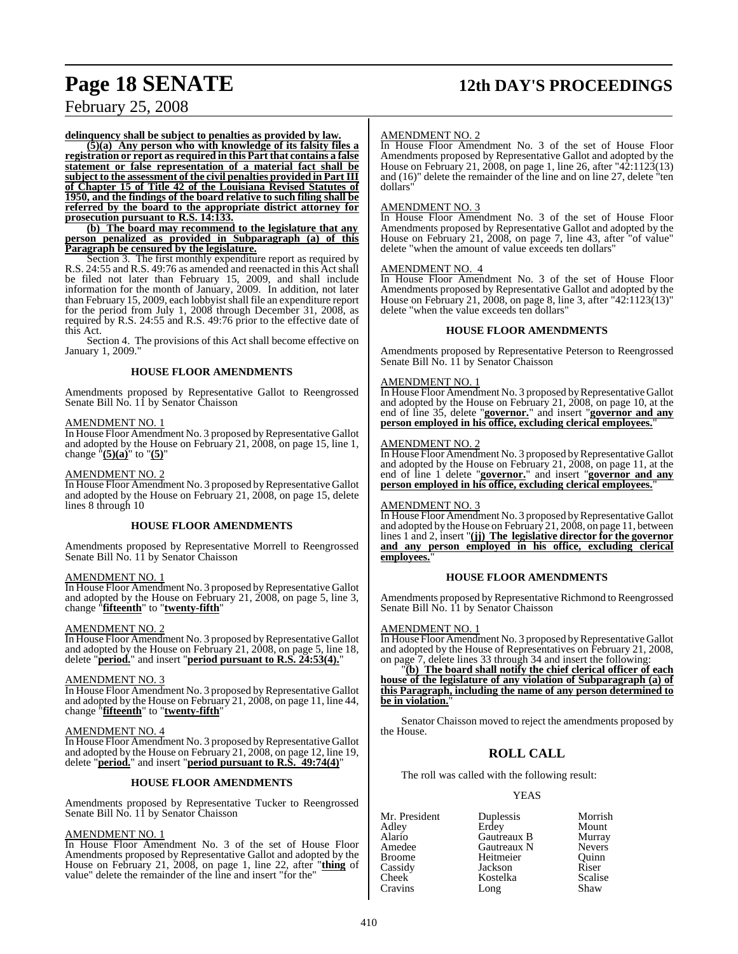# **Page 18 SENATE 12th DAY'S PROCEEDINGS**

February 25, 2008

**delinquency shall be subject to penalties as provided by law.**

**(5)(a) Any person who with knowledge of its falsity files a registration or report as required in this Part that contains a false statement or false representation of a material fact shall be subject to the assessment of the civil penalties provided in PartIII of Chapter 15 of Title 42 of the Louisiana Revised Statutes of 1950, and the findings of the board relative to such filing shall be referred by the board to the appropriate district attorney for prosecution pursuant to R.S. 14:133.**

**(b) The board may recommend to the legislature that any person penalized as provided in Subparagraph (a) of this Paragraph be censured by the legislature.**

Section 3. The first monthly expenditure report as required by R.S. 24:55 and R.S. 49:76 as amended and reenacted in this Actshall be filed not later than February 15, 2009, and shall include information for the month of January, 2009. In addition, not later than February 15, 2009, each lobbyist shall file an expenditure report for the period from July 1, 2008 through December 31, 2008, as required by R.S. 24:55 and R.S. 49:76 prior to the effective date of this Act.

Section 4. The provisions of this Act shall become effective on January 1, 2009."

#### **HOUSE FLOOR AMENDMENTS**

Amendments proposed by Representative Gallot to Reengrossed Senate Bill No. 11 by Senator Chaisson

#### AMENDMENT NO. 1

In House Floor Amendment No. 3 proposed by Representative Gallot and adopted by the House on February 21, 2008, on page 15, line 1, change "**(5)(a)**" to "**(5)**"

#### AMENDMENT NO. 2

In House Floor Amendment No. 3 proposed by Representative Gallot and adopted by the House on February 21, 2008, on page 15, delete lines 8 through 10

#### **HOUSE FLOOR AMENDMENTS**

Amendments proposed by Representative Morrell to Reengrossed Senate Bill No. 11 by Senator Chaisson

#### AMENDMENT NO. 1

In House Floor Amendment No. 3 proposed by Representative Gallot and adopted by the House on February 21, 2008, on page 5, line 3, change "**fifteenth**" to "**twenty-fifth**"

#### AMENDMENT NO. 2

In House Floor Amendment No. 3 proposed by Representative Gallot and adopted by the House on February 21, 2008, on page 5, line 18, delete "**period.**" and insert "**period pursuant to R.S. 24:53(4).**"

#### AMENDMENT NO. 3

In House Floor Amendment No. 3 proposed by Representative Gallot and adopted by the House on February 21, 2008, on page 11, line 44, change "**fifteenth**" to "**twenty-fifth**"

#### AMENDMENT NO. 4

In House Floor Amendment No. 3 proposed by Representative Gallot and adopted by the House on February 21, 2008, on page 12, line 19, delete "**period.**" and insert "**period pursuant to R.S. 49:74(4)**"

#### **HOUSE FLOOR AMENDMENTS**

Amendments proposed by Representative Tucker to Reengrossed Senate Bill No. 11 by Senator Chaisson

#### AMENDMENT NO. 1

In House Floor Amendment No. 3 of the set of House Floor Amendments proposed by Representative Gallot and adopted by the House on February 21, 2008, on page 1, line 22, after "**thing** of value" delete the remainder of the line and insert "for the"

#### AMENDMENT NO. 2

In House Floor Amendment No. 3 of the set of House Floor Amendments proposed by Representative Gallot and adopted by the House on February 21, 2008, on page 1, line 26, after "42:1123(13) and (16)" delete the remainder of the line and on line 27, delete "ten dollars"

#### AMENDMENT NO. 3

In House Floor Amendment No. 3 of the set of House Floor Amendments proposed by Representative Gallot and adopted by the House on February 21, 2008, on page 7, line 43, after "of value" delete "when the amount of value exceeds ten dollars"

#### AMENDMENT NO. 4

In House Floor Amendment No. 3 of the set of House Floor Amendments proposed by Representative Gallot and adopted by the House on February 21, 2008, on page 8, line 3, after "42:1123(13)" delete "when the value exceeds ten dollars"

#### **HOUSE FLOOR AMENDMENTS**

Amendments proposed by Representative Peterson to Reengrossed Senate Bill No. 11 by Senator Chaisson

#### AMENDMENT NO. 1

In House Floor Amendment No. 3 proposed by Representative Gallot and adopted by the House on February 21, 2008, on page 10, at the end of line 35, delete "**governor.**" and insert "**governor and any person employed in his office, excluding clerical employees.**"

#### AMENDMENT NO. 2

In House Floor Amendment No. 3 proposed by Representative Gallot and adopted by the House on February 21, 2008, on page 11, at the end of line 1 delete "**governor.**" and insert "**governor and any person employed in his office, excluding clerical employees.**"

#### AMENDMENT NO. 3

In House Floor Amendment No. 3 proposed by Representative Gallot and adopted by the House on February 21, 2008, on page 11, between lines 1 and 2, insert "**(jj) The legislative director for the governor and any person employed in his office, excluding clerical** employees.

#### **HOUSE FLOOR AMENDMENTS**

Amendments proposed by Representative Richmond to Reengrossed Senate Bill No. 11 by Senator Chaisson

#### AMENDMENT NO. 1

In House Floor Amendment No. 3 proposed by Representative Gallot and adopted by the House of Representatives on February 21, 2008, on page 7, delete lines 33 through 34 and insert the following:

"**(b) The board shall notify the chief clerical officer of each house of the legislature of any violation of Subparagraph (a) of this Paragraph, including the name of any person determined to** be in violation.

Senator Chaisson moved to reject the amendments proposed by the House.

## **ROLL CALL**

The roll was called with the following result:

#### YEAS

| Mr. President | Duplessis   | Morrish       |
|---------------|-------------|---------------|
| Adley         | Erdey       | Mount         |
| Alario        | Gautreaux B | Murray        |
| Amedee        | Gautreaux N | <b>Nevers</b> |
| <b>Broome</b> | Heitmeier   | Ouinn         |
| Cassidy       | Jackson     | Riser         |
| Cheek         | Kostelka    | Scalise       |
| Cravins       | Long        | Shaw          |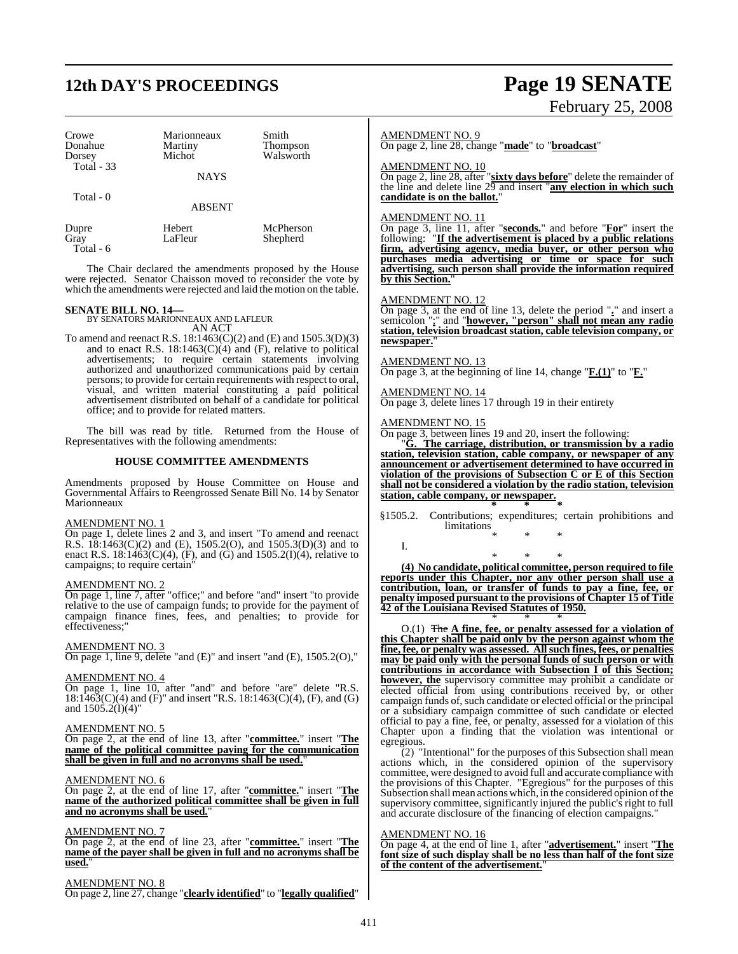## **12th DAY'S PROCEEDINGS Page 19 SENATE**

### Crowe Marionneaux Smith<br>
Donahue Martiny Thom Donahue Martiny Thompson Walsworth Total - 33 **NAYS**  Total - 0 ABSENT

 Total - 6 The Chair declared the amendments proposed by the House were rejected. Senator Chaisson moved to reconsider the vote by which the amendments were rejected and laid the motion on the table.

Shepherd

Dupre Hebert McPherson<br>Gray LaFleur Shepherd

**SENATE BILL NO. 14—** BY SENATORS MARIONNEAUX AND LAFLEUR AN ACT

To amend and reenact R.S. 18:1463(C)(2) and (E) and 1505.3(D)(3) and to enact R.S.  $18:1463(C)(4)$  and (F), relative to political advertisements; to require certain statements involving authorized and unauthorized communications paid by certain persons; to provide for certain requirements with respect to oral, visual, and written material constituting a paid political advertisement distributed on behalf of a candidate for political office; and to provide for related matters.

The bill was read by title. Returned from the House of Representatives with the following amendments:

#### **HOUSE COMMITTEE AMENDMENTS**

Amendments proposed by House Committee on House and Governmental Affairs to Reengrossed Senate Bill No. 14 by Senator Marionneaux

#### AMENDMENT NO. 1

On page 1, delete lines 2 and 3, and insert "To amend and reenact R.S. 18:1463(C)(2) and (E), 1505.2(O), and 1505.3(D)(3) and to enact R.S.  $18:1463(C)(4)$ , (F), and (G) and  $1505.2(I)(4)$ , relative to campaigns; to require certain"

#### AMENDMENT NO. 2

On page 1, line 7, after "office;" and before "and" insert "to provide relative to the use of campaign funds; to provide for the payment of campaign finance fines, fees, and penalties; to provide for effectiveness;"

#### AMENDMENT NO. 3

On page 1, line 9, delete "and (E)" and insert "and (E), 1505.2(O),"

#### AMENDMENT NO. 4

On page 1, line 10, after "and" and before "are" delete "R.S.  $18:1463(C)(4)$  and (F)" and insert "R.S.  $18:1463(C)(4)$ , (F), and (G) and  $150\overline{5}$ .2(I)(4)"

#### AMENDMENT NO. 5

On page 2, at the end of line 13, after "**committee.**" insert "**The name of the political committee paying for the communication shall be given in full and no acronyms shall be used.**"

#### AMENDMENT NO. 6

On page 2, at the end of line 17, after "**committee.**" insert "**The name of the authorized political committee shall be given in full and no acronyms shall be used.**"

#### AMENDMENT NO. 7

On page 2, at the end of line 23, after "**committee.**" insert "**The name of the payer shall be given in full and no acronyms shall be used.**"

#### AMENDMENT NO. 8

On page 2, line 27, change "**clearly identified**" to "**legally qualified**"

# February 25, 2008

#### AMENDMENT NO. 9

On page 2, line 28, change "**made**" to "**broadcast**"

#### AMENDMENT NO. 10

On page 2, line 28, after "**sixty days before**" delete the remainder of the line and delete line 29 and insert "**any election in which such candidate is on the ballot.**"

#### AMENDMENT NO. 11

On page 3, line 11, after "**seconds.**" and before "**For**" insert the following: "**If the advertisement is placed by a public relations firm, advertising agency, media buyer, or other person who purchases media advertising or time or space for such advertising, such person shall provide the information required by this Section.**"

#### AMENDMENT NO. 12

On page 3, at the end of line 13, delete the period "**.**" and insert a semicolon ";" and "**however, "person" shall not mean any radio station, television broadcast station, cable television company, or** newspaper.

#### AMENDMENT NO. 13

On page 3, at the beginning of line 14, change "**F.(1)**" to "**F.**"

#### AMENDMENT NO. 14

On page 3, delete lines 17 through 19 in their entirety

#### AMENDMENT NO. 15

I.

On page 3, between lines 19 and 20, insert the following:

"**G. The carriage, distribution, or transmission by a radio station, television station, cable company, or newspaper of any announcement or advertisement determined to have occurred in violation of the provisions of Subsection C or E of this Section shall not be considered a violation by the radio station, television station, cable company, or newspaper. \* \* \***

§1505.2. Contributions; expenditures; certain prohibitions and limitations

## \* \* \*

\* \* \* **(4) No candidate, political committee, person required to file reports under this Chapter, nor any other person shall use a contribution, loan, or transfer of funds to pay a fine, fee, or penalty imposed pursuant to the provisions of Chapter 15 of Title 42 of the Louisiana Revised Statutes of 1950.**

\* \* \* O.(1) The **A fine, fee, or penalty assessed for a violation of this Chapter shall be paid only by the person against whom the fine, fee, or penalty was assessed. All such fines, fees, or penalties may be paid only with the personal funds of such person or with contributions in accordance with Subsection I of this Section; however, the** supervisory committee may prohibit a candidate or elected official from using contributions received by, or other campaign funds of, such candidate or elected official or the principal or a subsidiary campaign committee of such candidate or elected official to pay a fine, fee, or penalty, assessed for a violation of this Chapter upon a finding that the violation was intentional or egregious.

(2) "Intentional" for the purposes of this Subsection shall mean actions which, in the considered opinion of the supervisory committee, were designed to avoid full and accurate compliance with the provisions of this Chapter. "Egregious" for the purposes of this Subsection shall mean actions which, in the considered opinion of the supervisory committee, significantly injured the public's right to full and accurate disclosure of the financing of election campaigns."

#### AMENDMENT NO. 16

On page 4, at the end of line 1, after "**advertisement.**" insert "**The font size of such display shall be no less than half of the font size of the content of the advertisement.**"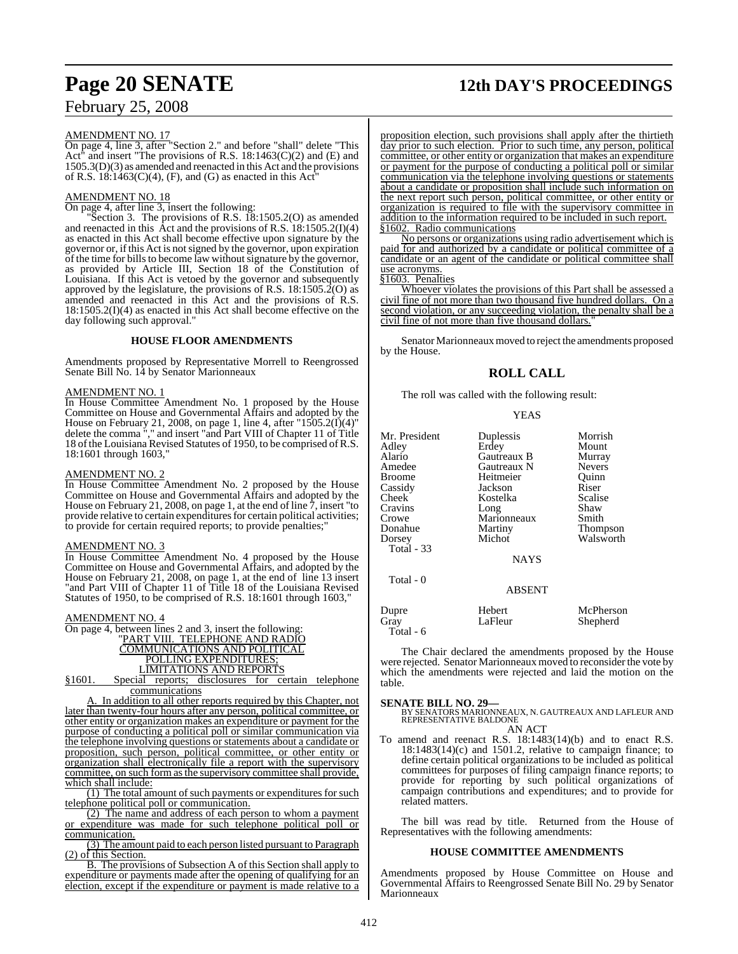#### AMENDMENT NO. 17

On page 4, line 3, after "Section 2." and before "shall" delete "This Act" and insert "The provisions of R.S. 18:1463(C)(2) and (E) and 1505.3(D)(3) as amended and reenacted in this Act and the provisions of R.S.  $18:1463(C)(4)$ , (F), and (G) as enacted in this Act

#### AMENDMENT NO. 18

 $\overline{\text{On page 4, after line 3, insert the following:}}$ 

"Section 3. The provisions of R.S. 18:1505.2(O) as amended and reenacted in this  $\text{Act}$  and the provisions of R.S. 18:1505.2(I)(4) as enacted in this Act shall become effective upon signature by the governor or, ifthis Act is notsigned by the governor, upon expiration of the time for bills to become law without signature by the governor, as provided by Article III, Section 18 of the Constitution of Louisiana. If this Act is vetoed by the governor and subsequently approved by the legislature, the provisions of R.S. 18:1505.2(O) as amended and reenacted in this Act and the provisions of R.S. 18:1505.2(I)(4) as enacted in this Act shall become effective on the day following such approval."

#### **HOUSE FLOOR AMENDMENTS**

Amendments proposed by Representative Morrell to Reengrossed Senate Bill No. 14 by Senator Marionneaux

#### AMENDMENT NO. 1

In House Committee Amendment No. 1 proposed by the House Committee on House and Governmental Affairs and adopted by the House on February 21, 2008, on page 1, line 4, after "1505.2(I)(4)" delete the comma "," and insert "and Part VIII of Chapter 11 of Title 18 of the Louisiana Revised Statutes of 1950, to be comprised of R.S. 18:1601 through 1603,"

#### AMENDMENT NO. 2

In House Committee Amendment No. 2 proposed by the House Committee on House and Governmental Affairs and adopted by the House on February 21, 2008, on page 1, at the end of line 7, insert "to provide relative to certain expenditures for certain political activities; to provide for certain required reports; to provide penalties;"

#### AMENDMENT NO. 3

In House Committee Amendment No. 4 proposed by the House Committee on House and Governmental Affairs, and adopted by the House on February 21, 2008, on page 1, at the end of line 13 insert "and Part VIII of Chapter 11 of Title 18 of the Louisiana Revised Statutes of 1950, to be comprised of R.S. 18:1601 through 1603,

#### AMENDMENT NO. 4

On page 4, between lines 2 and 3, insert the following: "PART VIII. TELEPHONE AND RADIO COMMUNICATIONS AND POLITICAL POLLING EXPENDITURES; LIMITATIONS AND REPORTS §1601. Special reports; disclosures for certain telephone communications

In addition to all other reports required by this Chapter, not later than twenty-four hours after any person, political committee, or other entity or organization makes an expenditure or payment for the purpose of conducting a political poll or similar communication via the telephone involving questions or statements about a candidate or proposition, such person, political committee, or other entity or organization shall electronically file a report with the supervisory committee, on such form asthe supervisory committee shall provide, which shall include:

(1) The total amount of such payments or expenditures for such telephone political poll or communication.

(2) The name and address of each person to whom a payment or expenditure was made for such telephone political poll or communication.

(3) The amount paid to each person listed pursuant to Paragraph (2) of this Section.

B. The provisions of Subsection A of this Section shall apply to expenditure or payments made after the opening of qualifying for an election, except if the expenditure or payment is made relative to a

# **Page 20 SENATE 12th DAY'S PROCEEDINGS**

proposition election, such provisions shall apply after the thirtieth day prior to such election. Prior to such time, any person, political committee, or other entity or organization that makes an expenditure or payment for the purpose of conducting a political poll or similar communication via the telephone involving questions or statements about a candidate or proposition shall include such information on the next report such person, political committee, or other entity or organization is required to file with the supervisory committee in addition to the information required to be included in such report. §1602. Radio communications

No persons or organizations using radio advertisement which is paid for and authorized by a candidate or political committee of a candidate or an agent of the candidate or political committee shall use acronyms.

§1603. Penalties

Whoever violates the provisions of this Part shall be assessed a civil fine of not more than two thousand five hundred dollars. On a second violation, or any succeeding violation, the penalty shall be a civil fine of not more than five thousand dollars."

Senator Marionneaux moved to reject the amendments proposed by the House.

### **ROLL CALL**

The roll was called with the following result:

#### **YEAS**

| Mr. President<br>Adley<br>Alario<br>Amedee<br><b>Broome</b><br>Cassidy<br><b>Cheek</b><br>Cravins<br>Crowe<br>Donahue | Duplessis<br>Erdey<br>Gautreaux B<br>Gautreaux N<br>Heitmeier<br>Jackson<br>Kostelka<br>Long<br>Marionneaux<br>Martiny | Morrish<br>Mount<br>Murray<br><b>Nevers</b><br>Quinn<br>Riser<br>Scalise<br>Shaw<br>Smith<br>Thompson |
|-----------------------------------------------------------------------------------------------------------------------|------------------------------------------------------------------------------------------------------------------------|-------------------------------------------------------------------------------------------------------|
| Dorsey<br><b>Total</b> - 33<br>Total - 0                                                                              | Michot<br><b>NAYS</b>                                                                                                  | Walsworth                                                                                             |
|                                                                                                                       | <b>ABSENT</b>                                                                                                          |                                                                                                       |
| Dupre<br>Gray<br>Total - 6                                                                                            | Hebert<br>LaFleur                                                                                                      | McPherson<br>Shepherd                                                                                 |

The Chair declared the amendments proposed by the House were rejected. Senator Marionneaux moved to reconsider the vote by which the amendments were rejected and laid the motion on the table.

**SENATE BILL NO. 29—**<br>BY SENATORS MARIONNEAUX, N. GAUTREAUX AND LAFLEUR AND<br>REPRESENTATIVE BALDONE AN ACT

To amend and reenact R.S. 18:1483(14)(b) and to enact R.S. 18:1483(14)(c) and 1501.2, relative to campaign finance; to define certain political organizations to be included as political committees for purposes of filing campaign finance reports; to provide for reporting by such political organizations of campaign contributions and expenditures; and to provide for related matters.

The bill was read by title. Returned from the House of Representatives with the following amendments:

#### **HOUSE COMMITTEE AMENDMENTS**

Amendments proposed by House Committee on House and Governmental Affairs to Reengrossed Senate Bill No. 29 by Senator **Marionneaux**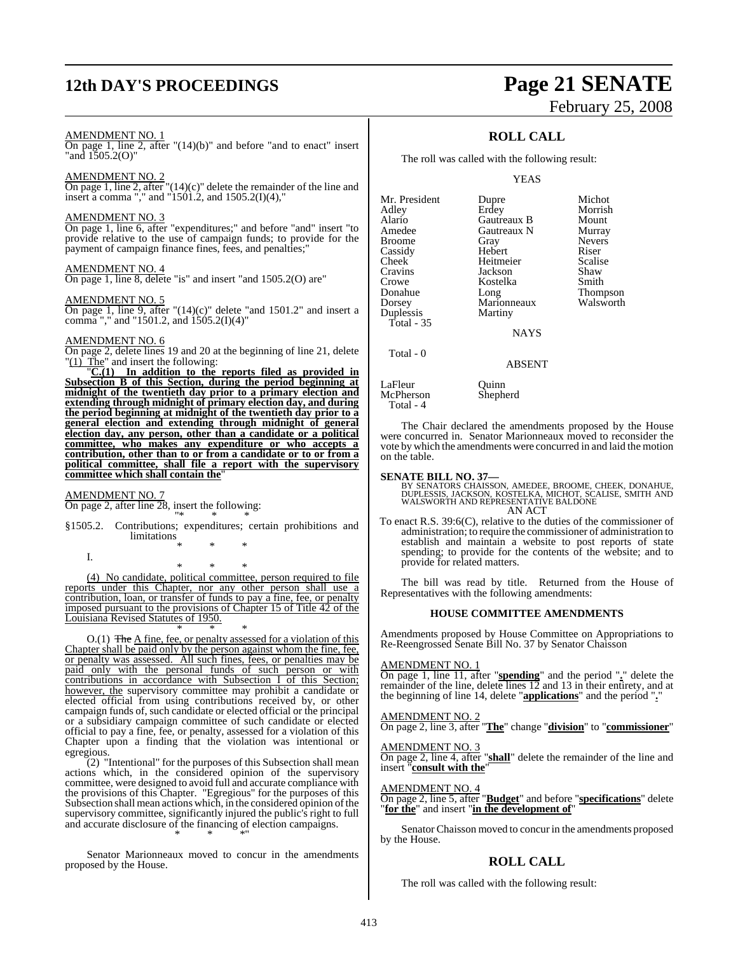# **12th DAY'S PROCEEDINGS Page 21 SENATE**

#### AMENDMENT NO. 1

On page 1, line 2, after "(14)(b)" and before "and to enact" insert "and 1505.2(O)"

#### AMENDMENT NO. 2

On page 1, line 2, after "(14)(c)" delete the remainder of the line and insert a comma "," and "1501.2, and 1505.2(I)(4),"

#### AMENDMENT NO. 3

On page 1, line 6, after "expenditures;" and before "and" insert "to provide relative to the use of campaign funds; to provide for the payment of campaign finance fines, fees, and penalties;"

#### AMENDMENT NO. 4

On page 1, line 8, delete "is" and insert "and 1505.2(O) are"

#### AMENDMENT NO. 5

On page 1, line 9, after "(14)(c)" delete "and 1501.2" and insert a comma "," and "1501.2, and 1505.2(I)(4)"

#### AMENDMENT NO. 6

On page 2, delete lines 19 and 20 at the beginning of line 21, delete " $(1)$  The" and insert the following:

"**C.(1) In addition to the reports filed as provided in Subsection B of this Section, during the period beginning at midnight of the twentieth day prior to a primary election and extending through midnight of primary election day, and during the period beginning at midnight of the twentieth day prior to a general election and extending through midnight of general election day, any person, other than a candidate or a political committee, who makes any expenditure or who accepts a contribution, other than to or from a candidate or to or from a political committee, shall file a report with the supervisory committee which shall contain the**"

#### AMENDMENT NO. 7

I.

On page 2, after line 28, insert the following: "\* \* \*

§1505.2. Contributions; expenditures; certain prohibitions and limitations

\* \* \*

\* \* \* (4) No candidate, political committee, person required to file reports under this Chapter, nor any other person shall use a contribution, loan, or transfer of funds to pay a fine, fee, or penalty imposed pursuant to the provisions of Chapter 15 of Title 42 of the Louisiana Revised Statutes of 1950.

\* \* \* O.(1) The A fine, fee, or penalty assessed for a violation of this Chapter shall be paid only by the person against whom the fine, fee, or penalty was assessed. All such fines, fees, or penalties may be paid only with the personal funds of such person or with contributions in accordance with Subsection I of this Section; however, the supervisory committee may prohibit a candidate or elected official from using contributions received by, or other campaign funds of, such candidate or elected official or the principal or a subsidiary campaign committee of such candidate or elected official to pay a fine, fee, or penalty, assessed for a violation of this Chapter upon a finding that the violation was intentional or egregious.

 $(2)$  "Intentional" for the purposes of this Subsection shall mean actions which, in the considered opinion of the supervisory committee, were designed to avoid full and accurate compliance with the provisions of this Chapter. "Egregious" for the purposes of this Subsection shall mean actions which, in the considered opinion of the supervisory committee, significantly injured the public's right to full and accurate disclosure of the financing of election campaigns. \* \* \*"

Senator Marionneaux moved to concur in the amendments proposed by the House.

# February 25, 2008

## **ROLL CALL**

The roll was called with the following result:

YEAS

| Mr. President | Dupre       | Michot        |
|---------------|-------------|---------------|
| Adley         | Erdey       | Morrish       |
| Alario        | Gautreaux B | Mount         |
| Amedee        | Gautreaux N | Murray        |
| <b>Broome</b> | Gray        | <b>Nevers</b> |
| Cassidy       | Hebert      | Riser         |
| Cheek         | Heitmeier   | Scalise       |
| Cravins       | Jackson     | Shaw          |
| Crowe         | Kostelka    | Smith         |
| Donahue       | Long        | Thompson      |
| Dorsey        | Marionneaux | Walsworth     |
| Duplessis     | Martiny     |               |
| Total - 35    |             |               |
|               | <b>NAYS</b> |               |
| Total - 0     |             |               |
|               | ABSENT      |               |

LaFleur Quinn<br>McPherson Shepherd McPherson Total - 4

The Chair declared the amendments proposed by the House

were concurred in. Senator Marionneaux moved to reconsider the vote by which the amendments were concurred in and laid the motion on the table.

#### **SENATE BILL NO. 37—**

BY SENATORS CHAISSON, AMEDEE, BROOME, CHEEK, DONAHUE,<br>DUPLESSIS, JACKSON, KOSTELKA, MICHOT, SCALISE, SMITH AND<br>WALSWORTH AND REPRESENTATIVE BALDONE AN ACT

To enact R.S. 39:6(C), relative to the duties of the commissioner of administration; to require the commissioner of administration to establish and maintain a website to post reports of state spending; to provide for the contents of the website; and to provide for related matters.

The bill was read by title. Returned from the House of Representatives with the following amendments:

#### **HOUSE COMMITTEE AMENDMENTS**

Amendments proposed by House Committee on Appropriations to Re-Reengrossed Senate Bill No. 37 by Senator Chaisson

#### AMENDMENT NO. 1

On page 1, line 11, after "**spending**" and the period "**.**" delete the remainder of the line, delete lines 12 and 13 in their entirety, and at the beginning of line 14, delete "**applications**" and the period "**.**"

#### AMENDMENT NO. 2

On page 2, line 3, after "**The**" change "**division**" to "**commissioner**"

#### AMENDMENT NO. 3

On page 2, line 4, after "**shall**" delete the remainder of the line and insert "**consult with the**"

#### AMENDMENT NO. 4

On page 2, line 5, after "**Budget**" and before "**specifications**" delete "**for the**" and insert "**in the development of**"

Senator Chaisson moved to concur in the amendments proposed by the House.

#### **ROLL CALL**

The roll was called with the following result: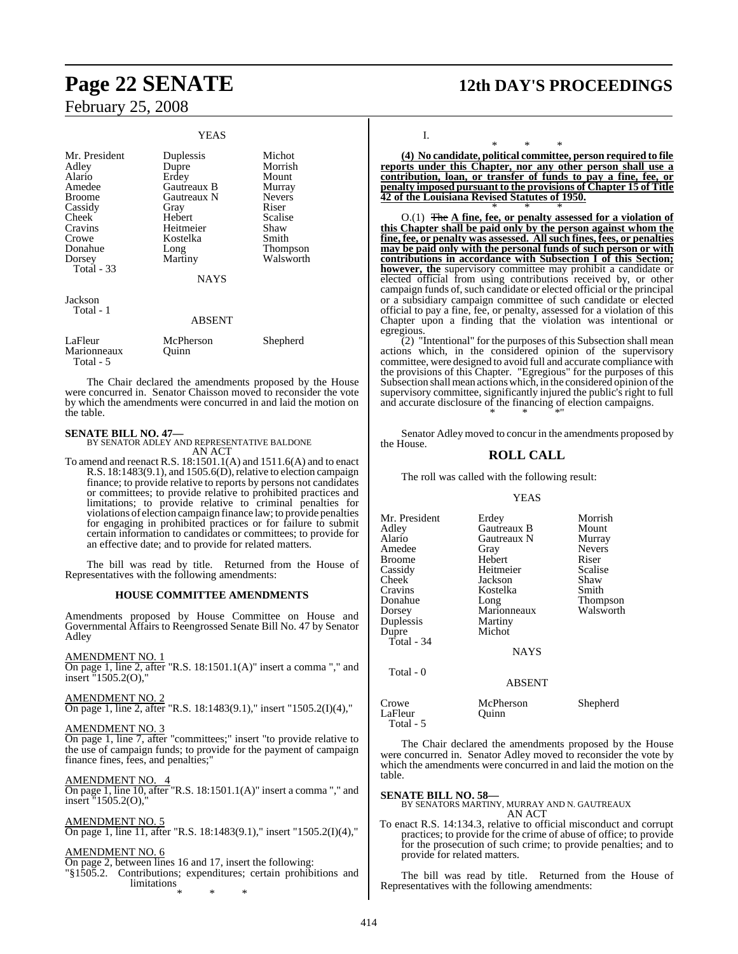| Mr. President<br>Adley<br>Alario<br>Amedee<br><b>Broome</b><br>Cassidy<br>Cheek<br>Cravins<br>Crowe<br>Donahue<br>Dorsey<br>Total - 33 | Duplessis<br>Dupre<br>Erdey<br>Gautreaux B<br>Gautreaux N<br>Gray<br>Hebert<br>Heitmeier<br>Kostelka<br>Long<br>Martiny<br><b>NAYS</b> | Michot<br>Morrish<br>Mount<br>Murray<br><b>Nevers</b><br>Riser<br>Scalise<br>Shaw<br>Smith<br>Thompson<br>Walsworth |
|----------------------------------------------------------------------------------------------------------------------------------------|----------------------------------------------------------------------------------------------------------------------------------------|---------------------------------------------------------------------------------------------------------------------|
| Jackson<br>Total - 1                                                                                                                   | ABSENT                                                                                                                                 |                                                                                                                     |
| LaFleur<br>Marionneaux<br>Total - 5                                                                                                    | McPherson<br>Ouinn                                                                                                                     | Shepherd                                                                                                            |

**YEAS** 

The Chair declared the amendments proposed by the House were concurred in. Senator Chaisson moved to reconsider the vote by which the amendments were concurred in and laid the motion on the table.

**SENATE BILL NO. 47—** BY SENATOR ADLEY AND REPRESENTATIVE BALDONE AN ACT

To amend and reenact R.S. 18:1501.1(A) and 1511.6(A) and to enact R.S.  $18:1483(9.1)$ , and  $1505.6(D)$ , relative to election campaign finance; to provide relative to reports by persons not candidates or committees; to provide relative to prohibited practices and limitations; to provide relative to criminal penalties for violations of election campaign finance law; to provide penalties for engaging in prohibited practices or for failure to submit certain information to candidates or committees; to provide for an effective date; and to provide for related matters.

The bill was read by title. Returned from the House of Representatives with the following amendments:

#### **HOUSE COMMITTEE AMENDMENTS**

Amendments proposed by House Committee on House and Governmental Affairs to Reengrossed Senate Bill No. 47 by Senator Adley

#### AMENDMENT NO. 1

On page 1, line 2, after "R.S. 18:1501.1(A)" insert a comma "," and insert "1505.2(O),"

#### AMENDMENT NO. 2

On page 1, line 2, after "R.S. 18:1483(9.1)," insert "1505.2(I)(4),"

#### AMENDMENT NO. 3

On page 1, line 7, after "committees;" insert "to provide relative to the use of campaign funds; to provide for the payment of campaign finance fines, fees, and penalties;"

#### AMENDMENT NO. 4

On page 1, line 10, after "R.S. 18:1501.1(A)" insert a comma "," and insert "1505.2(O),

#### AMENDMENT NO. 5

On page 1, line 11, after "R.S. 18:1483(9.1)," insert "1505.2(I)(4),"

#### AMENDMENT NO. 6

On page 2, between lines 16 and 17, insert the following: "§1505.2. Contributions; expenditures; certain prohibitions and limitations \* \* \*

## **Page 22 SENATE 12th DAY'S PROCEEDINGS**

I.

\* \* \* **(4) No candidate, political committee, person required to file reports under this Chapter, nor any other person shall use a contribution, loan, or transfer of funds to pay a fine, fee, or penalty imposed pursuant to the provisions of Chapter 15 of Title 42 of the Louisiana Revised Statutes of 1950.** \* \* \*

O.(1) The **A fine, fee, or penalty assessed for a violation of this Chapter shall be paid only by the person against whom the fine, fee, or penalty was assessed. All such fines, fees, or penalties may be paid only with the personal funds of such person or with contributions in accordance with Subsection I of this Section; however, the** supervisory committee may prohibit a candidate or elected official from using contributions received by, or other campaign funds of, such candidate or elected official or the principal or a subsidiary campaign committee of such candidate or elected official to pay a fine, fee, or penalty, assessed for a violation of this Chapter upon a finding that the violation was intentional or egregious.

(2) "Intentional" for the purposes of this Subsection shall mean actions which, in the considered opinion of the supervisory committee, were designed to avoid full and accurate compliance with the provisions of this Chapter. "Egregious" for the purposes of this Subsection shall mean actions which, in the considered opinion of the supervisory committee, significantly injured the public's right to full and accurate disclosure of the financing of election campaigns. \* \* \*"

Senator Adley moved to concur in the amendments proposed by the House.

#### **ROLL CALL**

The roll was called with the following result:

#### YEAS

| Mr. President<br>Adley<br>Alario<br>Amedee<br><b>Broome</b><br>Cassidy<br>Cheek<br>Cravins<br>Donahue<br>Dorsey<br>Duplessis<br>Dupre<br>Total - 34 | Erdey<br>Gautreaux B<br>Gautreaux N<br>Gray<br>Hebert<br>Heitmeier<br>Jackson<br>Kostelka<br>Long<br>Marionneaux<br>Martiny<br>Michot<br><b>NAYS</b> | Morrish<br>Mount<br>Murray<br><b>Nevers</b><br>Riser<br>Scalise<br>Shaw<br>Smith<br>Thompson<br>Walsworth |
|-----------------------------------------------------------------------------------------------------------------------------------------------------|------------------------------------------------------------------------------------------------------------------------------------------------------|-----------------------------------------------------------------------------------------------------------|
| Total - 0                                                                                                                                           | <b>ABSENT</b>                                                                                                                                        |                                                                                                           |
| Crowe<br>LaFleur                                                                                                                                    | McPherson<br>Ouinn                                                                                                                                   | Shepherd                                                                                                  |

The Chair declared the amendments proposed by the House were concurred in. Senator Adley moved to reconsider the vote by which the amendments were concurred in and laid the motion on the table.

Total - 5

## **SENATE BILL NO. 58—** BY SENATORS MARTINY, MURRAY AND N. GAUTREAUX AN ACT

To enact R.S. 14:134.3, relative to official misconduct and corrupt practices; to provide for the crime of abuse of office; to provide for the prosecution of such crime; to provide penalties; and to provide for related matters.

The bill was read by title. Returned from the House of Representatives with the following amendments: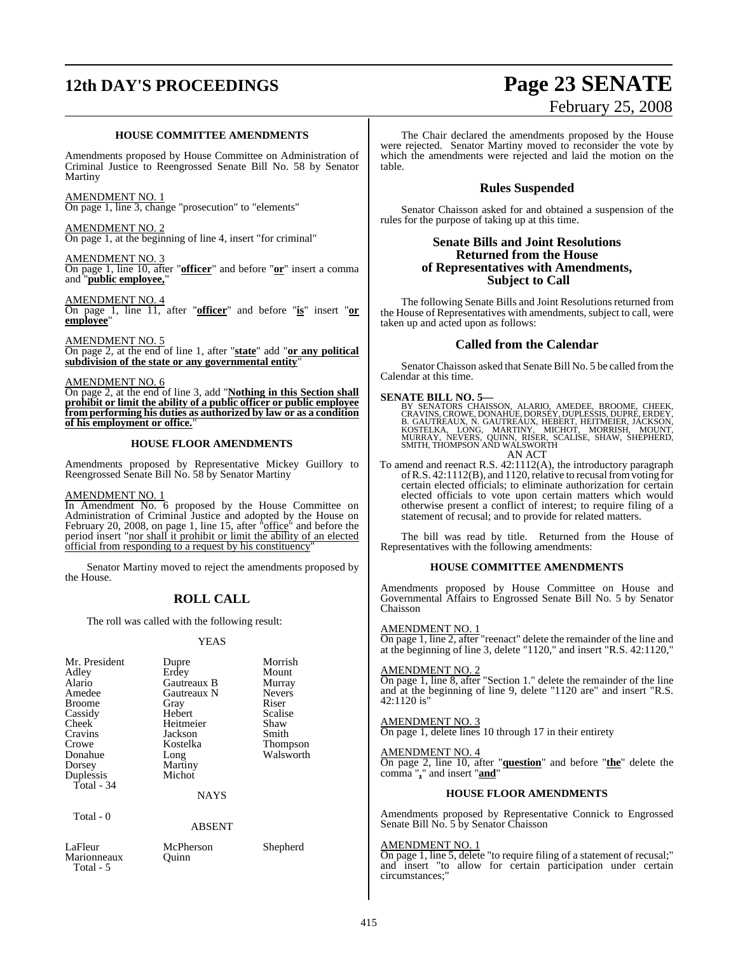# **12th DAY'S PROCEEDINGS Page 23 SENATE**

#### **HOUSE COMMITTEE AMENDMENTS**

Amendments proposed by House Committee on Administration of Criminal Justice to Reengrossed Senate Bill No. 58 by Senator Martiny

AMENDMENT NO. 1 On page 1, line 3, change "prosecution" to "elements"

AMENDMENT NO. 2 On page 1, at the beginning of line 4, insert "for criminal"

AMENDMENT NO. 3 On page 1, line 10, after "**officer**" and before "**or**" insert a comma and "**public employee,**"

AMENDMENT NO. 4

On page 1, line 11, after "**officer**" and before "**is**" insert "**or employee**"

AMENDMENT NO. 5

On page 2, at the end of line 1, after "**state**" add "**or any political subdivision of the state or any governmental entity**"

AMENDMENT NO. 6

On page 2, at the end of line 3, add "**Nothing in this Section shall prohibit or limit the ability of a public officer or public employee from performing his duties as authorized by law or as a condition of his employment or office.**"

#### **HOUSE FLOOR AMENDMENTS**

Amendments proposed by Representative Mickey Guillory to Reengrossed Senate Bill No. 58 by Senator Martiny

#### AMENDMENT NO. 1

In Amendment No. 6 proposed by the House Committee on Administration of Criminal Justice and adopted by the House on February 20, 2008, on page 1, line 15, after "office" and before the period insert "nor shall it prohibit or limit the ability of an elected official from responding to a request by his constituency"

Senator Martiny moved to reject the amendments proposed by the House.

## **ROLL CALL**

The roll was called with the following result:

#### YEAS

| Mr. President<br>Adley<br>Alario<br>Amedee<br><b>Broome</b><br>Cassidy<br>Cheek<br>Cravins<br>Crowe<br>Donahue<br>Dorsey<br>Duplessis<br>Total - 34<br>Total - 0 | Dupre<br>Erdey<br>Gautreaux B<br>Gautreaux N<br>Gray<br>Hebert<br>Heitmeier<br>Jackson<br>Kostelka<br>Long<br>Martiny<br>Michot<br><b>NAYS</b><br><b>ABSENT</b> | Morrish<br>Mount<br>Murray<br><b>Nevers</b><br>Riser<br>Scalise<br>Shaw<br>Smith<br><b>Thompson</b><br>Walsworth |
|------------------------------------------------------------------------------------------------------------------------------------------------------------------|-----------------------------------------------------------------------------------------------------------------------------------------------------------------|------------------------------------------------------------------------------------------------------------------|
|                                                                                                                                                                  |                                                                                                                                                                 |                                                                                                                  |
| LaFleur<br>Marionneaux                                                                                                                                           | McPherson<br>Ouinn                                                                                                                                              | Shepherd                                                                                                         |

The Chair declared the amendments proposed by the House were rejected. Senator Martiny moved to reconsider the vote by which the amendments were rejected and laid the motion on the table.

#### **Rules Suspended**

Senator Chaisson asked for and obtained a suspension of the rules for the purpose of taking up at this time.

#### **Senate Bills and Joint Resolutions Returned from the House of Representatives with Amendments, Subject to Call**

The following Senate Bills and Joint Resolutions returned from the House of Representatives with amendments, subject to call, were taken up and acted upon as follows:

#### **Called from the Calendar**

Senator Chaisson asked that Senate Bill No. 5 be called from the Calendar at this time.

#### **SENATE BILL NO. 5—**

BY SENATORS CHAISSON, ALARIO, AMEDEE, BROOME, CHEEK.<br>CRAVINS,CROWE,DONAHÜE,DORSEY,DUPLESSIS,DUPRE,ERDEY,<br>B. GAUTREAUX, N. GAUTREAUX, HEBERT, HEITMEIER, JACKSON,<br>KOSTELKA, LONG, MARTINY, MICHOT, MORRISH, MOUNT,<br>MURRAY, NEVE

- AN ACT
- To amend and reenact R.S. 42:1112(A), the introductory paragraph of R.S. 42:1112(B), and 1120, relative to recusal from voting for certain elected officials; to eliminate authorization for certain elected officials to vote upon certain matters which would otherwise present a conflict of interest; to require filing of a statement of recusal; and to provide for related matters.

The bill was read by title. Returned from the House of Representatives with the following amendments:

#### **HOUSE COMMITTEE AMENDMENTS**

Amendments proposed by House Committee on House and Governmental Affairs to Engrossed Senate Bill No. 5 by Senator Chaisson

#### AMENDMENT NO. 1

On page 1, line 2, after "reenact" delete the remainder of the line and at the beginning of line 3, delete "1120," and insert "R.S. 42:1120,"

#### AMENDMENT NO. 2

On page 1, line 8, after "Section 1." delete the remainder of the line and at the beginning of line 9, delete "1120 are" and insert "R.S. 42:1120 is"

#### AMENDMENT NO. 3 On page 1, delete lines 10 through 17 in their entirety

## AMENDMENT NO. 4

On page 2, line 10, after "**question**" and before "**the**" delete the comma "**,**" and insert "**and**"

#### **HOUSE FLOOR AMENDMENTS**

Amendments proposed by Representative Connick to Engrossed Senate Bill No. 5 by Senator Chaisson

#### AMENDMENT NO. 1

On page 1, line 5, delete "to require filing of a statement of recusal;" and insert "to allow for certain participation under certain circumstances;"

Total - 5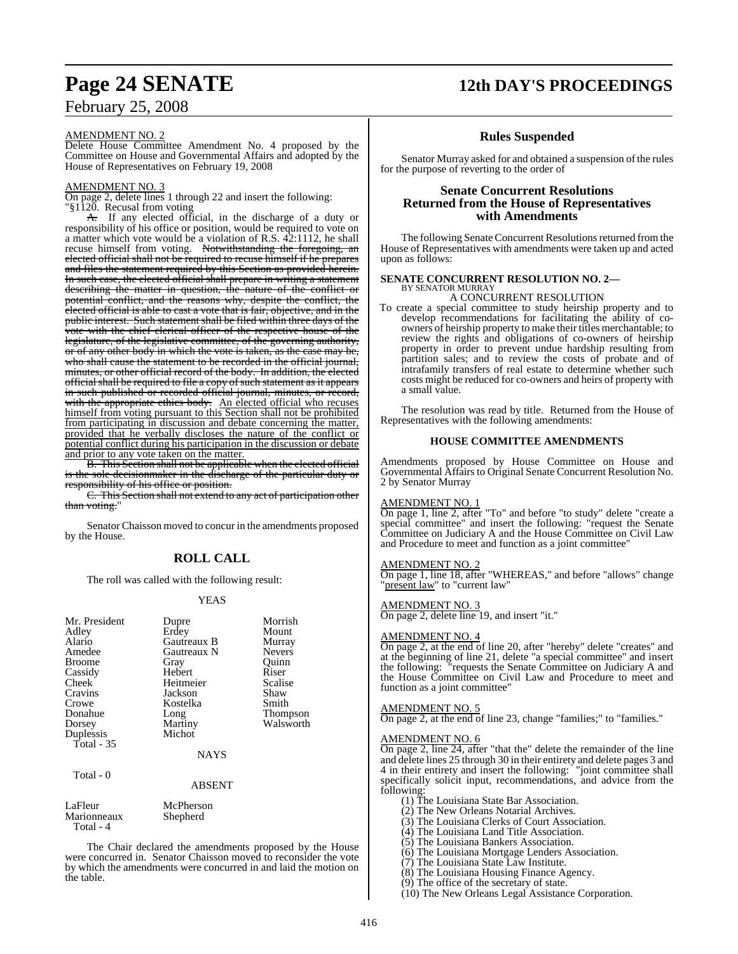#### AMENDMENT NO. 2

Delete House Committee Amendment No. 4 proposed by the Committee on House and Governmental Affairs and adopted by the House of Representatives on February 19, 2008

#### AMENDMENT NO. 3

On page 2, delete lines 1 through 22 and insert the following: "§1120. Recusal from voting

A. If any elected official, in the discharge of a duty or responsibility of his office or position, would be required to vote on a matter which vote would be a violation of R.S. 42:1112, he shall recuse himself from voting. Notwithstanding the foregoing, an elected official shall not be required to recuse himself if he prepares and files the statement required by this Section as provided herein. In such case, the elected official shall prepare in writing a statement describing the matter in question, the nature of the conflict or potential conflict, and the reasons why, despite the conflict, the elected official is able to cast a vote that is fair, objective, and in the public interest. Such statement shall be filed within three days of the vote with the chief clerical officer of the respective house of the legislature, of the legislative committee, of the governing authority, or of any other body in which the vote is taken, as the case may be, who shall cause the statement to be recorded in the official journal, minutes, or other official record of the body. In addition, the elected official shall be required to file a copy of such statement as it appears in such published or recorded official journal, minutes, or record, with the appropriate ethics body. An elected official who recuses himself from voting pursuant to this Section shall not be prohibited from participating in discussion and debate concerning the matter, provided that he verbally discloses the nature of the conflict or potential conflict during his participation in the discussion or debate and prior to any vote taken on the matter.

B. This Section shall not be applicable when the elected official is the sole decisionmaker in the discharge of the particular duty or sponsibility of his office or position.

C. This Section shall not extend to any act of participation other than voting."

Senator Chaisson moved to concur in the amendments proposed by the House.

## **ROLL CALL**

The roll was called with the following result:

#### YEAS

| Mr. President | Dupre       | Morrish         |
|---------------|-------------|-----------------|
| Adley         | Erdey       | Mount           |
| Alario        | Gautreaux B | Murray          |
| Amedee        | Gautreaux N | <b>Nevers</b>   |
| <b>Broome</b> | Gray        | Ouinn           |
| Cassidy       | Hebert      | Riser           |
| Cheek         | Heitmeier   | Scalise         |
| Cravins       | Jackson     | Shaw            |
| Crowe         | Kostelka    | Smith           |
| Donahue       | Long        | <b>Thompson</b> |
| Dorsey        | Martiny     | Walsworth       |
| Duplessis     | Michot      |                 |
| Total $-35$   |             |                 |
|               | NAYS        |                 |

#### Total - 0

#### ABSENT

| LaFleur     | McPherson |
|-------------|-----------|
| Marionneaux | Shepherd  |
| $Total - 4$ |           |

The Chair declared the amendments proposed by the House were concurred in. Senator Chaisson moved to reconsider the vote by which the amendments were concurred in and laid the motion on the table.

## **Page 24 SENATE 12th DAY'S PROCEEDINGS**

#### **Rules Suspended**

Senator Murray asked for and obtained a suspension of the rules for the purpose of reverting to the order of

#### **Senate Concurrent Resolutions Returned from the House of Representatives with Amendments**

The following Senate Concurrent Resolutions returned from the House of Representatives with amendments were taken up and acted upon as follows:

#### **SENATE CONCURRENT RESOLUTION NO. 2—** BY SENATOR MURRAY

A CONCURRENT RESOLUTION

To create a special committee to study heirship property and to develop recommendations for facilitating the ability of coowners of heirship property to make their titles merchantable; to review the rights and obligations of co-owners of heirship property in order to prevent undue hardship resulting from partition sales; and to review the costs of probate and of intrafamily transfers of real estate to determine whether such costs might be reduced for co-owners and heirs of property with a small value.

The resolution was read by title. Returned from the House of Representatives with the following amendments:

#### **HOUSE COMMITTEE AMENDMENTS**

Amendments proposed by House Committee on House and Governmental Affairs to Original Senate Concurrent Resolution No. 2 by Senator Murray

#### AMENDMENT NO. 1

On page 1, line 2, after "To" and before "to study" delete "create a special committee" and insert the following: "request the Senate Committee on Judiciary A and the House Committee on Civil Law and Procedure to meet and function as a joint committee"

#### AMENDMENT NO. 2

On page 1, line 18, after "WHEREAS," and before "allows" change "present law" to "current law"

#### AMENDMENT NO. 3

On page 2, delete line 19, and insert "it."

#### AMENDMENT NO. 4

On page 2, at the end of line 20, after "hereby" delete "creates" and at the beginning of line 21, delete "a special committee" and insert the following: "requests the Senate Committee on Judiciary A and the House Committee on Civil Law and Procedure to meet and function as a joint committee"

#### AMENDMENT NO. 5

On page 2, at the end of line 23, change "families;" to "families."

#### AMENDMENT NO. 6

On page 2, line 24, after "that the" delete the remainder of the line and delete lines 25 through 30 in their entirety and delete pages 3 and 4 in their entirety and insert the following: "joint committee shall specifically solicit input, recommendations, and advice from the following:

(1) The Louisiana State Bar Association.

- (2) The New Orleans Notarial Archives.
- (3) The Louisiana Clerks of Court Association.
- (4) The Louisiana Land Title Association.

(5) The Louisiana Bankers Association.

- (6) The Louisiana Mortgage Lenders Association.
- (7) The Louisiana State Law Institute.

(8) The Louisiana Housing Finance Agency.

(9) The office of the secretary of state.

(10) The New Orleans Legal Assistance Corporation.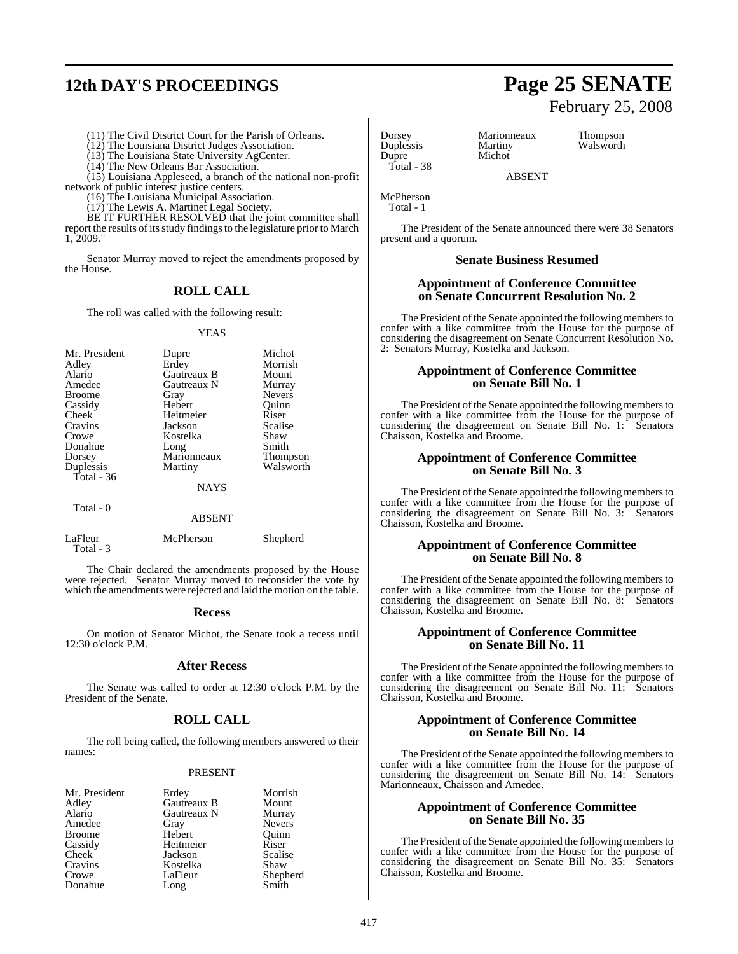# **12th DAY'S PROCEEDINGS Page 25 SENATE**

# February 25, 2008

- (11) The Civil District Court for the Parish of Orleans.
- (12) The Louisiana District Judges Association.
- (13) The Louisiana State University AgCenter.
- (14) The New Orleans Bar Association.

(15) Louisiana Appleseed, a branch of the national non-profit network of public interest justice centers.

(16) The Louisiana Municipal Association.

(17) The Lewis A. Martinet Legal Society.

BE IT FURTHER RESOLVED that the joint committee shall report the results of its study findings to the legislature prior to March 1, 2009."

Senator Murray moved to reject the amendments proposed by the House.

## **ROLL CALL**

The roll was called with the following result:

#### YEAS

| Mr. President<br>Adley<br>Alario<br>Amedee<br><b>Broome</b><br>Cassidy<br>Cheek<br>Cravins<br>Crowe<br>Donahue<br>Dorsey | Dupre<br>Erdey<br>Gautreaux B<br>Gautreaux N<br>Gray<br>Hebert<br>Heitmeier<br>Jackson<br>Kostelka<br>Long<br>Marionneaux | Michot<br>Morrish<br>Mount<br>Murray<br><b>Nevers</b><br>Ouinn<br>Riser<br>Scalise<br>Shaw<br>Smith<br><b>Thompson</b> |
|--------------------------------------------------------------------------------------------------------------------------|---------------------------------------------------------------------------------------------------------------------------|------------------------------------------------------------------------------------------------------------------------|
|                                                                                                                          |                                                                                                                           |                                                                                                                        |
| Duplessis<br>Total - $36$                                                                                                | Martiny                                                                                                                   | Walsworth                                                                                                              |
|                                                                                                                          | <b>NAYS</b>                                                                                                               |                                                                                                                        |

#### ABSENT

| LaFleur<br>Total - 3 | McPherson | Shepherd |
|----------------------|-----------|----------|
|                      |           |          |

The Chair declared the amendments proposed by the House were rejected. Senator Murray moved to reconsider the vote by which the amendments were rejected and laid the motion on the table.

#### **Recess**

On motion of Senator Michot, the Senate took a recess until 12:30 o'clock P.M.

### **After Recess**

The Senate was called to order at 12:30 o'clock P.M. by the President of the Senate.

### **ROLL CALL**

The roll being called, the following members answered to their names:

#### PRESENT

Hebert <sub>Quinn</sub>

Mr. President Erdey Morrish<br>Adley Gautreaux B Mount Adley Gautreaux B Mount Amedee Gray Nevers<br>
Report Hebert Ouinn Cassidy Heitmeier Riser<br>Cheek Jackson Scalise Cheek Jackson Scalis<br>Cravins Kostelka Shaw Crowe LaFleur Shepherd<br>Donahue Long Smith Donahue

Total - 0

**Alaricaux N** Murray<br>
Gray Nevers Kostelka<br>LaFleur

Total - 38

Dorsey Marionneaux Thompson Duplessis Martiny Walsworth<br>
Dupre Michot Michot

ABSENT

McPherson Total - 1

The President of the Senate announced there were 38 Senators present and a quorum.

#### **Senate Business Resumed**

### **Appointment of Conference Committee on Senate Concurrent Resolution No. 2**

The President of the Senate appointed the following members to confer with a like committee from the House for the purpose of considering the disagreement on Senate Concurrent Resolution No. 2: Senators Murray, Kostelka and Jackson.

### **Appointment of Conference Committee on Senate Bill No. 1**

The President of the Senate appointed the following members to confer with a like committee from the House for the purpose of considering the disagreement on Senate Bill No. 1: Senators Chaisson, Kostelka and Broome.

#### **Appointment of Conference Committee on Senate Bill No. 3**

The President of the Senate appointed the following members to confer with a like committee from the House for the purpose of considering the disagreement on Senate Bill No. 3: Senators Chaisson, Kostelka and Broome.

### **Appointment of Conference Committee on Senate Bill No. 8**

The President of the Senate appointed the following members to confer with a like committee from the House for the purpose of considering the disagreement on Senate Bill No. 8: Senators Chaisson, Kostelka and Broome.

#### **Appointment of Conference Committee on Senate Bill No. 11**

The President of the Senate appointed the following members to confer with a like committee from the House for the purpose of considering the disagreement on Senate Bill No. 11: Senators Chaisson, Kostelka and Broome.

#### **Appointment of Conference Committee on Senate Bill No. 14**

The President of the Senate appointed the following members to confer with a like committee from the House for the purpose of considering the disagreement on Senate Bill No. 14: Senators Marionneaux, Chaisson and Amedee.

#### **Appointment of Conference Committee on Senate Bill No. 35**

The President of the Senate appointed the following members to confer with a like committee from the House for the purpose of considering the disagreement on Senate Bill No. 35: Senators Chaisson, Kostelka and Broome.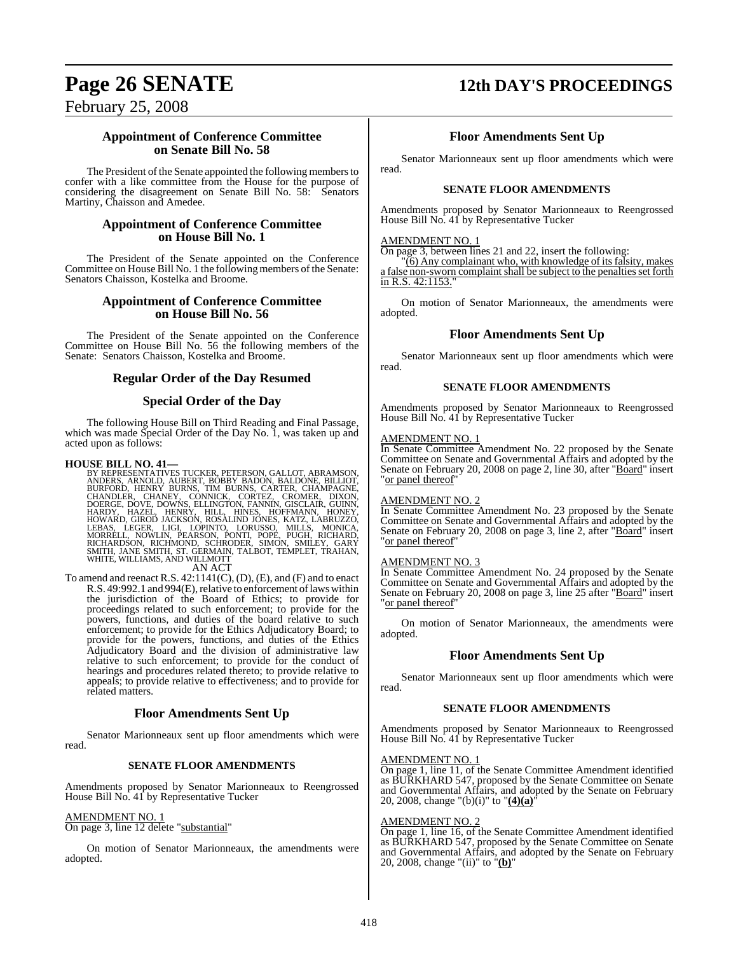# **Page 26 SENATE 12th DAY'S PROCEEDINGS**

February 25, 2008

### **Appointment of Conference Committee on Senate Bill No. 58**

The President of the Senate appointed the following members to confer with a like committee from the House for the purpose of considering the disagreement on Senate Bill No. 58: Senators Martiny, Chaisson and Amedee.

#### **Appointment of Conference Committee on House Bill No. 1**

The President of the Senate appointed on the Conference Committee on House Bill No. 1 the following members of the Senate: Senators Chaisson, Kostelka and Broome.

#### **Appointment of Conference Committee on House Bill No. 56**

The President of the Senate appointed on the Conference Committee on House Bill No. 56 the following members of the Senate: Senators Chaisson, Kostelka and Broome.

#### **Regular Order of the Day Resumed**

#### **Special Order of the Day**

The following House Bill on Third Reading and Final Passage, which was made Special Order of the Day No. 1, was taken up and acted upon as follows:

HOUSE BILL NO. 41—<br>BY REPRESENTATIVES TUCKER, PETERSON, GALLOT, ABRAMSON, ANDERS, ARNOLD, AUBERT, BOBBY BADON, BALDONE, BILLIOT,<br>BURFORD, HENRY BURNS, TIM BURNS, CARTER, CHAMPAGNE,<br>CHANDLER, CHANEY, CONNICK, CORTEZ, CROMER

AN ACT

To amend and reenact R.S. 42:1141(C), (D), (E), and (F) and to enact R.S. 49:992.1 and 994(E), relative to enforcement of laws within the jurisdiction of the Board of Ethics; to provide for proceedings related to such enforcement; to provide for the powers, functions, and duties of the board relative to such enforcement; to provide for the Ethics Adjudicatory Board; to provide for the powers, functions, and duties of the Ethics Adjudicatory Board and the division of administrative law relative to such enforcement; to provide for the conduct of hearings and procedures related thereto; to provide relative to appeals; to provide relative to effectiveness; and to provide for related matters.

#### **Floor Amendments Sent Up**

Senator Marionneaux sent up floor amendments which were read.

#### **SENATE FLOOR AMENDMENTS**

Amendments proposed by Senator Marionneaux to Reengrossed House Bill No. 41 by Representative Tucker

#### AMENDMENT NO. 1

On page 3, line 12 delete "substantial"

On motion of Senator Marionneaux, the amendments were adopted.

### **Floor Amendments Sent Up**

Senator Marionneaux sent up floor amendments which were read.

#### **SENATE FLOOR AMENDMENTS**

Amendments proposed by Senator Marionneaux to Reengrossed House Bill No. 41 by Representative Tucker

#### AMENDMENT NO. 1

On page 3, between lines 21 and 22, insert the following:

"(6) Any complainant who, with knowledge of its falsity, makes a false non-sworn complaint shall be subject to the penalties set forth in R.S. 42:1153.

On motion of Senator Marionneaux, the amendments were adopted.

#### **Floor Amendments Sent Up**

Senator Marionneaux sent up floor amendments which were read.

#### **SENATE FLOOR AMENDMENTS**

Amendments proposed by Senator Marionneaux to Reengrossed House Bill No. 41 by Representative Tucker

#### AMENDMENT NO. 1

In Senate Committee Amendment No. 22 proposed by the Senate Committee on Senate and Governmental Affairs and adopted by the Senate on February 20, 2008 on page 2, line 30, after "Board" insert "or panel thereof"

#### AMENDMENT NO. 2

In Senate Committee Amendment No. 23 proposed by the Senate Committee on Senate and Governmental Affairs and adopted by the Senate on February 20, 2008 on page 3, line 2, after "Board" insert "or panel thereof"

#### AMENDMENT NO. 3

In Senate Committee Amendment No. 24 proposed by the Senate Committee on Senate and Governmental Affairs and adopted by the Senate on February 20, 2008 on page 3, line 25 after "Board" insert "or panel thereof

On motion of Senator Marionneaux, the amendments were adopted.

#### **Floor Amendments Sent Up**

Senator Marionneaux sent up floor amendments which were read.

#### **SENATE FLOOR AMENDMENTS**

Amendments proposed by Senator Marionneaux to Reengrossed House Bill No. 41 by Representative Tucker

#### AMENDMENT NO. 1

On page 1, line 11, of the Senate Committee Amendment identified as BURKHARD 547, proposed by the Senate Committee on Senate and Governmental Affairs, and adopted by the Senate on February 20, 2008, change "(b)(i)" to "**(4)(a)**"

#### AMENDMENT NO. 2

On page 1, line 16, of the Senate Committee Amendment identified as BURKHARD 547, proposed by the Senate Committee on Senate and Governmental Affairs, and adopted by the Senate on February 20, 2008, change "(ii)" to "**(b)**"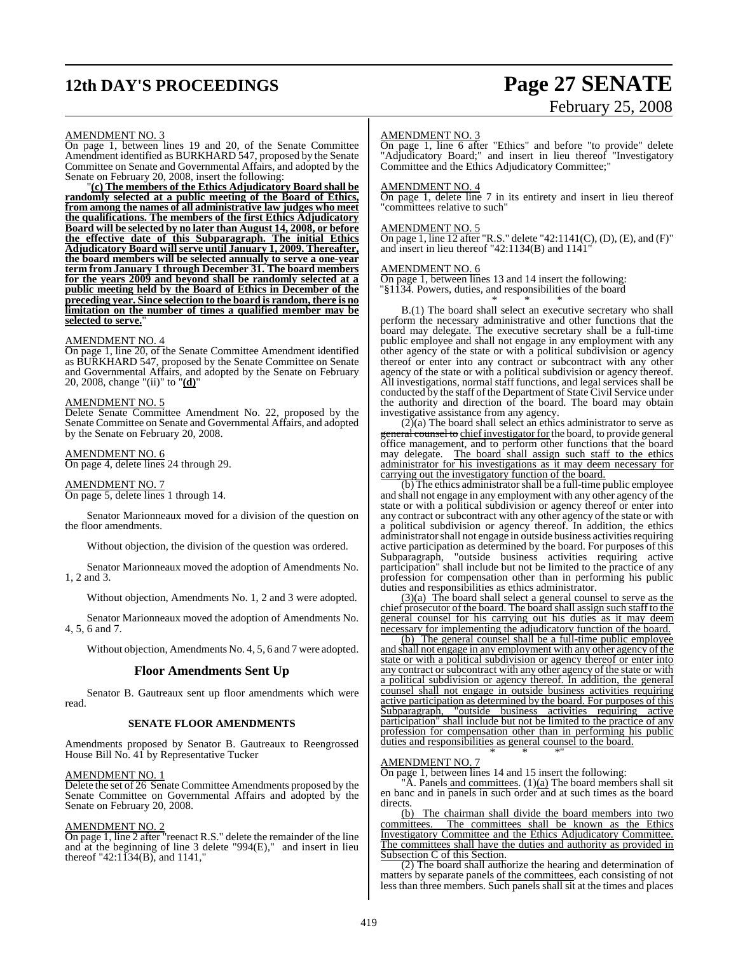# **12th DAY'S PROCEEDINGS Page 27 SENATE**

# February 25, 2008

#### AMENDMENT NO. 3

On page 1, between lines 19 and 20, of the Senate Committee Amendment identified as BURKHARD 547, proposed by the Senate Committee on Senate and Governmental Affairs, and adopted by the Senate on February 20, 2008, insert the following:

"**(c) The members of the Ethics Adjudicatory Board shall be randomly selected at a public meeting of the Board of Ethics, from among the names of all administrative law judges who meet the qualifications. The members of the first Ethics Adjudicatory Board will be selected by no later than August 14, 2008, or before the effective date of this Subparagraph. The initial Ethics Adjudicatory Board will serve until January 1, 2009. Thereafter, the board members will be selected annually to serve a one-year term from January 1 through December 31. The board members for the years 2009 and beyond shall be randomly selected at a public meeting held by the Board of Ethics in December of the preceding year. Since selection to the board is random, there is no limitation on the number of times a qualified member may be selected to serve.**"

#### AMENDMENT NO. 4

On page 1, line 20, of the Senate Committee Amendment identified as BURKHARD 547, proposed by the Senate Committee on Senate and Governmental Affairs, and adopted by the Senate on February 20, 2008, change "(ii)" to "**(d)**"

#### AMENDMENT NO. 5

Delete Senate Committee Amendment No. 22, proposed by the Senate Committee on Senate and Governmental Affairs, and adopted by the Senate on February 20, 2008.

#### AMENDMENT NO. 6

On page 4, delete lines 24 through 29.

#### AMENDMENT NO. 7 On page 5, delete lines 1 through 14.

Senator Marionneaux moved for a division of the question on the floor amendments.

Without objection, the division of the question was ordered.

Senator Marionneaux moved the adoption of Amendments No. 1, 2 and 3.

Without objection, Amendments No. 1, 2 and 3 were adopted.

Senator Marionneaux moved the adoption of Amendments No. 4, 5, 6 and 7.

Without objection, Amendments No. 4, 5, 6 and 7 were adopted.

#### **Floor Amendments Sent Up**

Senator B. Gautreaux sent up floor amendments which were read.

#### **SENATE FLOOR AMENDMENTS**

Amendments proposed by Senator B. Gautreaux to Reengrossed House Bill No. 41 by Representative Tucker

#### AMENDMENT NO. 1

Delete the set of 26 Senate Committee Amendments proposed by the Senate Committee on Governmental Affairs and adopted by the Senate on February 20, 2008.

#### AMENDMENT NO. 2

On page 1, line 2 after "reenact R.S." delete the remainder of the line and at the beginning of line 3 delete "994(E)," and insert in lieu thereof "42:1134(B), and 1141,"

#### AMENDMENT NO. 3

**On page 1, line 6 after "Ethics" and before "to provide" delete** "Adjudicatory Board:" and insert in lieu thereof "Investigatory" Committee and the Ethics Adjudicatory Committee;"

#### AMENDMENT NO. 4

On page 1, delete line 7 in its entirety and insert in lieu thereof "committees relative to such"

#### AMENDMENT NO. 5

On page 1, line 12 after "R.S." delete "42:1141(C), (D), (E), and (F)" and insert in lieu thereof "42:1134(B) and 1141"

#### AMENDMENT NO. 6

On page 1, between lines 13 and 14 insert the following: "§1134. Powers, duties, and responsibilities of the board \* \* \*

B.(1) The board shall select an executive secretary who shall perform the necessary administrative and other functions that the board may delegate. The executive secretary shall be a full-time public employee and shall not engage in any employment with any other agency of the state or with a political subdivision or agency thereof or enter into any contract or subcontract with any other agency of the state or with a political subdivision or agency thereof. All investigations, normal staff functions, and legal services shall be conducted by the staff of the Department of State Civil Service under the authority and direction of the board. The board may obtain investigative assistance from any agency.

 $(2)$ (a) The board shall select an ethics administrator to serve as  $\frac{q}{q}$  counsel to chief investigator for the board, to provide general office management, and to perform other functions that the board may delegate. The board shall assign such staff to the ethics administrator for his investigations as it may deem necessary for carrying out the investigatory function of the board.

(b) The ethics administratorshall be a full-time public employee and shall not engage in any employment with any other agency of the state or with a political subdivision or agency thereof or enter into any contract or subcontract with any other agency of the state or with a political subdivision or agency thereof. In addition, the ethics administrator shall not engage in outside business activities requiring active participation as determined by the board. For purposes of this Subparagraph, "outside business activities requiring active participation" shall include but not be limited to the practice of any profession for compensation other than in performing his public duties and responsibilities as ethics administrator.

(3)(a) The board shall select a general counsel to serve as the chief prosecutor of the board. The board shall assign such staff to the general counsel for his carrying out his duties as it may deem necessary for implementing the adjudicatory function of the board.

(b) The general counsel shall be a full-time public employee and shall not engage in any employment with any other agency of the state or with a political subdivision or agency thereof or enter into any contract or subcontract with any other agency of the state or with a political subdivision or agency thereof. In addition, the general counsel shall not engage in outside business activities requiring active participation as determined by the board. For purposes of this Subparagraph, "outside business activities requiring active Subparagraph, "outside business activities requiring active participation" shall include but not be limited to the practice of any profession for compensation other than in performing his public duties and responsibilities as general counsel to the board.

#### AMENDMENT NO. 7

On page 1, between lines 14 and 15 insert the following:

'A. Panels and committees.  $(1)(a)$  The board members shall sit en banc and in panels in such order and at such times as the board directs.

\* \* \*"

(b) The chairman shall divide the board members into two committees. The committees shall be known as the Ethics Investigatory Committee and the Ethics Adjudicatory Committee. The committees shall have the duties and authority as provided in Subsection C of this Section.

(2) The board shall authorize the hearing and determination of matters by separate panels of the committees, each consisting of not less than three members. Such panels shall sit at the times and places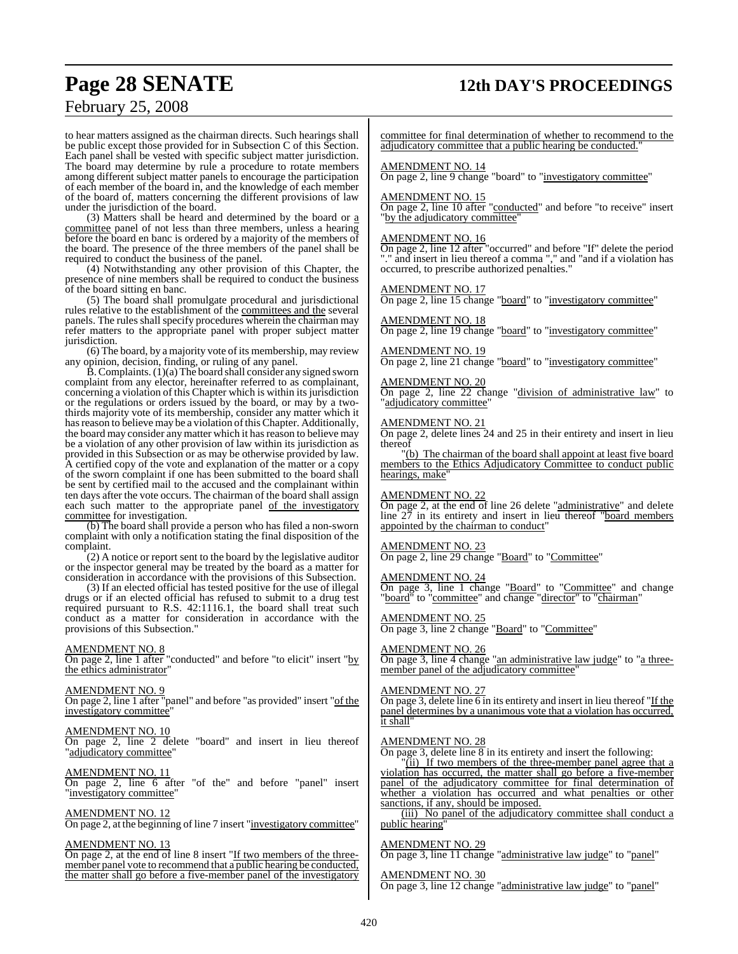## **Page 28 SENATE 12th DAY'S PROCEEDINGS**

## February 25, 2008

to hear matters assigned as the chairman directs. Such hearings shall be public except those provided for in Subsection C of this Section. Each panel shall be vested with specific subject matter jurisdiction. The board may determine by rule a procedure to rotate members among different subject matter panels to encourage the participation of each member of the board in, and the knowledge of each member of the board of, matters concerning the different provisions of law under the jurisdiction of the board.

(3) Matters shall be heard and determined by the board or  $\underline{a}$ committee panel of not less than three members, unless a hearing before the board en banc is ordered by a majority of the members of the board. The presence of the three members of the panel shall be required to conduct the business of the panel.

(4) Notwithstanding any other provision of this Chapter, the presence of nine members shall be required to conduct the business of the board sitting en banc.

(5) The board shall promulgate procedural and jurisdictional rules relative to the establishment of the committees and the several panels. The rules shall specify procedures wherein the chairman may refer matters to the appropriate panel with proper subject matter jurisdiction.

(6) The board, by a majority vote of its membership, may review any opinion, decision, finding, or ruling of any panel.

 $\dot{B}$ . Complaints. (1)(a) The board shall consider any signed sworn complaint from any elector, hereinafter referred to as complainant, concerning a violation of this Chapter which is within its jurisdiction or the regulations or orders issued by the board, or may by a twothirds majority vote of its membership, consider any matter which it has reason to believe may be a violation of this Chapter. Additionally, the board may consider any matter which it has reason to believe may be a violation of any other provision of law within its jurisdiction as provided in this Subsection or as may be otherwise provided by law. A certified copy of the vote and explanation of the matter or a copy of the sworn complaint if one has been submitted to the board shall be sent by certified mail to the accused and the complainant within ten days after the vote occurs. The chairman of the board shall assign each such matter to the appropriate panel of the investigatory committee for investigation.

(b) The board shall provide a person who has filed a non-sworn complaint with only a notification stating the final disposition of the complaint.

(2) A notice or report sent to the board by the legislative auditor or the inspector general may be treated by the board as a matter for consideration in accordance with the provisions of this Subsection.

(3) If an elected official has tested positive for the use of illegal drugs or if an elected official has refused to submit to a drug test required pursuant to R.S. 42:1116.1, the board shall treat such conduct as a matter for consideration in accordance with the provisions of this Subsection."

#### AMENDMENT NO. 8

On page 2, line 1 after "conducted" and before "to elicit" insert "by the ethics administrator"

#### AMENDMENT NO. 9

On page 2, line 1 after "panel" and before "as provided" insert "of the investigatory committee"

#### AMENDMENT NO. 10

On page 2, line 2 delete "board" and insert in lieu thereof "adjudicatory committee"

#### AMENDMENT NO. 11

On page 2, line 6 after "of the" and before "panel" insert "investigatory committee"

#### AMENDMENT NO. 12

On page 2, at the beginning of line 7 insert "<u>investigatory committee</u>"

#### AMENDMENT NO. 13

On page 2, at the end of line 8 insert "If two members of the threemember panel vote to recommend that a public hearing be conducted, the matter shall go before a five-member panel of the investigatory

committee for final determination of whether to recommend to the adjudicatory committee that a public hearing be conducted."

#### AMENDMENT NO. 14

On page 2, line 9 change "board" to "investigatory committee"

#### AMENDMENT NO. 15

On page 2, line 10 after "conducted" and before "to receive" insert "by the adjudicatory committee"

#### AMENDMENT NO. 16

On page 2, line 12 after "occurred" and before "If" delete the period "." and insert in lieu thereof a comma "," and "and if a violation has occurred, to prescribe authorized penalties."

#### AMENDMENT NO. 17

On page 2, line 15 change "board" to "investigatory committee"

#### AMENDMENT NO. 18

On page 2, line 19 change "board" to "investigatory committee"

### AMENDMENT NO. 19

On page 2, line 21 change "board" to "investigatory committee"

#### AMENDMENT NO. 20

**On page 2, line 22 change "division of administrative law"** to "adjudicatory committee"

#### AMENDMENT NO. 21

On page 2, delete lines 24 and 25 in their entirety and insert in lieu thereof

"(b) The chairman of the board shall appoint at least five board members to the Ethics Adjudicatory Committee to conduct public hearings, make

#### AMENDMENT NO. 22

On page 2, at the end of line 26 delete "administrative" and delete line 27 in its entirety and insert in lieu thereof "board members appointed by the chairman to conduct"

#### AMENDMENT NO. 23

On page 2, line 29 change "Board" to "Committee"

#### AMENDMENT NO. 24

On page 3, line 1 change "Board" to "Committee" and change "board<sup>"</sup> to "committee" and change "director" to "chairman"

#### AMENDMENT NO. 25

On page 3, line 2 change "Board" to "Committee"

#### AMENDMENT NO. 26

On page 3, line 4 change "an administrative law judge" to "a threemember panel of the adjudicatory committee'

#### AMENDMENT NO. 27

On page 3, delete line 6 in its entirety and insert in lieu thereof "If the panel determines by a unanimous vote that a violation has occurred, it shall"

#### AMENDMENT NO. 28

On page 3, delete line 8 in its entirety and insert the following:

"(ii) If two members of the three-member panel agree that a violation has occurred, the matter shall go before a five-member panel of the adjudicatory committee for final determination of whether a violation has occurred and what penalties or other sanctions, if any, should be imposed.

(iii) No panel of the adjudicatory committee shall conduct a public hearing"

#### AMENDMENT NO. 29

On page 3, line 11 change "administrative law judge" to "panel"

AMENDMENT NO. 30 On page 3, line 12 change "administrative law judge" to "panel"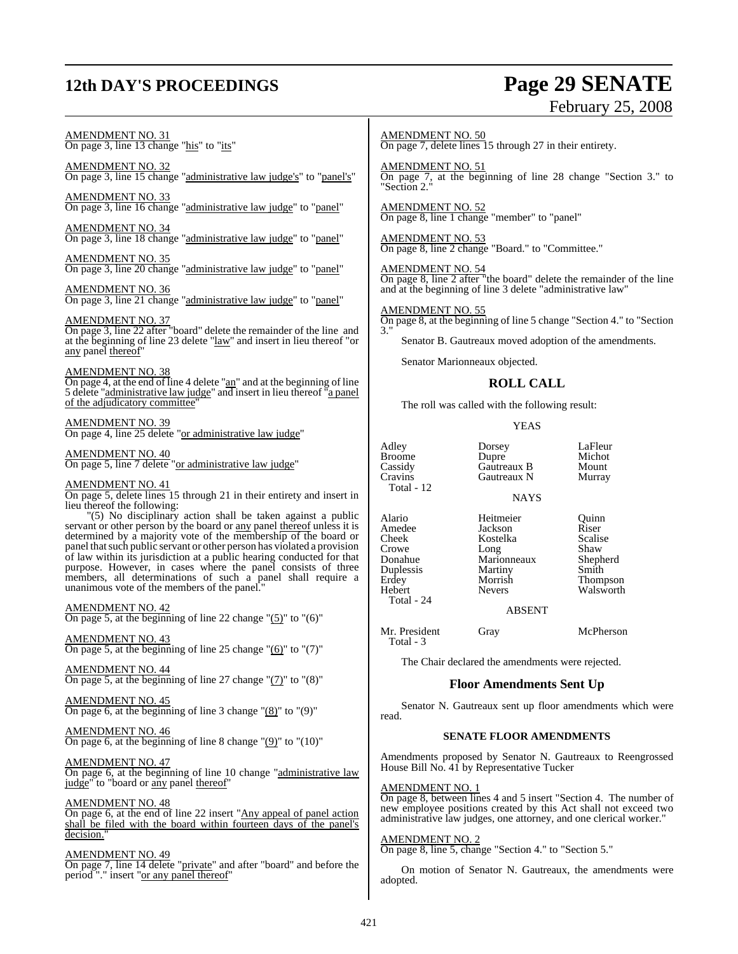# **12th DAY'S PROCEEDINGS Page 29 SENATE**

# February 25, 2008

## AMENDMENT NO. 31 On page 3, line 13 change "his" to "its"

AMENDMENT NO. 32 On page 3, line 15 change "administrative law judge's" to "panel's"

AMENDMENT NO. 33 On page 3, line 16 change "administrative law judge" to "panel"

AMENDMENT NO. 34 On page 3, line 18 change "administrative law judge" to "panel"

AMENDMENT NO. 35 On page 3, line 20 change "administrative law judge" to "panel"

AMENDMENT NO. 36 On page 3, line 21 change "administrative law judge" to "panel"

#### AMENDMENT NO. 37

On page 3, line 22 after "board" delete the remainder of the line and at the beginning of line 23 delete "law" and insert in lieu thereof "or any panel thereof"

#### AMENDMENT NO. 38

 $\overline{\text{On page 4}}$ , at the end of line 4 delete "an" and at the beginning of line 5 delete "administrative law judge" and insert in lieu thereof "a panel of the adjudicatory committee"

#### AMENDMENT NO. 39

On page 4, line 25 delete "or administrative law judge"

#### AMENDMENT NO. 40

On page 5, line 7 delete "or administrative law judge"

#### AMENDMENT NO. 41

On page 5, delete lines 15 through 21 in their entirety and insert in lieu thereof the following:

"(5) No disciplinary action shall be taken against a public servant or other person by the board or any panel thereof unless it is determined by a majority vote of the membership of the board or panel thatsuch public servant or other person has violated a provision of law within its jurisdiction at a public hearing conducted for that purpose. However, in cases where the panel consists of three members, all determinations of such a panel shall require a unanimous vote of the members of the panel."

#### AMENDMENT NO. 42

On page 5, at the beginning of line 22 change " $(5)$ " to " $(6)$ "

#### AMENDMENT NO. 43

On page 5, at the beginning of line 25 change  $"(6)"$  to  $"(7)"$ 

AMENDMENT NO. 44 On page 5, at the beginning of line 27 change  $\Gamma$ (7) $\Gamma$  to  $\Gamma$ (8) $\Gamma$ 

#### AMENDMENT NO. 45 On page 6, at the beginning of line 3 change " $(8)$ " to " $(9)$ "

AMENDMENT NO. 46 On page 6, at the beginning of line 8 change " $(9)$ " to " $(10)$ "

AMENDMENT NO. 47

On page 6, at the beginning of line 10 change "administrative law judge" to "board or any panel thereof"

#### AMENDMENT NO. 48

On page 6, at the end of line 22 insert "Any appeal of panel action shall be filed with the board within fourteen days of the panel's decision.

#### AMENDMENT NO. 49

On page 7, line 14 delete "private" and after "board" and before the period "." insert "or any panel thereof"

#### AMENDMENT NO. 50

On page 7, delete lines 15 through 27 in their entirety.

AMENDMENT NO. 51 On page 7, at the beginning of line 28 change "Section 3." to "Section 2."

AMENDMENT NO. 52 On page 8, line 1 change "member" to "panel"

AMENDMENT NO. 53 On page 8, line 2 change "Board." to "Committee."

#### AMENDMENT NO. 54

On page 8, line 2 after "the board" delete the remainder of the line and at the beginning of line 3 delete "administrative law"

#### AMENDMENT NO. 55

On page 8, at the beginning of line 5 change "Section 4." to "Section 3."

Senator B. Gautreaux moved adoption of the amendments.

Senator Marionneaux objected.

#### **ROLL CALL**

The roll was called with the following result:

Gautreaux N

#### YEAS

NAYS

Adley Dorsey LaFleur Broome Dupre Michot<br>Cassidy Gautreaux B Mount Cassidy Gautreaux B Mount<br>Cravins Gautreaux N Murray Total - 12 Alario Heitmeier Quinn Amedee Jackson Riser<br>Cheek Kostelka Scalise Crowe Long Shaw<br>Donahue Marionneaux Shepherd **Duplessis** Martiny<br> **Erdey Morrish** Erdey Morrish Thompson Total - 24

Total - 3

Kostelka Scalis<br>
Long Shaw Marionneaux Shepherd<br>Martiny Smith

Walsworth

#### ABSENT

Mr. President Gray McPherson

The Chair declared the amendments were rejected.

### **Floor Amendments Sent Up**

Senator N. Gautreaux sent up floor amendments which were read.

#### **SENATE FLOOR AMENDMENTS**

Amendments proposed by Senator N. Gautreaux to Reengrossed House Bill No. 41 by Representative Tucker

#### AMENDMENT NO. 1

On page 8, between lines 4 and 5 insert "Section 4. The number of new employee positions created by this Act shall not exceed two administrative law judges, one attorney, and one clerical worker."

#### AMENDMENT NO. 2

On page 8, line 5, change "Section 4." to "Section 5."

On motion of Senator N. Gautreaux, the amendments were adopted.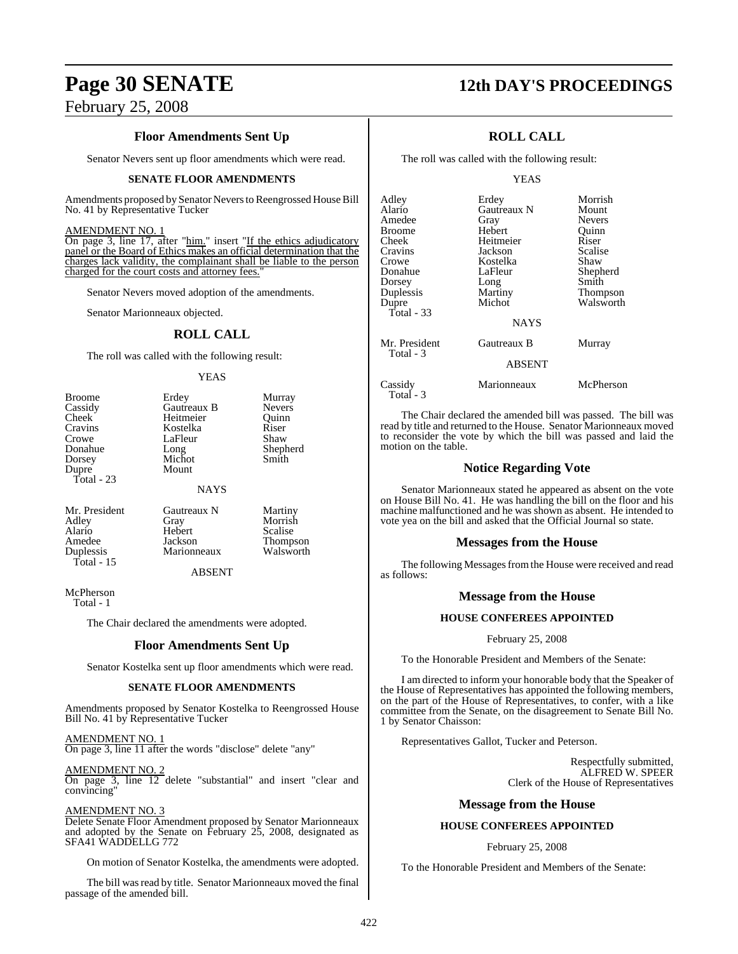## **Floor Amendments Sent Up**

Senator Nevers sent up floor amendments which were read.

#### **SENATE FLOOR AMENDMENTS**

Amendments proposed by Senator Nevers to Reengrossed House Bill No. 41 by Representative Tucker

#### AMENDMENT NO. 1

On page 3, line 17, after "him." insert "If the ethics adjudicatory panel or the Board of Ethics makes an official determination that the charges lack validity, the complainant shall be liable to the person charged for the court costs and attorney fees."

Senator Nevers moved adoption of the amendments.

Senator Marionneaux objected.

#### **ROLL CALL**

The roll was called with the following result:

#### YEAS

| <b>Broome</b>                             | Erdey                               | Murray              |
|-------------------------------------------|-------------------------------------|---------------------|
| Cassidy                                   | Gautreaux B                         | <b>Nevers</b>       |
| <b>Cheek</b>                              | Heitmeier                           | Ouinn               |
| Cravins                                   | Kostelka                            | Riser               |
| Crowe                                     | LaFleur                             | Shaw                |
| Donahue                                   | Long                                | Shepherd            |
| Dorsey                                    | Michot                              | Smith               |
| Dupre<br>Total - 23<br>Mr. President<br>. | Mount<br><b>NAYS</b><br>Gautreaux N | Martiny<br>$\cdots$ |

Alario Hebert<br>Amedee Jackson Total - 15

Adley Gray Morrish<br>Alario Hebert Scalise Amedee Jackson Thompson<br>
Duplessis Marionneaux Walsworth

#### ABSENT

McPherson

Total - 1

The Chair declared the amendments were adopted.

**Marionneaux** 

#### **Floor Amendments Sent Up**

Senator Kostelka sent up floor amendments which were read.

#### **SENATE FLOOR AMENDMENTS**

Amendments proposed by Senator Kostelka to Reengrossed House Bill No. 41 by Representative Tucker

AMENDMENT NO. 1 On page 3, line 11 after the words "disclose" delete "any"

AMENDMENT NO. 2 On page 3, line 12 delete "substantial" and insert "clear and convincing"

#### AMENDMENT NO. 3

Delete Senate Floor Amendment proposed by Senator Marionneaux and adopted by the Senate on February 25, 2008, designated as SFA41 WADDELLG 772

On motion of Senator Kostelka, the amendments were adopted.

The bill was read by title. Senator Marionneaux moved the final passage of the amended bill.

## **Page 30 SENATE 12th DAY'S PROCEEDINGS**

## **ROLL CALL**

The roll was called with the following result:

#### YEAS

| Adley<br>Alario<br>Amedee<br>Broome<br>Cheek<br>Cravins<br>Crowe<br>Donahue<br>Dorsey<br>Duplessis<br>Dupre<br><b>Total - 33</b> | Erdey<br>Gautreaux N<br>Gray<br>Hebert<br>Heitmeier<br>Jackson<br>Kostelka<br>LaFleur<br>Long<br>Martiny<br>Michot<br><b>NAYS</b> | Morrish<br>Mount<br><b>Nevers</b><br>Ouinn<br>Riser<br>Scalise<br>Shaw<br>Shepherd<br>Smith<br>Thompson<br>Walsworth |
|----------------------------------------------------------------------------------------------------------------------------------|-----------------------------------------------------------------------------------------------------------------------------------|----------------------------------------------------------------------------------------------------------------------|
| Mr. President<br>Total - 3                                                                                                       | Gautreaux B<br><b>ABSENT</b>                                                                                                      | Murray                                                                                                               |
| Cassidy<br>Total - 3                                                                                                             | Marionneaux                                                                                                                       | McPherson                                                                                                            |

The Chair declared the amended bill was passed. The bill was read by title and returned to the House. Senator Marionneaux moved to reconsider the vote by which the bill was passed and laid the motion on the table.

### **Notice Regarding Vote**

Senator Marionneaux stated he appeared as absent on the vote on House Bill No. 41. He was handling the bill on the floor and his machine malfunctioned and he was shown as absent. He intended to vote yea on the bill and asked that the Official Journal so state.

#### **Messages from the House**

The following Messages from the House were received and read as follows:

#### **Message from the House**

#### **HOUSE CONFEREES APPOINTED**

February 25, 2008

To the Honorable President and Members of the Senate:

I am directed to inform your honorable body that the Speaker of the House of Representatives has appointed the following members, on the part of the House of Representatives, to confer, with a like committee from the Senate, on the disagreement to Senate Bill No. 1 by Senator Chaisson:

Representatives Gallot, Tucker and Peterson.

Respectfully submitted, ALFRED W. SPEER Clerk of the House of Representatives

#### **Message from the House**

#### **HOUSE CONFEREES APPOINTED**

February 25, 2008

To the Honorable President and Members of the Senate: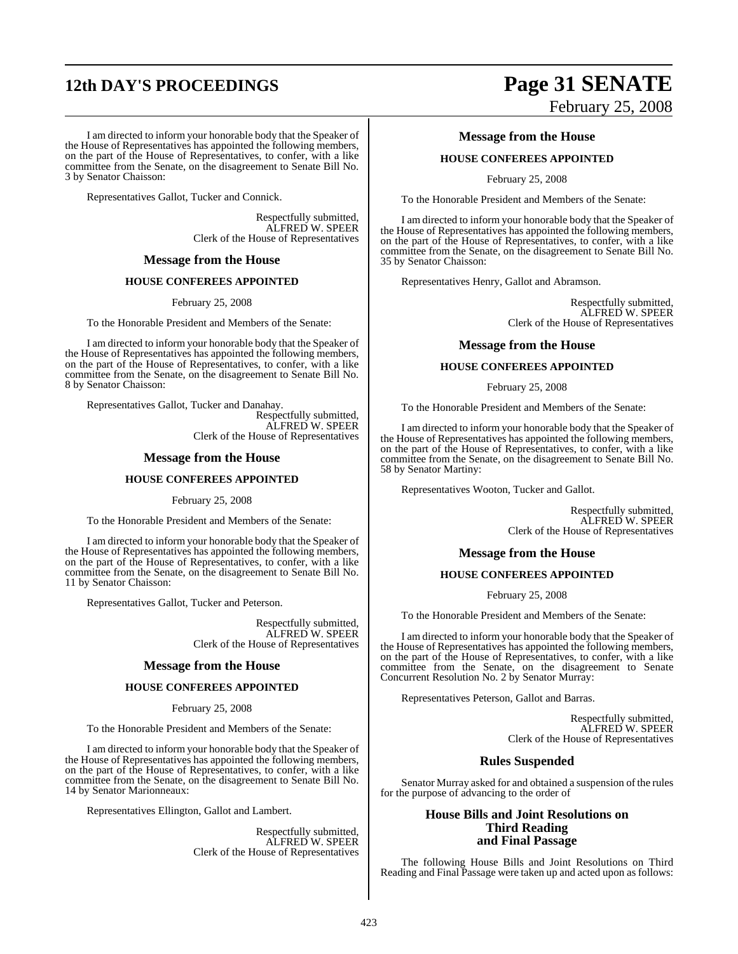# **12th DAY'S PROCEEDINGS Page 31 SENATE**

I am directed to inform your honorable body that the Speaker of the House of Representatives has appointed the following members, on the part of the House of Representatives, to confer, with a like committee from the Senate, on the disagreement to Senate Bill No. 3 by Senator Chaisson:

Representatives Gallot, Tucker and Connick.

Respectfully submitted, ALFRED W. SPEER Clerk of the House of Representatives

#### **Message from the House**

#### **HOUSE CONFEREES APPOINTED**

February 25, 2008

To the Honorable President and Members of the Senate:

I am directed to inform your honorable body that the Speaker of the House of Representatives has appointed the following members, on the part of the House of Representatives, to confer, with a like committee from the Senate, on the disagreement to Senate Bill No. 8 by Senator Chaisson:

Representatives Gallot, Tucker and Danahay. Respectfully submitted, ALFRED W. SPEER Clerk of the House of Representatives

#### **Message from the House**

#### **HOUSE CONFEREES APPOINTED**

February 25, 2008

To the Honorable President and Members of the Senate:

I am directed to inform your honorable body that the Speaker of the House of Representatives has appointed the following members, on the part of the House of Representatives, to confer, with a like committee from the Senate, on the disagreement to Senate Bill No. 11 by Senator Chaisson:

Representatives Gallot, Tucker and Peterson.

Respectfully submitted, ALFRED W. SPEER Clerk of the House of Representatives

#### **Message from the House**

#### **HOUSE CONFEREES APPOINTED**

February 25, 2008

To the Honorable President and Members of the Senate:

I am directed to inform your honorable body that the Speaker of the House of Representatives has appointed the following members, on the part of the House of Representatives, to confer, with a like committee from the Senate, on the disagreement to Senate Bill No. 14 by Senator Marionneaux:

Representatives Ellington, Gallot and Lambert.

Respectfully submitted, ALFRED W. SPEER Clerk of the House of Representatives

# February 25, 2008

#### **Message from the House**

#### **HOUSE CONFEREES APPOINTED**

February 25, 2008

To the Honorable President and Members of the Senate:

I am directed to inform your honorable body that the Speaker of the House of Representatives has appointed the following members, on the part of the House of Representatives, to confer, with a like committee from the Senate, on the disagreement to Senate Bill No. 35 by Senator Chaisson:

Representatives Henry, Gallot and Abramson.

Respectfully submitted, ALFRED W. SPEER Clerk of the House of Representatives

#### **Message from the House**

#### **HOUSE CONFEREES APPOINTED**

February 25, 2008

To the Honorable President and Members of the Senate:

I am directed to inform your honorable body that the Speaker of the House of Representatives has appointed the following members, on the part of the House of Representatives, to confer, with a like committee from the Senate, on the disagreement to Senate Bill No. 58 by Senator Martiny:

Representatives Wooton, Tucker and Gallot.

Respectfully submitted, ALFRED W. SPEER Clerk of the House of Representatives

#### **Message from the House**

#### **HOUSE CONFEREES APPOINTED**

February 25, 2008

To the Honorable President and Members of the Senate:

I am directed to inform your honorable body that the Speaker of the House of Representatives has appointed the following members, on the part of the House of Representatives, to confer, with a like committee from the Senate, on the disagreement to Senate Concurrent Resolution No. 2 by Senator Murray:

Representatives Peterson, Gallot and Barras.

Respectfully submitted, ALFRED W. SPEER Clerk of the House of Representatives

#### **Rules Suspended**

Senator Murray asked for and obtained a suspension of the rules for the purpose of advancing to the order of

#### **House Bills and Joint Resolutions on Third Reading and Final Passage**

The following House Bills and Joint Resolutions on Third Reading and Final Passage were taken up and acted upon as follows: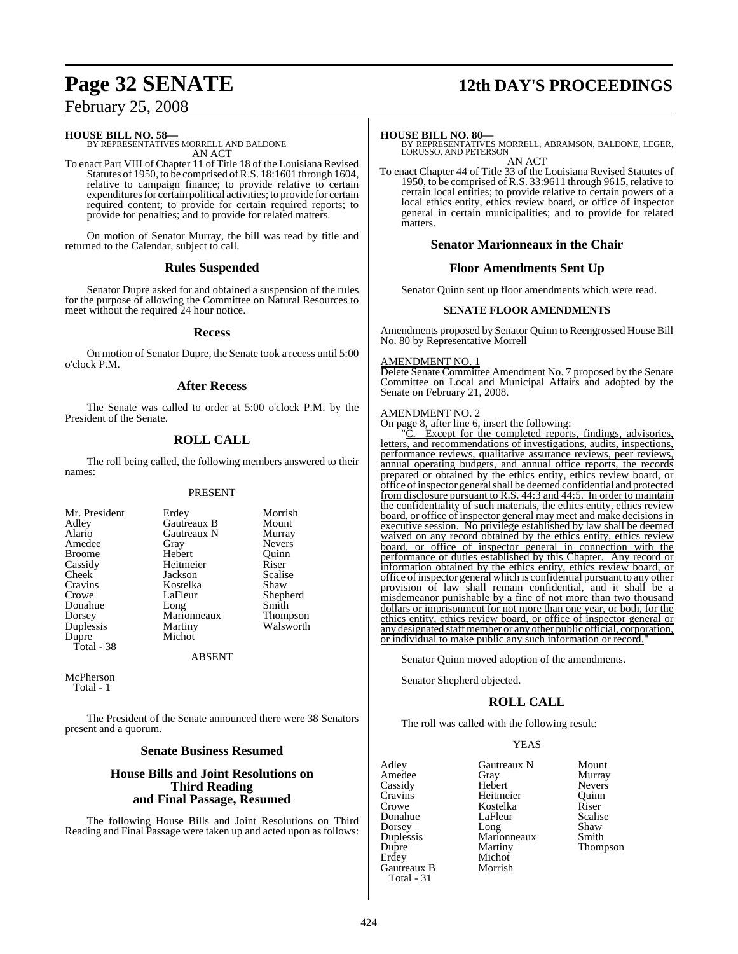# **Page 32 SENATE 12th DAY'S PROCEEDINGS**

## February 25, 2008

#### **HOUSE BILL NO. 58—**

BY REPRESENTATIVES MORRELL AND BALDONE AN ACT

To enact Part VIII of Chapter 11 of Title 18 of the Louisiana Revised Statutes of 1950, to be comprised ofR.S. 18:1601 through 1604, relative to campaign finance; to provide relative to certain expenditures for certain political activities; to provide for certain required content; to provide for certain required reports; to provide for penalties; and to provide for related matters.

On motion of Senator Murray, the bill was read by title and returned to the Calendar, subject to call.

#### **Rules Suspended**

Senator Dupre asked for and obtained a suspension of the rules for the purpose of allowing the Committee on Natural Resources to meet without the required 24 hour notice.

#### **Recess**

On motion of Senator Dupre, the Senate took a recess until 5:00 o'clock P.M.

#### **After Recess**

The Senate was called to order at 5:00 o'clock P.M. by the President of the Senate.

### **ROLL CALL**

The roll being called, the following members answered to their names:

#### PRESENT

Gautreaux N<br>Gray

Kostelka<br>LaFleur

Michot

Marionneaux<br>Martiny

| Mr. Presiden |
|--------------|
| Adley        |
| Alario       |
| Amedee       |
| Broome       |
| Cassidy      |
| Cheek        |
| Cravins      |
| Crowe        |
| Donahue      |
| Dorsey       |
| Duplessis    |
| Dupre        |
| Total - 38   |
|              |

nt Erdey Morrish<br>
Gautreaux B Mount Gautreaux B Mount<br>Gautreaux N Murray Nevers<br>Ouinn Hebert Quinn<br>
Heitmeier Riser Heitmeier Riser<br>
Jackson Scalise Jackson Scalis<br>Kostelka Shaw Shepherd Long Smith<br>
Marionneaux Thompson Walsworth

**ABSENT** 

McPherson Total - 1

The President of the Senate announced there were 38 Senators present and a quorum.

#### **Senate Business Resumed**

#### **House Bills and Joint Resolutions on Third Reading and Final Passage, Resumed**

The following House Bills and Joint Resolutions on Third Reading and Final Passage were taken up and acted upon as follows:

**HOUSE BILL NO. 80—** BY REPRESENTATIVES MORRELL, ABRAMSON, BALDONE, LEGER, LORUSSO, AND PETERSON AN ACT

To enact Chapter 44 of Title 33 of the Louisiana Revised Statutes of 1950, to be comprised of R.S. 33:9611 through 9615, relative to certain local entities; to provide relative to certain powers of a local ethics entity, ethics review board, or office of inspector general in certain municipalities; and to provide for related matters.

#### **Senator Marionneaux in the Chair**

#### **Floor Amendments Sent Up**

Senator Quinn sent up floor amendments which were read.

#### **SENATE FLOOR AMENDMENTS**

Amendments proposed by Senator Quinn to Reengrossed House Bill No. 80 by Representative Morrell

#### AMENDMENT NO. 1

Delete Senate Committee Amendment No. 7 proposed by the Senate Committee on Local and Municipal Affairs and adopted by the Senate on February 21, 2008.

#### AMENDMENT NO. 2

On page 8, after line  $\overline{6}$ , insert the following:

Except for the completed reports, findings, advisories, letters, and recommendations of investigations, audits, inspections, performance reviews, qualitative assurance reviews, peer reviews, annual operating budgets, and annual office reports, the records prepared or obtained by the ethics entity, ethics review board, or office ofinspector generalshall be deemed confidential and protected from disclosure pursuant to R.S. 44:3 and 44:5. In order to maintain the confidentiality of such materials, the ethics entity, ethics review board, or office of inspector general may meet and make decisions in executive session. No privilege established by law shall be deemed waived on any record obtained by the ethics entity, ethics review board, or office of inspector general in connection with the performance of duties established by this Chapter. Any record or information obtained by the ethics entity, ethics review board, or office of inspector general which is confidential pursuant to any other provision of law shall remain confidential, and it shall be a misdemeanor punishable by a fine of not more than two thousand dollars or imprisonment for not more than one year, or both, for the ethics entity, ethics review board, or office of inspector general or any designated staffmember or any other public official, corporation, or individual to make public any such information or record."

Senator Quinn moved adoption of the amendments.

Senator Shepherd objected.

### **ROLL CALL**

The roll was called with the following result:

#### YEAS

| Adley       | Gautreaux N | Mount         |
|-------------|-------------|---------------|
| Amedee      | Gray        | Murray        |
| Cassidy     | Hebert      | <b>Nevers</b> |
| Cravins     | Heitmeier   | Quinn         |
| Crowe       | Kostelka    | Riser         |
| Donahue     | LaFleur     | Scalise       |
| Dorsey      | Long        | Shaw          |
| Duplessis   | Marionneaux | Smith         |
| Dupre       | Martiny     | Thompson      |
| Erdey       | Michot      |               |
| Gautreaux B | Morrish     |               |
| Total - 31  |             |               |
|             |             |               |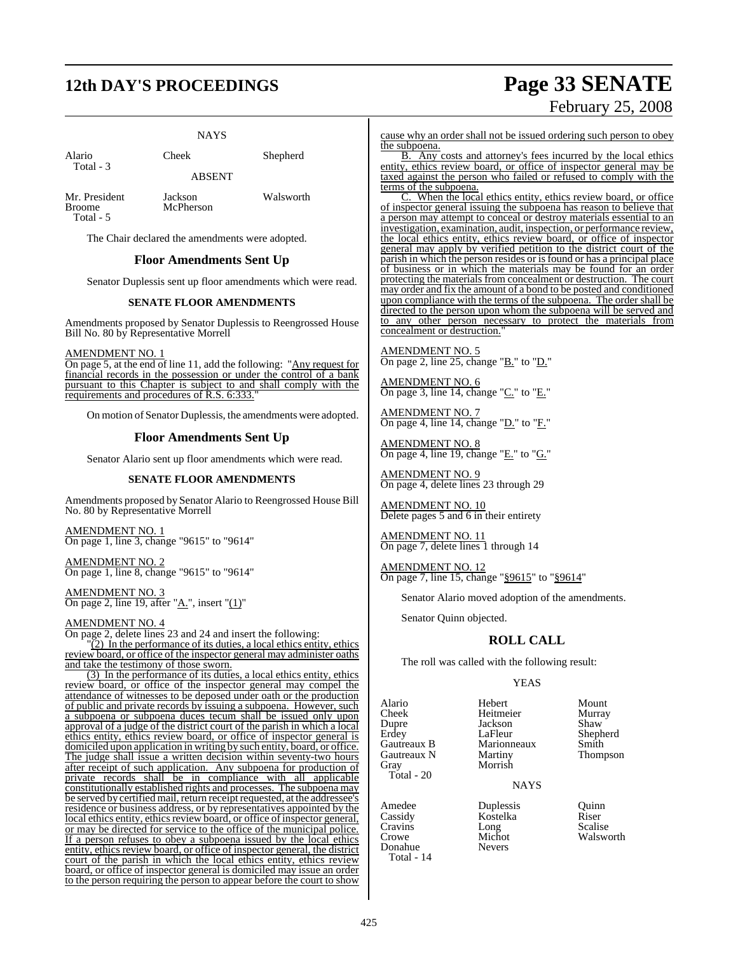# **12th DAY'S PROCEEDINGS Page 33 SENATE**

NAYS

Alario Cheek Shepherd Total - 3

ABSENT

Total - 5

Mr. President Jackson Walsworth<br>Broome McPherson

The Chair declared the amendments were adopted.

McPherson

### **Floor Amendments Sent Up**

Senator Duplessis sent up floor amendments which were read.

#### **SENATE FLOOR AMENDMENTS**

Amendments proposed by Senator Duplessis to Reengrossed House Bill No. 80 by Representative Morrell

AMENDMENT NO. 1

On page 5, at the end of line 11, add the following: "Any request for financial records in the possession or under the control of a bank pursuant to this Chapter is subject to and shall comply with the requirements and procedures of R.S. 6:333.

On motion of Senator Duplessis, the amendments were adopted.

#### **Floor Amendments Sent Up**

Senator Alario sent up floor amendments which were read.

#### **SENATE FLOOR AMENDMENTS**

Amendments proposed by Senator Alario to Reengrossed House Bill No. 80 by Representative Morrell

AMENDMENT NO. 1 On page 1, line 3, change "9615" to "9614"

AMENDMENT NO. 2 On page 1, line 8, change "9615" to "9614"

AMENDMENT NO. 3 On page 2, line 19, after " $\underline{A}$ .", insert " $\underline{(1)}$ "

#### AMENDMENT NO. 4

On page 2, delete lines 23 and 24 and insert the following:

 $\sqrt{2}$ ) In the performance of its duties, a local ethics entity, ethics review board, or office of the inspector general may administer oaths and take the testimony of those sworn.

(3) In the performance of its duties, a local ethics entity, ethics review board, or office of the inspector general may compel the attendance of witnesses to be deposed under oath or the production of public and private records by issuing a subpoena. However, such a subpoena or subpoena duces tecum shall be issued only upon approval of a judge of the district court of the parish in which a local ethics entity, ethics review board, or office of inspector general is domiciled upon application in writing by such entity, board, or office. The judge shall issue a written decision within seventy-two hours after receipt of such application. Any subpoena for production of private records shall be in compliance with all applicable constitutionally established rights and processes. The subpoena may be served by certified mail, return receipt requested, at the addressee's residence or business address, or by representatives appointed by the local ethics entity, ethics review board, or office of inspector general, or may be directed for service to the office of the municipal police. If a person refuses to obey a subpoena issued by the local ethics entity, ethics review board, or office of inspector general, the district court of the parish in which the local ethics entity, ethics review board, or office of inspector general is domiciled may issue an order to the person requiring the person to appear before the court to show

February 25, 2008

cause why an order shall not be issued ordering such person to obey the subpoena.

B. Any costs and attorney's fees incurred by the local ethics entity, ethics review board, or office of inspector general may be taxed against the person who failed or refused to comply with the terms of the subpoena.

When the local ethics entity, ethics review board, or office of inspector general issuing the subpoena has reason to believe that a person may attempt to conceal or destroy materials essential to an investigation, examination, audit, inspection, or performance review, the local ethics entity, ethics review board, or office of inspector general may apply by verified petition to the district court of the parish in which the person resides or isfound or has a principal place of business or in which the materials may be found for an order protecting the materials from concealment or destruction. The court may order and fix the amount of a bond to be posted and conditioned upon compliance with the terms of the subpoena. The order shall be directed to the person upon whom the subpoena will be served and to any other person necessary to protect the materials from concealment or destruction."

AMENDMENT NO. 5 On page 2, line  $25$ , change " $\underline{B}$ ." to " $\underline{D}$ ."

AMENDMENT NO. 6 On page 3, line 14, change "C." to "E."

AMENDMENT NO. 7 On page 4, line 14, change "D." to "F."

AMENDMENT NO. 8 On page 4, line 19, change "E." to "G."

AMENDMENT NO. 9 On page 4, delete lines 23 through 29

AMENDMENT NO. 10 Delete pages 5 and 6 in their entirety

AMENDMENT NO. 11 On page 7, delete lines 1 through 14

AMENDMENT NO. 12 On page 7, line 15, change "§9615" to "§9614"

Senator Alario moved adoption of the amendments.

Senator Quinn objected.

### **ROLL CALL**

The roll was called with the following result:

### YEAS

Cheek Heitmeier Murra<br>Dupre Jackson Shaw Dupre Jackson<br>Erdey LaFleur Erdey LaFleur Shepherd Gautreaux N Gray Morrish Total - 20

Donahue Total - 14

Alario Hebert Mount Marionneaux Smith<br>
Martiny Thompson

NAYS

Amedee Duplessis Quinn<br>
Cassidy Kostelka Riser Cassidy Kostelka Riser Cravins Long<br>Crowe Michot Michot Walsworth<br>Nevers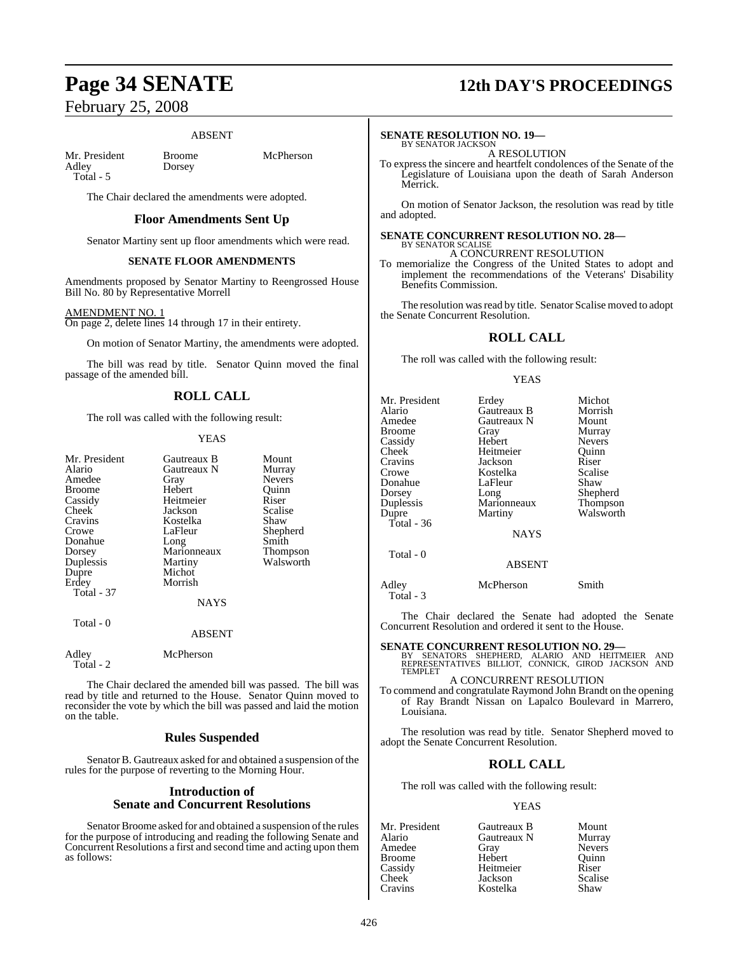#### ABSENT

Mr. President Broome McPherson<br>Adley Dorsey Adley Total - 5

The Chair declared the amendments were adopted.

#### **Floor Amendments Sent Up**

Senator Martiny sent up floor amendments which were read.

#### **SENATE FLOOR AMENDMENTS**

Amendments proposed by Senator Martiny to Reengrossed House Bill No. 80 by Representative Morrell

#### AMENDMENT NO. 1

On page 2, delete lines 14 through 17 in their entirety.

On motion of Senator Martiny, the amendments were adopted.

The bill was read by title. Senator Quinn moved the final passage of the amended bill.

## **ROLL CALL**

The roll was called with the following result:

#### YEAS

| Mr. President<br>Alario<br>Amedee<br><b>Broome</b><br>Cassidy<br>Cheek<br>Cravins<br>Crowe | Gautreaux B<br>Gautreaux N<br>Gray<br>Hebert<br>Heitmeier<br>Jackson<br>Kostelka<br>LaFleur | Mount<br>Murray<br><b>Nevers</b><br>Ouinn<br>Riser<br>Scalise<br>Shaw<br>Shepherd |
|--------------------------------------------------------------------------------------------|---------------------------------------------------------------------------------------------|-----------------------------------------------------------------------------------|
| Donahue                                                                                    | Long                                                                                        | Smith                                                                             |
| Dorsey                                                                                     | Marionneaux                                                                                 | <b>Thompson</b>                                                                   |
| Duplessis                                                                                  | Martiny                                                                                     | Walsworth                                                                         |
| Dupre                                                                                      | Michot                                                                                      |                                                                                   |
| Erdey                                                                                      | Morrish                                                                                     |                                                                                   |
| <b>Total - 37</b>                                                                          |                                                                                             |                                                                                   |
|                                                                                            | <b>NAYS</b>                                                                                 |                                                                                   |
| Total - 0                                                                                  |                                                                                             |                                                                                   |
|                                                                                            | <b>ABSENT</b>                                                                               |                                                                                   |

Adley McPherson Total - 2

The Chair declared the amended bill was passed. The bill was read by title and returned to the House. Senator Quinn moved to reconsider the vote by which the bill was passed and laid the motion on the table.

#### **Rules Suspended**

Senator B. Gautreaux asked for and obtained a suspension of the rules for the purpose of reverting to the Morning Hour.

### **Introduction of Senate and Concurrent Resolutions**

Senator Broome asked for and obtained a suspension of the rules for the purpose of introducing and reading the following Senate and Concurrent Resolutions a first and second time and acting upon them as follows:

# **Page 34 SENATE 12th DAY'S PROCEEDINGS**

### **SENATE RESOLUTION NO. 19—**

BY SENATOR JACKSON A RESOLUTION

To express the sincere and heartfelt condolences of the Senate of the Legislature of Louisiana upon the death of Sarah Anderson Merrick.

On motion of Senator Jackson, the resolution was read by title and adopted.

## **SENATE CONCURRENT RESOLUTION NO. 28—** BY SENATOR SCALISE

A CONCURRENT RESOLUTION

To memorialize the Congress of the United States to adopt and implement the recommendations of the Veterans' Disability Benefits Commission.

The resolution was read by title. Senator Scalise moved to adopt the Senate Concurrent Resolution.

### **ROLL CALL**

The roll was called with the following result:

#### YEAS

| Mr. President | Erdey         | Michot        |
|---------------|---------------|---------------|
| Alario        | Gautreaux B   | Morrish       |
| Amedee        | Gautreaux N   | Mount         |
| Broome        | Gray          | Murray        |
| Cassidy       | Hebert        | <b>Nevers</b> |
| Cheek         | Heitmeier     | Ouinn         |
| Cravins       | Jackson       | Riser         |
| Crowe         | Kostelka      | Scalise       |
| Donahue       | LaFleur       | Shaw          |
| Dorsey        | Long          | Shepherd      |
| Duplessis     | Marionneaux   | Thompson      |
| Dupre         | Martiny       | Walsworth     |
| Total - 36    |               |               |
|               | <b>NAYS</b>   |               |
| Total - 0     |               |               |
|               | <b>ABSENT</b> |               |
|               |               |               |

Adley McPherson Smith Total - 3

The Chair declared the Senate had adopted the Senate Concurrent Resolution and ordered it sent to the House.

# **SENATE CONCURRENT RESOLUTION NO. 29—**<br>BY SENATORS SHEPHERD, ALARIO AND HEITMEIER AND<br>REPRESENTATIVES BILLIOT, CONNICK, GIROD JACKSON AND

TEMPLET A CONCURRENT RESOLUTION

To commend and congratulate Raymond John Brandt on the opening of Ray Brandt Nissan on Lapalco Boulevard in Marrero,

The resolution was read by title. Senator Shepherd moved to adopt the Senate Concurrent Resolution.

## **ROLL CALL**

The roll was called with the following result:

Louisiana.

#### YEAS

| Mr. President | Gautreaux B | Mount         |
|---------------|-------------|---------------|
| Alario        | Gautreaux N | Murray        |
| Amedee        | Gray        | <b>Nevers</b> |
| Broome        | Hebert      | Ouinn         |
| Cassidy       | Heitmeier   | Riser         |
| Cheek         | Jackson     | Scalise       |
| Cravins       | Kostelka    | Shaw          |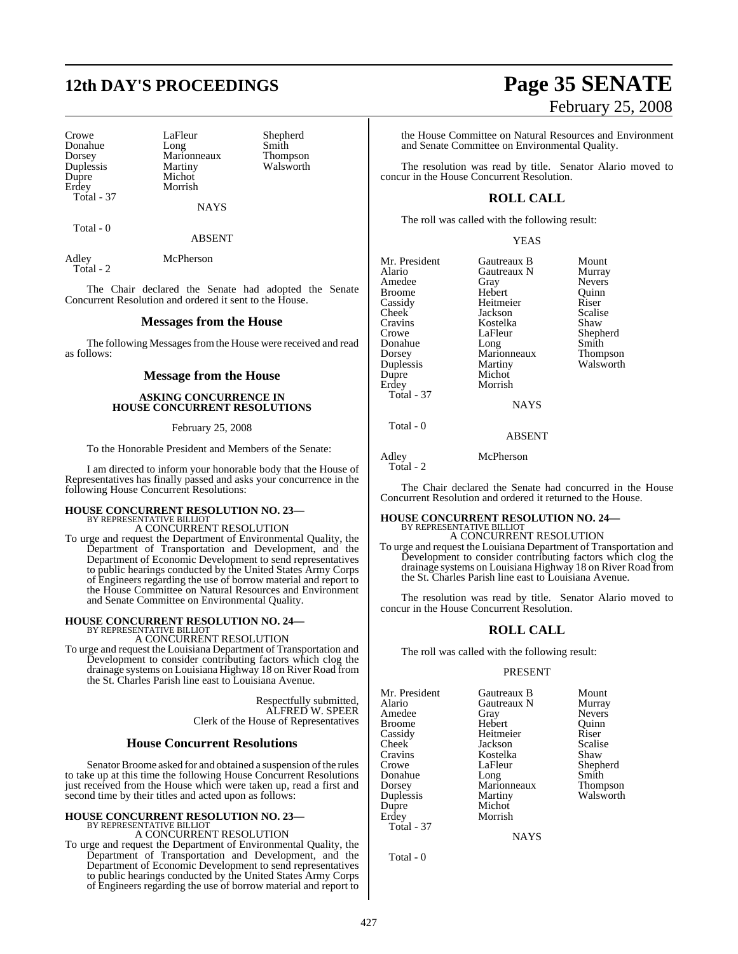# **12th DAY'S PROCEEDINGS Page 35 SENATE**

Dorsey Marionneaux<br>
Duplessis Martiny Erdey Morrish Total - 37

Crowe LaFleur Shepherd<br>Donahue Long Smith Donahue Long Smith Duplessis Martiny Walsworth Michot

**NAYS** 

Total - 0

ABSENT

Adley McPherson Total - 2

The Chair declared the Senate had adopted the Senate Concurrent Resolution and ordered it sent to the House.

#### **Messages from the House**

The following Messages from the House were received and read as follows:

#### **Message from the House**

#### **ASKING CONCURRENCE IN HOUSE CONCURRENT RESOLUTIONS**

February 25, 2008

To the Honorable President and Members of the Senate:

I am directed to inform your honorable body that the House of Representatives has finally passed and asks your concurrence in the following House Concurrent Resolutions:

# **HOUSE CONCURRENT RESOLUTION NO. 23—** BY REPRESENTATIVE BILLIOT

A CONCURRENT RESOLUTION

To urge and request the Department of Environmental Quality, the Department of Transportation and Development, and the Department of Economic Development to send representatives to public hearings conducted by the United States Army Corps of Engineers regarding the use of borrow material and report to the House Committee on Natural Resources and Environment and Senate Committee on Environmental Quality.

# **HOUSE CONCURRENT RESOLUTION NO. 24—** BY REPRESENTATIVE BILLIOT A CONCURRENT RESOLUTION

To urge and request the Louisiana Department of Transportation and Development to consider contributing factors which clog the drainage systems on Louisiana Highway 18 on River Road from the St. Charles Parish line east to Louisiana Avenue.

> Respectfully submitted, ALFRED W. SPEER Clerk of the House of Representatives

#### **House Concurrent Resolutions**

Senator Broome asked for and obtained a suspension of the rules to take up at this time the following House Concurrent Resolutions just received from the House which were taken up, read a first and second time by their titles and acted upon as follows:

## **HOUSE CONCURRENT RESOLUTION NO. 23—** BY REPRESENTATIVE BILLIOT

A CONCURRENT RESOLUTION

To urge and request the Department of Environmental Quality, the Department of Transportation and Development, and the Department of Economic Development to send representatives to public hearings conducted by the United States Army Corps of Engineers regarding the use of borrow material and report to

# February 25, 2008

the House Committee on Natural Resources and Environment and Senate Committee on Environmental Quality.

The resolution was read by title. Senator Alario moved to concur in the House Concurrent Resolution.

## **ROLL CALL**

The roll was called with the following result:

YEAS

Mr. President Gautreaux B Mount<br>Alario Gautreaux N Murray Amedee Gray Nevers<br>
Broome Hebert Quinn Broome Hebert Quinr<br>
Cassidy Heitmeier Riser Cassidy Heitmeier Riser<br>Cheek Jackson Scalise Cheek Jackson Scalis<br>Cravins Kostelka Shaw Cravins Kostelka<br>Crowe LaFleur Crowe LaFleur Shepherd<br>
Donahue Long Smith Donahue Long Smith Dorsey Marionneaux Thompson Duplessis Martiny Walsworth Dupre Michot<br>Erdev Morrish Total - 37

Gautreaux N Murray<br>Gray Nevers Morrish **NAYS** 

Total - 0

Adley McPherson

Total - 2

The Chair declared the Senate had concurred in the House Concurrent Resolution and ordered it returned to the House.

ABSENT

# **HOUSE CONCURRENT RESOLUTION NO. 24—** BY REPRESENTATIVE BILLIOT A CONCURRENT RESOLUTION

To urge and request the Louisiana Department of Transportation and Development to consider contributing factors which clog the drainage systems on Louisiana Highway 18 on River Road from the St. Charles Parish line east to Louisiana Avenue.

The resolution was read by title. Senator Alario moved to concur in the House Concurrent Resolution.

## **ROLL CALL**

The roll was called with the following result:

Kostelka<br>LaFleur

Morrish

#### PRESENT

Mr. President Gautreaux B Mount<br>Alario Gautreaux N Murray Amedee Gray Nevers<br>
Broome Hebert Quinn Broome Hebert Quinr<br>
Cassidy Heitmeier Riser Cassidy Heitmeier Riser Cheek Jackson Scalis<br>Cravins Kostelka Shaw Crowe LaFleur Shepherd<br>
Donahue Long Smith Donahue Long Smith Dorsey Marionneaux Thompson Duplessis<br>Dupre Dupre Michot<br>Erdey Morrish Total - 37

Gautreaux N Murray<br>Gray Nevers

**NAYS** 

Total - 0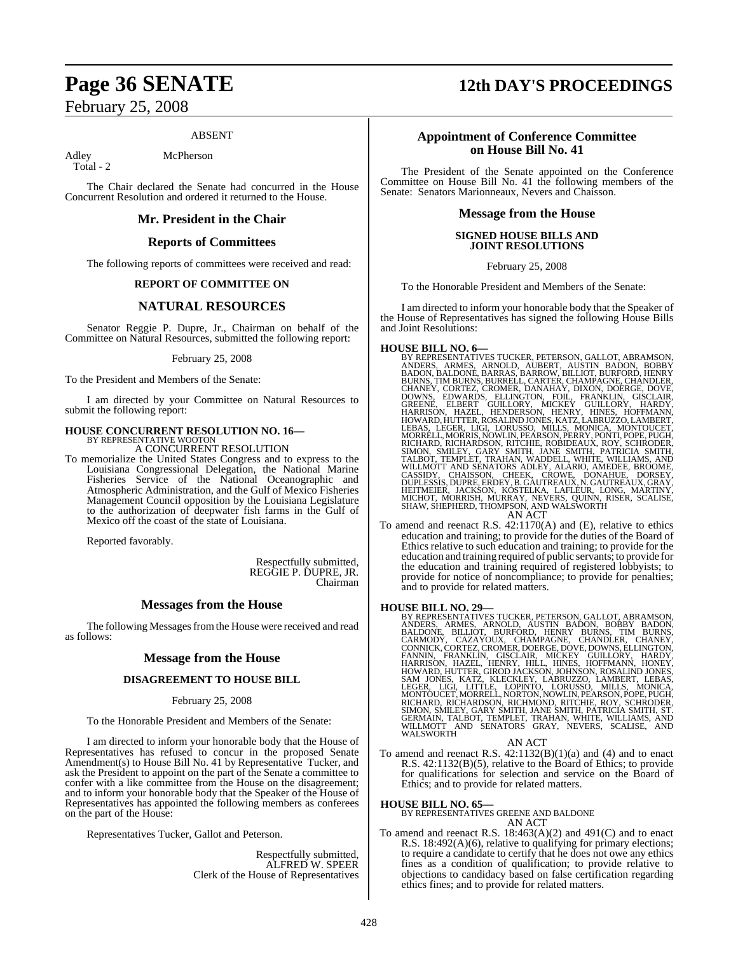#### ABSENT

Total - 2

Adley McPherson

The Chair declared the Senate had concurred in the House Concurrent Resolution and ordered it returned to the House.

#### **Mr. President in the Chair**

#### **Reports of Committees**

The following reports of committees were received and read:

### **REPORT OF COMMITTEE ON**

#### **NATURAL RESOURCES**

Senator Reggie P. Dupre, Jr., Chairman on behalf of the Committee on Natural Resources, submitted the following report:

February 25, 2008

To the President and Members of the Senate:

I am directed by your Committee on Natural Resources to submit the following report:

# **HOUSE CONCURRENT RESOLUTION NO. 16—**<br>BY REPRESENTATIVE WOOTON **A CONCURRENT RESOLUTION**

To memorialize the United States Congress and to express to the Louisiana Congressional Delegation, the National Marine Fisheries Service of the National Oceanographic and Atmospheric Administration, and the Gulf of Mexico Fisheries Management Council opposition by the Louisiana Legislature to the authorization of deepwater fish farms in the Gulf of Mexico off the coast of the state of Louisiana.

Reported favorably.

Respectfully submitted, REGGIE P. DUPRE, JR. Chairman

#### **Messages from the House**

The following Messages from the House were received and read as follows:

#### **Message from the House**

#### **DISAGREEMENT TO HOUSE BILL**

February 25, 2008

To the Honorable President and Members of the Senate:

I am directed to inform your honorable body that the House of Representatives has refused to concur in the proposed Senate Amendment(s) to House Bill No. 41 by Representative Tucker, and ask the President to appoint on the part of the Senate a committee to confer with a like committee from the House on the disagreement; and to inform your honorable body that the Speaker of the House of Representatives has appointed the following members as conferees on the part of the House:

Representatives Tucker, Gallot and Peterson.

Respectfully submitted, ALFRED W. SPEER Clerk of the House of Representatives

# **Page 36 SENATE 12th DAY'S PROCEEDINGS**

#### **Appointment of Conference Committee on House Bill No. 41**

The President of the Senate appointed on the Conference Committee on House Bill No. 41 the following members of the Senate: Senators Marionneaux, Nevers and Chaisson.

#### **Message from the House**

#### **SIGNED HOUSE BILLS AND JOINT RESOLUTIONS**

February 25, 2008

To the Honorable President and Members of the Senate:

I am directed to inform your honorable body that the Speaker of the House of Representatives has signed the following House Bills and Joint Resolutions:

**HOUSE BILL NO. 6—** BY REPRESENTATIVES TUCKER, PETERSON, GALLOT, ABRAMSON, ANDERS, ARMES, ARNOLD, AUBERT, AUSTIN BADON, BOBBY BADON, BALDONÉ, BARRAS, BARROW, BILLIOT, BURFORD, HENRY, SIMRIS EURNS, SIMREEL, CARTER, CHAMPAGNE, CHANDLER, CHANDER, CHANDER, CHANDER, DOVE, FRANKLIN, GISCLAIR, GEORENE, GELINGTON, FOILLORY, HARDY, GREENE, ELBERT GUILLORY

To amend and reenact R.S. 42:1170(A) and (E), relative to ethics education and training; to provide for the duties of the Board of Ethics relative to such education and training; to provide for the education and training required of public servants; to provide for the education and training required of registered lobbyists; to provide for notice of noncompliance; to provide for penalties; and to provide for related matters.

HOUSE BILL NO. 29—<br>
BY REPRESENTATIVES TUCKER, PETERSON, GALLOT, ABRAMSON, ANDERS, ARMES, ARNOLD, AUSTIN BADON, BOBBY BADON,<br>
BALDONE, BILLIOT, BURFORD, HENRY BURNS, TIM BURNS,<br>
CARMODY, CAZAYOUX, CHAMPAGNE, CHANDLER, CHAN

#### AN ACT

To amend and reenact R.S.  $42:1132(B)(1)(a)$  and (4) and to enact R.S.  $42:1132(B)(5)$ , relative to the Board of Ethics; to provide for qualifications for selection and service on the Board of Ethics; and to provide for related matters.

#### **HOUSE BILL NO. 65—**

BY REPRESENTATIVES GREENE AND BALDONE AN ACT

To amend and reenact R.S. 18:463(A)(2) and 491(C) and to enact R.S. 18:492(A)(6), relative to qualifying for primary elections; to require a candidate to certify that he does not owe any ethics fines as a condition of qualification; to provide relative to objections to candidacy based on false certification regarding ethics fines; and to provide for related matters.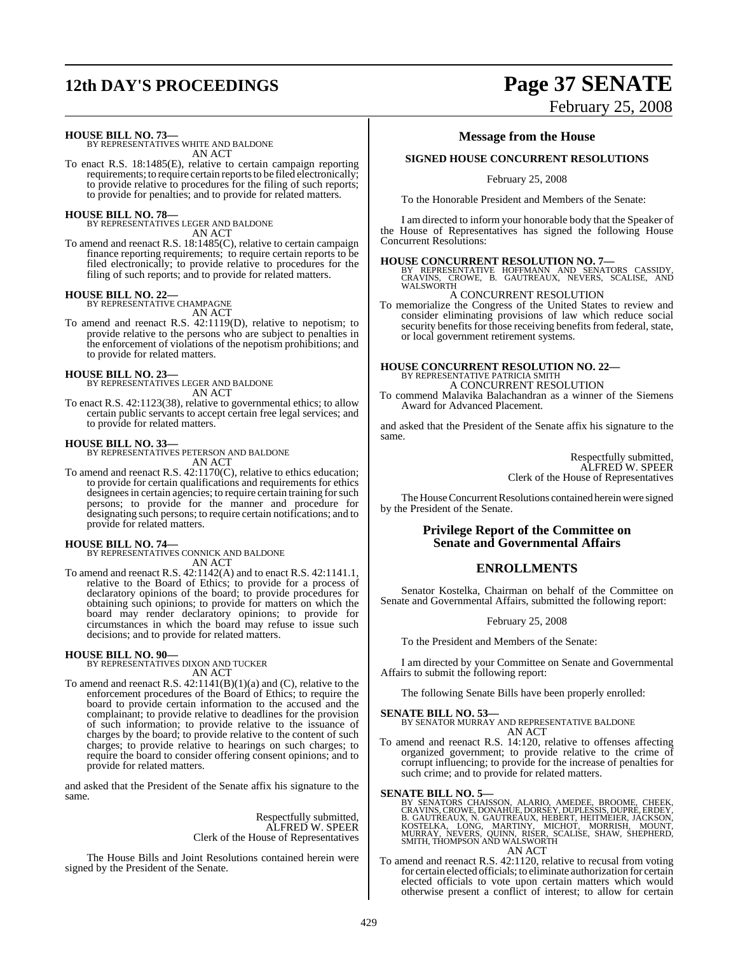# **12th DAY'S PROCEEDINGS Page 37 SENATE**

#### **HOUSE BILL NO. 73—**

BY REPRESENTATIVES WHITE AND BALDONE AN ACT

To enact R.S. 18:1485(E), relative to certain campaign reporting requirements; to require certain reports to be filed electronically; to provide relative to procedures for the filing of such reports; to provide for penalties; and to provide for related matters.

**HOUSE BILL NO. 78—** BY REPRESENTATIVES LEGER AND BALDONE AN ACT

To amend and reenact R.S. 18:1485(C), relative to certain campaign finance reporting requirements; to require certain reports to be filed electronically; to provide relative to procedures for the filing of such reports; and to provide for related matters.

## **HOUSE BILL NO. 22—** BY REPRESENTATIVE CHAMPAGNE

AN ACT

To amend and reenact R.S. 42:1119(D), relative to nepotism; to provide relative to the persons who are subject to penalties in the enforcement of violations of the nepotism prohibitions; and to provide for related matters.

**HOUSE BILL NO. 23—** BY REPRESENTATIVES LEGER AND BALDONE AN ACT

To enact R.S. 42:1123(38), relative to governmental ethics; to allow certain public servants to accept certain free legal services; and to provide for related matters.

**HOUSE BILL NO. 33—** BY REPRESENTATIVES PETERSON AND BALDONE AN ACT

To amend and reenact R.S. 42:1170(C), relative to ethics education; to provide for certain qualifications and requirements for ethics designees in certain agencies; to require certain training for such persons; to provide for the manner and procedure for designating such persons; to require certain notifications; and to provide for related matters.

**HOUSE BILL NO. 74—** BY REPRESENTATIVES CONNICK AND BALDONE AN ACT

To amend and reenact R.S. 42:1142(A) and to enact R.S. 42:1141.1, relative to the Board of Ethics; to provide for a process of declaratory opinions of the board; to provide procedures for obtaining such opinions; to provide for matters on which the board may render declaratory opinions; to provide for circumstances in which the board may refuse to issue such decisions; and to provide for related matters.

## **HOUSE BILL NO. 90—**

BY REPRESENTATIVES DIXON AND TUCKER AN ACT

To amend and reenact R.S. 42:1141(B)(1)(a) and (C), relative to the enforcement procedures of the Board of Ethics; to require the board to provide certain information to the accused and the complainant; to provide relative to deadlines for the provision of such information; to provide relative to the issuance of charges by the board; to provide relative to the content of such charges; to provide relative to hearings on such charges; to require the board to consider offering consent opinions; and to provide for related matters.

and asked that the President of the Senate affix his signature to the same.

> Respectfully submitted, ALFRED W. SPEER Clerk of the House of Representatives

The House Bills and Joint Resolutions contained herein were signed by the President of the Senate.

## **Message from the House**

#### **SIGNED HOUSE CONCURRENT RESOLUTIONS**

February 25, 2008

To the Honorable President and Members of the Senate:

I am directed to inform your honorable body that the Speaker of the House of Representatives has signed the following House Concurrent Resolutions:

**HOUSE CONCURRENT RESOLUTION NO. 7—**<br>BY REPRESENTATIVE HOFFMANN AND SENATORS CASSIDY,<br>CRAVINS, CROWE, B. GAUTREAUX, NEVERS, SCALISE, AND<br>WALSWORTH

#### A CONCURRENT RESOLUTION

To memorialize the Congress of the United States to review and consider eliminating provisions of law which reduce social security benefits for those receiving benefits from federal, state, or local government retirement systems.

## **HOUSE CONCURRENT RESOLUTION NO. 22—** BY REPRESENTATIVE PATRICIA SMITH

A CONCURRENT RESOLUTION

To commend Malavika Balachandran as a winner of the Siemens Award for Advanced Placement.

and asked that the President of the Senate affix his signature to the same.

> Respectfully submitted, ALFRED W. SPEER Clerk of the House of Representatives

The House Concurrent Resolutions contained herein were signed by the President of the Senate.

#### **Privilege Report of the Committee on Senate and Governmental Affairs**

## **ENROLLMENTS**

Senator Kostelka, Chairman on behalf of the Committee on Senate and Governmental Affairs, submitted the following report:

February 25, 2008

To the President and Members of the Senate:

I am directed by your Committee on Senate and Governmental Affairs to submit the following report:

The following Senate Bills have been properly enrolled:

**SENATE BILL NO. 53—** BY SENATOR MURRAY AND REPRESENTATIVE BALDONE AN ACT

To amend and reenact R.S. 14:120, relative to offenses affecting organized government; to provide relative to the crime of corrupt influencing; to provide for the increase of penalties for such crime; and to provide for related matters.

#### **SENATE BILL NO. 5—**

BY SENATORS CHAISSON, ALARIO, AMEDEE, BROOME, CHEEK,<br>CRAVINS,CROWE,DONAHUE,DORSEY,DUPLESSIS,DUPRE,ERDEY,<br>B. GAUTREAUX, N. GAUTREAUX, HEBERT, HEITMEIER, JACKSON,<br>KOSTELKA, LONG, MARTINY, MICHOT, MORRISH, MOUNT,<br>MURRAY, NEVE AN ACT

To amend and reenact R.S. 42:1120, relative to recusal from voting for certain elected officials; to eliminate authorization for certain elected officials to vote upon certain matters which would otherwise present a conflict of interest; to allow for certain

# February 25, 2008